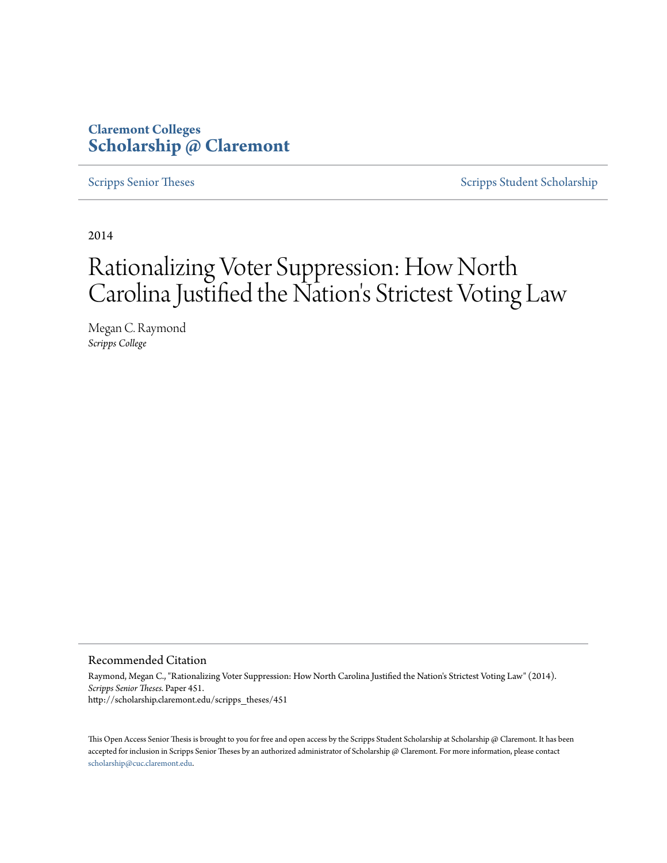## **Claremont Colleges [Scholarship @ Claremont](http://scholarship.claremont.edu)**

[Scripps Senior Theses](http://scholarship.claremont.edu/scripps_theses) [Scripps Student Scholarship](http://scholarship.claremont.edu/scripps_student)

2014

# Rationalizing Voter Suppression: How North Carolina Justified the Nation's Strictest Voting Law

Megan C. Raymond *Scripps College*

#### Recommended Citation

Raymond, Megan C., "Rationalizing Voter Suppression: How North Carolina Justified the Nation's Strictest Voting Law" (2014). *Scripps Senior Theses.* Paper 451. http://scholarship.claremont.edu/scripps\_theses/451

This Open Access Senior Thesis is brought to you for free and open access by the Scripps Student Scholarship at Scholarship @ Claremont. It has been accepted for inclusion in Scripps Senior Theses by an authorized administrator of Scholarship @ Claremont. For more information, please contact [scholarship@cuc.claremont.edu.](mailto:scholarship@cuc.claremont.edu)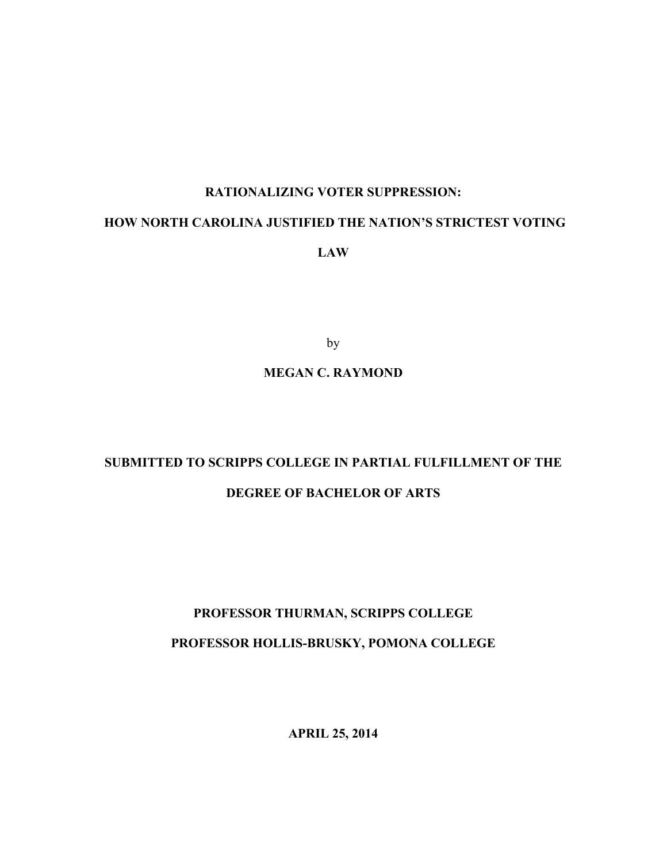## **RATIONALIZING VOTER SUPPRESSION:**

## **HOW NORTH CAROLINA JUSTIFIED THE NATION'S STRICTEST VOTING**

**LAW**

by

## **MEGAN C. RAYMOND**

## **SUBMITTED TO SCRIPPS COLLEGE IN PARTIAL FULFILLMENT OF THE DEGREE OF BACHELOR OF ARTS**

## **PROFESSOR THURMAN, SCRIPPS COLLEGE PROFESSOR HOLLIS-BRUSKY, POMONA COLLEGE**

**APRIL 25, 2014**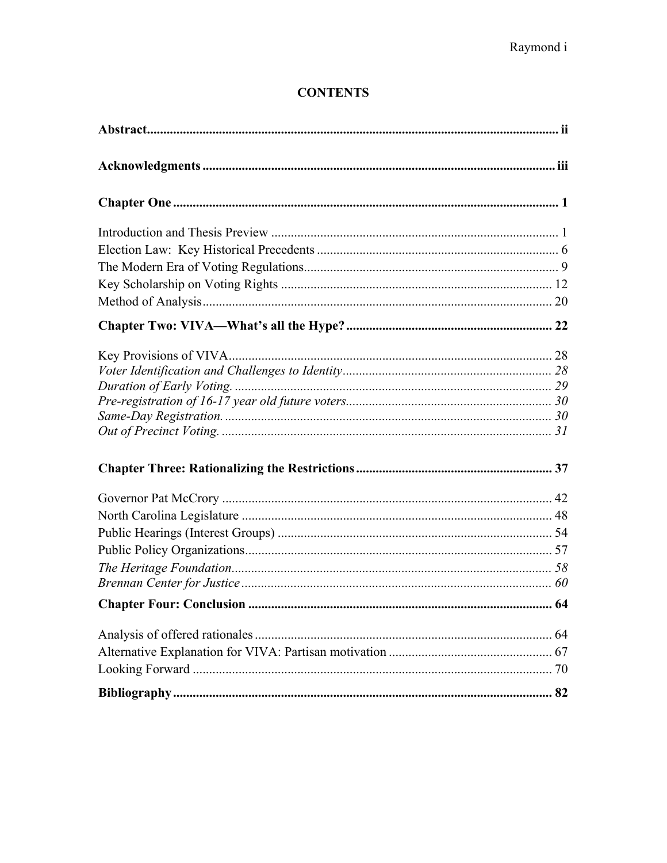## **CONTENTS**

| 64 |
|----|
|    |
|    |
|    |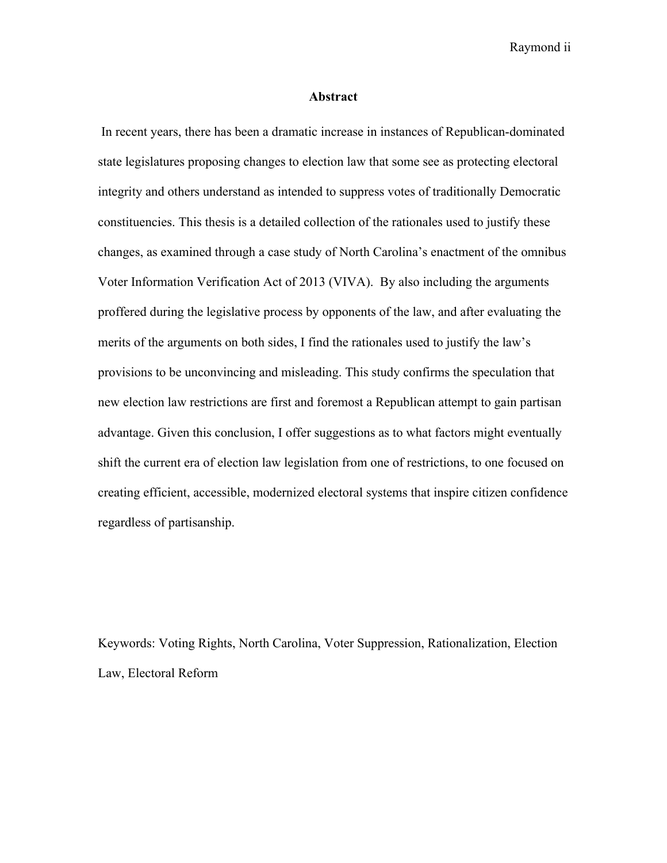Raymond ii

#### **Abstract**

In recent years, there has been a dramatic increase in instances of Republican-dominated state legislatures proposing changes to election law that some see as protecting electoral integrity and others understand as intended to suppress votes of traditionally Democratic constituencies. This thesis is a detailed collection of the rationales used to justify these changes, as examined through a case study of North Carolina's enactment of the omnibus Voter Information Verification Act of 2013 (VIVA). By also including the arguments proffered during the legislative process by opponents of the law, and after evaluating the merits of the arguments on both sides, I find the rationales used to justify the law's provisions to be unconvincing and misleading. This study confirms the speculation that new election law restrictions are first and foremost a Republican attempt to gain partisan advantage. Given this conclusion, I offer suggestions as to what factors might eventually shift the current era of election law legislation from one of restrictions, to one focused on creating efficient, accessible, modernized electoral systems that inspire citizen confidence regardless of partisanship.

Keywords: Voting Rights, North Carolina, Voter Suppression, Rationalization, Election Law, Electoral Reform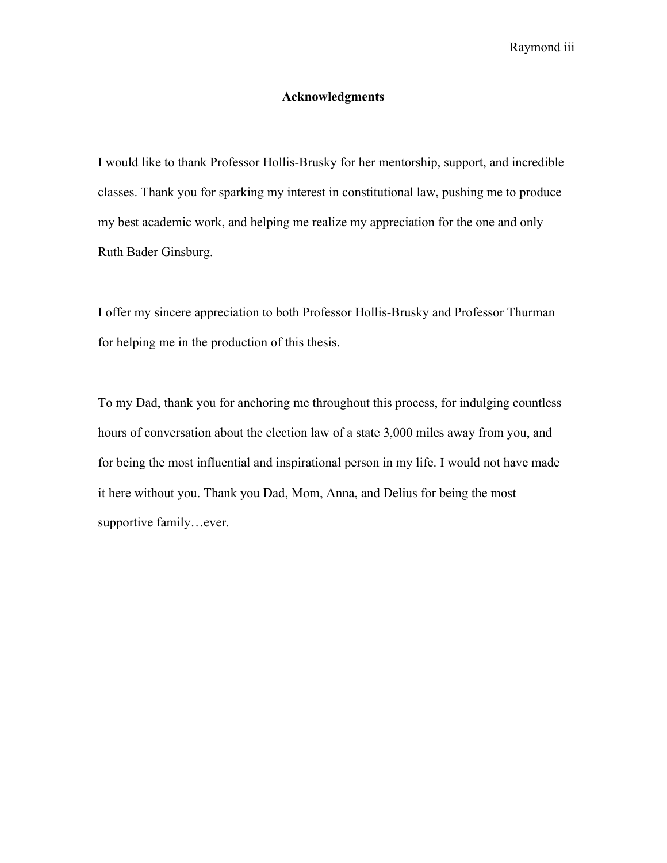## **Acknowledgments**

I would like to thank Professor Hollis-Brusky for her mentorship, support, and incredible classes. Thank you for sparking my interest in constitutional law, pushing me to produce my best academic work, and helping me realize my appreciation for the one and only Ruth Bader Ginsburg.

I offer my sincere appreciation to both Professor Hollis-Brusky and Professor Thurman for helping me in the production of this thesis.

To my Dad, thank you for anchoring me throughout this process, for indulging countless hours of conversation about the election law of a state 3,000 miles away from you, and for being the most influential and inspirational person in my life. I would not have made it here without you. Thank you Dad, Mom, Anna, and Delius for being the most supportive family…ever.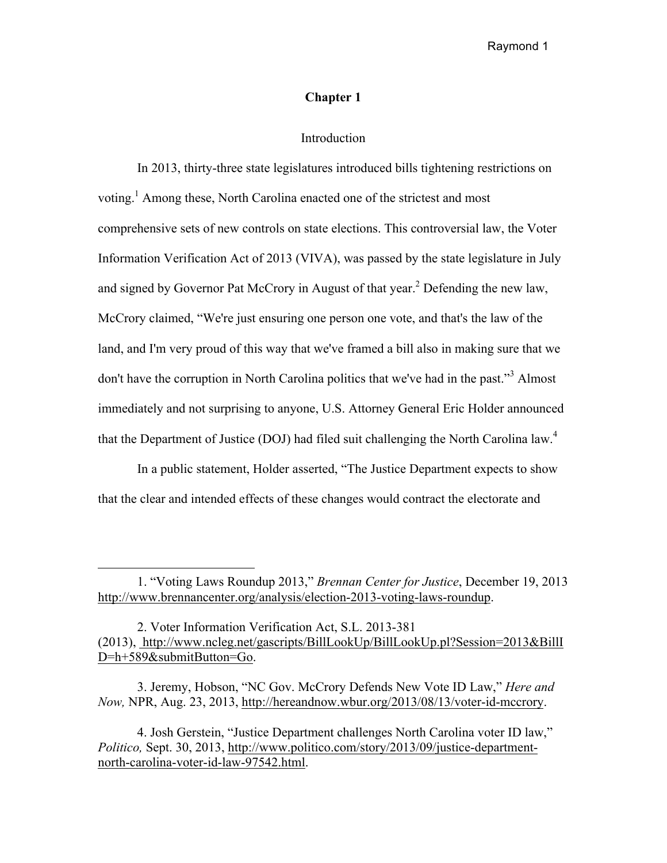## **Chapter 1**

### Introduction

In 2013, thirty-three state legislatures introduced bills tightening restrictions on voting.<sup>1</sup> Among these, North Carolina enacted one of the strictest and most comprehensive sets of new controls on state elections. This controversial law, the Voter Information Verification Act of 2013 (VIVA), was passed by the state legislature in July and signed by Governor Pat McCrory in August of that year.<sup>2</sup> Defending the new law, McCrory claimed, "We're just ensuring one person one vote, and that's the law of the land, and I'm very proud of this way that we've framed a bill also in making sure that we don't have the corruption in North Carolina politics that we've had in the past."<sup>3</sup> Almost immediately and not surprising to anyone, U.S. Attorney General Eric Holder announced that the Department of Justice (DOJ) had filed suit challenging the North Carolina law.<sup>4</sup>

In a public statement, Holder asserted, "The Justice Department expects to show that the clear and intended effects of these changes would contract the electorate and

<sup>1. &</sup>quot;Voting Laws Roundup 2013," *Brennan Center for Justice*, December 19, 2013 http://www.brennancenter.org/analysis/election-2013-voting-laws-roundup.

<sup>2.</sup> Voter Information Verification Act, S.L. 2013-381 (2013), http://www.ncleg.net/gascripts/BillLookUp/BillLookUp.pl?Session=2013&BillI D=h+589&submitButton=Go.

<sup>3.</sup> Jeremy, Hobson, "NC Gov. McCrory Defends New Vote ID Law," *Here and Now,* NPR, Aug. 23, 2013, http://hereandnow.wbur.org/2013/08/13/voter-id-mccrory.

<sup>4.</sup> Josh Gerstein, "Justice Department challenges North Carolina voter ID law," *Politico,* Sept. 30, 2013, http://www.politico.com/story/2013/09/justice-departmentnorth-carolina-voter-id-law-97542.html.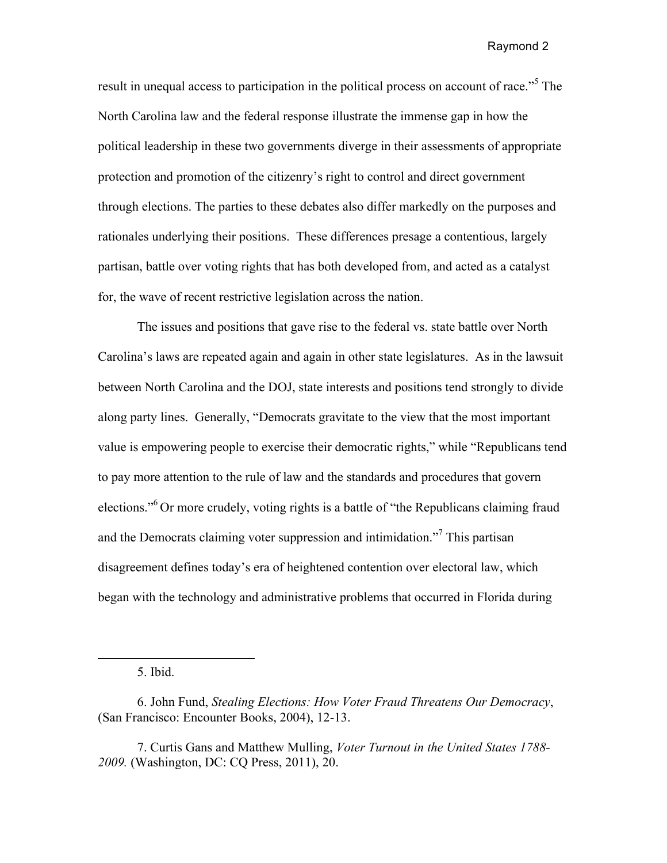result in unequal access to participation in the political process on account of race."<sup>5</sup> The North Carolina law and the federal response illustrate the immense gap in how the political leadership in these two governments diverge in their assessments of appropriate protection and promotion of the citizenry's right to control and direct government through elections. The parties to these debates also differ markedly on the purposes and rationales underlying their positions. These differences presage a contentious, largely partisan, battle over voting rights that has both developed from, and acted as a catalyst for, the wave of recent restrictive legislation across the nation.

The issues and positions that gave rise to the federal vs. state battle over North Carolina's laws are repeated again and again in other state legislatures. As in the lawsuit between North Carolina and the DOJ, state interests and positions tend strongly to divide along party lines. Generally, "Democrats gravitate to the view that the most important value is empowering people to exercise their democratic rights," while "Republicans tend to pay more attention to the rule of law and the standards and procedures that govern elections."6 Or more crudely, voting rights is a battle of "the Republicans claiming fraud and the Democrats claiming voter suppression and intimidation.<sup>77</sup> This partisan disagreement defines today's era of heightened contention over electoral law, which began with the technology and administrative problems that occurred in Florida during

<sup>5.</sup> Ibid.

<sup>6.</sup> John Fund, *Stealing Elections: How Voter Fraud Threatens Our Democracy*, (San Francisco: Encounter Books, 2004), 12-13.

<sup>7.</sup> Curtis Gans and Matthew Mulling, *Voter Turnout in the United States 1788- 2009.* (Washington, DC: CQ Press, 2011), 20.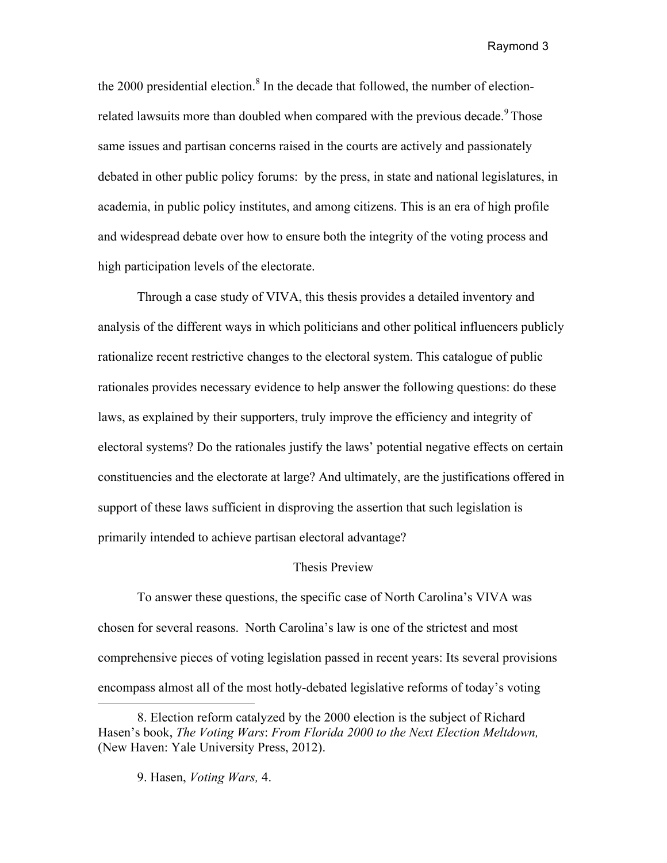the 2000 presidential election.<sup>8</sup> In the decade that followed, the number of electionrelated lawsuits more than doubled when compared with the previous decade.<sup>9</sup> Those same issues and partisan concerns raised in the courts are actively and passionately debated in other public policy forums: by the press, in state and national legislatures, in academia, in public policy institutes, and among citizens. This is an era of high profile and widespread debate over how to ensure both the integrity of the voting process and high participation levels of the electorate.

Through a case study of VIVA, this thesis provides a detailed inventory and analysis of the different ways in which politicians and other political influencers publicly rationalize recent restrictive changes to the electoral system. This catalogue of public rationales provides necessary evidence to help answer the following questions: do these laws, as explained by their supporters, truly improve the efficiency and integrity of electoral systems? Do the rationales justify the laws' potential negative effects on certain constituencies and the electorate at large? And ultimately, are the justifications offered in support of these laws sufficient in disproving the assertion that such legislation is primarily intended to achieve partisan electoral advantage?

#### Thesis Preview

To answer these questions, the specific case of North Carolina's VIVA was chosen for several reasons. North Carolina's law is one of the strictest and most comprehensive pieces of voting legislation passed in recent years: Its several provisions encompass almost all of the most hotly-debated legislative reforms of today's voting

<sup>8.</sup> Election reform catalyzed by the 2000 election is the subject of Richard Hasen's book, *The Voting Wars*: *From Florida 2000 to the Next Election Meltdown,* (New Haven: Yale University Press, 2012).

<sup>9.</sup> Hasen, *Voting Wars,* 4.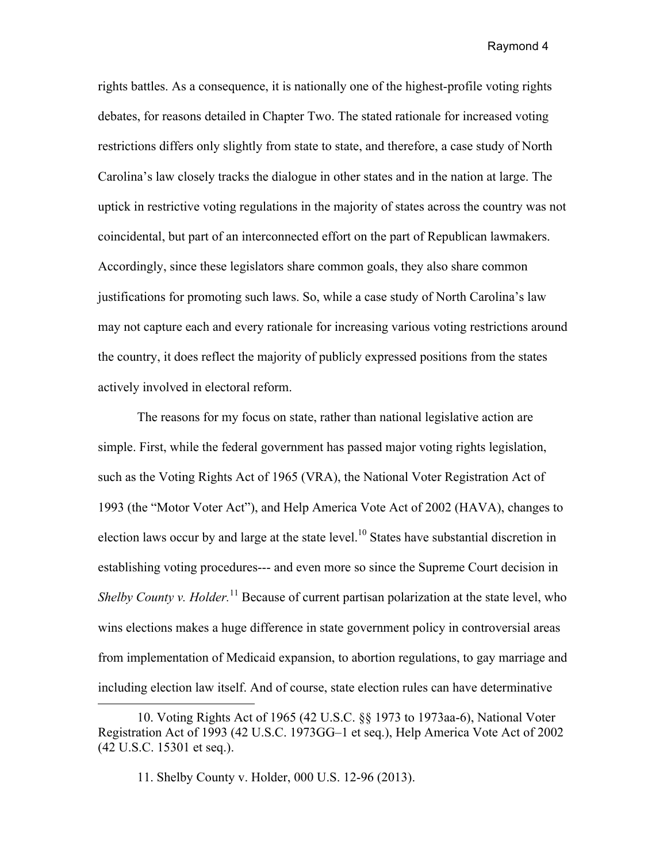rights battles. As a consequence, it is nationally one of the highest-profile voting rights debates, for reasons detailed in Chapter Two. The stated rationale for increased voting restrictions differs only slightly from state to state, and therefore, a case study of North Carolina's law closely tracks the dialogue in other states and in the nation at large. The uptick in restrictive voting regulations in the majority of states across the country was not coincidental, but part of an interconnected effort on the part of Republican lawmakers. Accordingly, since these legislators share common goals, they also share common justifications for promoting such laws. So, while a case study of North Carolina's law may not capture each and every rationale for increasing various voting restrictions around the country, it does reflect the majority of publicly expressed positions from the states actively involved in electoral reform.

The reasons for my focus on state, rather than national legislative action are simple. First, while the federal government has passed major voting rights legislation, such as the Voting Rights Act of 1965 (VRA), the National Voter Registration Act of 1993 (the "Motor Voter Act"), and Help America Vote Act of 2002 (HAVA), changes to election laws occur by and large at the state level.<sup>10</sup> States have substantial discretion in establishing voting procedures--- and even more so since the Supreme Court decision in *Shelby County v. Holder.*<sup>11</sup> Because of current partisan polarization at the state level, who wins elections makes a huge difference in state government policy in controversial areas from implementation of Medicaid expansion, to abortion regulations, to gay marriage and including election law itself. And of course, state election rules can have determinative

<sup>10.</sup> Voting Rights Act of 1965 (42 U.S.C. §§ 1973 to 1973aa-6), National Voter Registration Act of 1993 (42 U.S.C. 1973GG–1 et seq.), Help America Vote Act of 2002 (42 U.S.C. 15301 et seq.).

<sup>11.</sup> Shelby County v. Holder, 000 U.S. 12-96 (2013).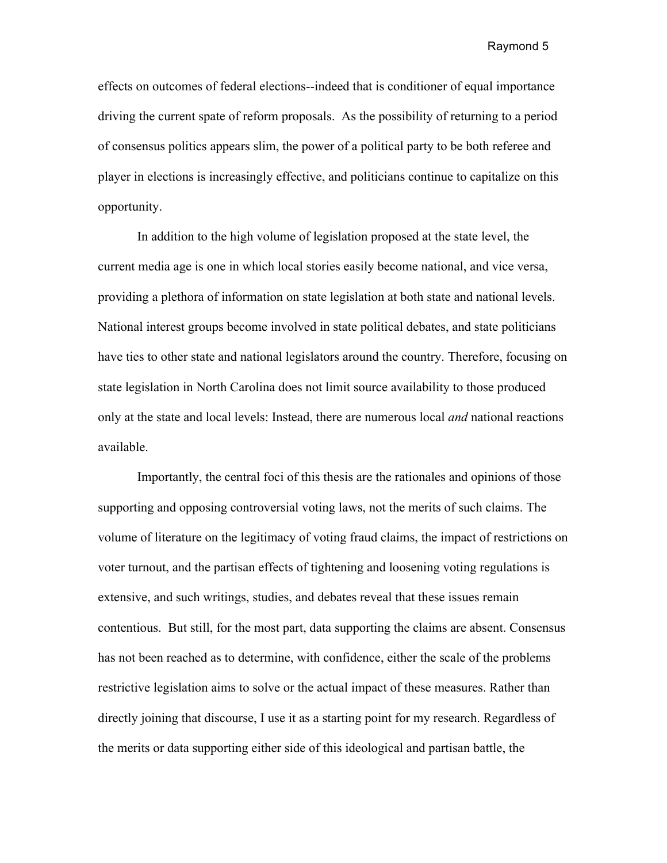effects on outcomes of federal elections--indeed that is conditioner of equal importance driving the current spate of reform proposals. As the possibility of returning to a period of consensus politics appears slim, the power of a political party to be both referee and player in elections is increasingly effective, and politicians continue to capitalize on this opportunity.

In addition to the high volume of legislation proposed at the state level, the current media age is one in which local stories easily become national, and vice versa, providing a plethora of information on state legislation at both state and national levels. National interest groups become involved in state political debates, and state politicians have ties to other state and national legislators around the country. Therefore, focusing on state legislation in North Carolina does not limit source availability to those produced only at the state and local levels: Instead, there are numerous local *and* national reactions available.

Importantly, the central foci of this thesis are the rationales and opinions of those supporting and opposing controversial voting laws, not the merits of such claims. The volume of literature on the legitimacy of voting fraud claims, the impact of restrictions on voter turnout, and the partisan effects of tightening and loosening voting regulations is extensive, and such writings, studies, and debates reveal that these issues remain contentious. But still, for the most part, data supporting the claims are absent. Consensus has not been reached as to determine, with confidence, either the scale of the problems restrictive legislation aims to solve or the actual impact of these measures. Rather than directly joining that discourse, I use it as a starting point for my research. Regardless of the merits or data supporting either side of this ideological and partisan battle, the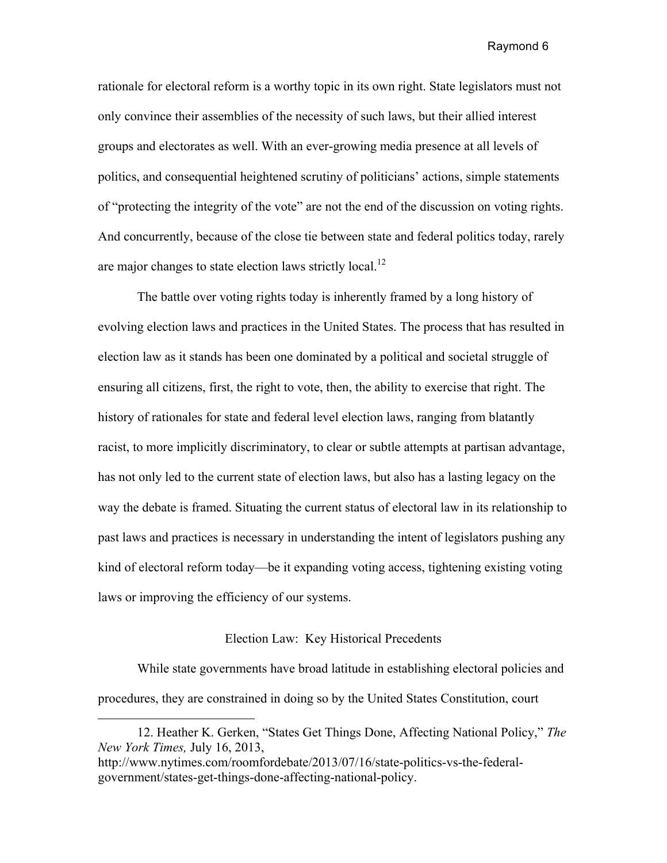rationale for electoral reform is a worthy topic in its own right. State legislators must not only convince their assemblies of the necessity of such laws, but their allied interest groups and electorates as well. With an ever-growing media presence at all levels of politics, and consequential heightened scrutiny of politicians' actions, simple statements of "protecting the integrity of the vote" are not the end of the discussion on voting rights. And concurrently, because of the close tie between state and federal politics today, rarely are major changes to state election laws strictly local.<sup>12</sup>

The battle over voting rights today is inherently framed by a long history of evolving election laws and practices in the United States. The process that has resulted in election law as it stands has been one dominated by a political and societal struggle of ensuring all citizens, first, the right to vote, then, the ability to exercise that right. The history of rationales for state and federal level election laws, ranging from blatantly racist, to more implicitly discriminatory, to clear or subtle attempts at partisan advantage, has not only led to the current state of election laws, but also has a lasting legacy on the way the debate is framed. Situating the current status of electoral law in its relationship to past laws and practices is necessary in understanding the intent of legislators pushing any kind of electoral reform today—be it expanding voting access, tightening existing voting laws or improving the efficiency of our systems.

#### Election Law: Key Historical Precedents

While state governments have broad latitude in establishing electoral policies and procedures, they are constrained in doing so by the United States Constitution, court

<sup>12.</sup> Heather K. Gerken, "States Get Things Done, Affecting National Policy," *The New York Times,* July 16, 2013,

http://www.nytimes.com/roomfordebate/2013/07/16/state-politics-vs-the-federalgovernment/states-get-things-done-affecting-national-policy.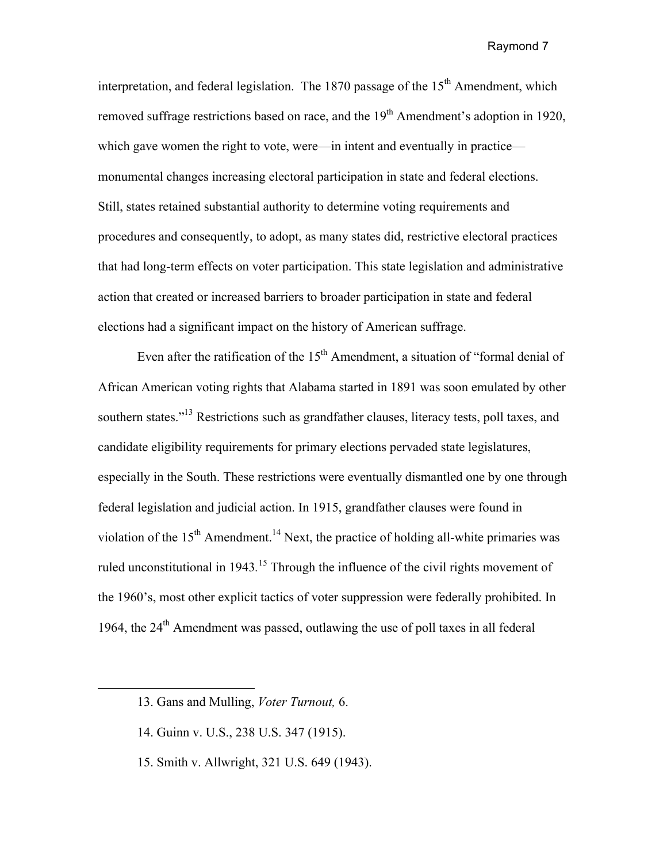interpretation, and federal legislation. The 1870 passage of the  $15<sup>th</sup>$  Amendment, which removed suffrage restrictions based on race, and the  $19<sup>th</sup>$  Amendment's adoption in 1920, which gave women the right to vote, were—in intent and eventually in practice monumental changes increasing electoral participation in state and federal elections. Still, states retained substantial authority to determine voting requirements and procedures and consequently, to adopt, as many states did, restrictive electoral practices that had long-term effects on voter participation. This state legislation and administrative action that created or increased barriers to broader participation in state and federal elections had a significant impact on the history of American suffrage.

Even after the ratification of the  $15<sup>th</sup>$  Amendment, a situation of "formal denial of African American voting rights that Alabama started in 1891 was soon emulated by other southern states."<sup>13</sup> Restrictions such as grandfather clauses, literacy tests, poll taxes, and candidate eligibility requirements for primary elections pervaded state legislatures, especially in the South. These restrictions were eventually dismantled one by one through federal legislation and judicial action. In 1915, grandfather clauses were found in violation of the  $15<sup>th</sup>$  Amendment.<sup>14</sup> Next, the practice of holding all-white primaries was ruled unconstitutional in 1943*.* <sup>15</sup> Through the influence of the civil rights movement of the 1960's, most other explicit tactics of voter suppression were federally prohibited. In 1964, the 24th Amendment was passed, outlawing the use of poll taxes in all federal

15. Smith v. Allwright, 321 U.S. 649 (1943).

<sup>13.</sup> Gans and Mulling, *Voter Turnout,* 6.

<sup>14.</sup> Guinn v. U.S., 238 U.S. 347 (1915).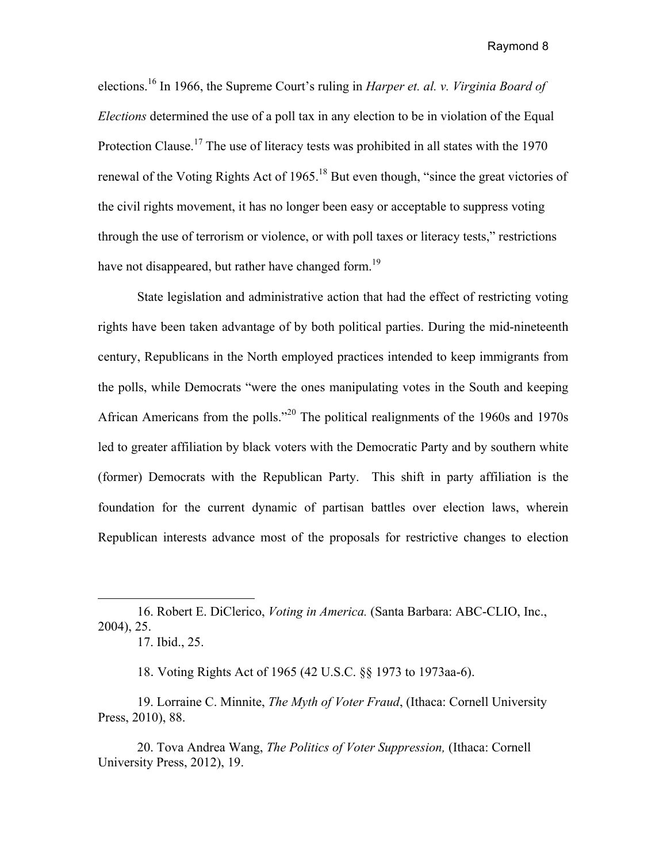elections.16 In 1966, the Supreme Court's ruling in *Harper et. al. v. Virginia Board of Elections* determined the use of a poll tax in any election to be in violation of the Equal Protection Clause.<sup>17</sup> The use of literacy tests was prohibited in all states with the 1970 renewal of the Voting Rights Act of 1965.<sup>18</sup> But even though, "since the great victories of the civil rights movement, it has no longer been easy or acceptable to suppress voting through the use of terrorism or violence, or with poll taxes or literacy tests," restrictions have not disappeared, but rather have changed form.<sup>19</sup>

State legislation and administrative action that had the effect of restricting voting rights have been taken advantage of by both political parties. During the mid-nineteenth century, Republicans in the North employed practices intended to keep immigrants from the polls, while Democrats "were the ones manipulating votes in the South and keeping African Americans from the polls."<sup>20</sup> The political realignments of the 1960s and 1970s led to greater affiliation by black voters with the Democratic Party and by southern white (former) Democrats with the Republican Party. This shift in party affiliation is the foundation for the current dynamic of partisan battles over election laws, wherein Republican interests advance most of the proposals for restrictive changes to election

 $\overline{a}$ 

18. Voting Rights Act of 1965 (42 U.S.C. §§ 1973 to 1973aa-6).

19. Lorraine C. Minnite, *The Myth of Voter Fraud*, (Ithaca: Cornell University Press, 2010), 88.

20. Tova Andrea Wang, *The Politics of Voter Suppression,* (Ithaca: Cornell University Press, 2012), 19.

<sup>16.</sup> Robert E. DiClerico, *Voting in America.* (Santa Barbara: ABC-CLIO, Inc., 2004), 25.

<sup>17.</sup> Ibid., 25.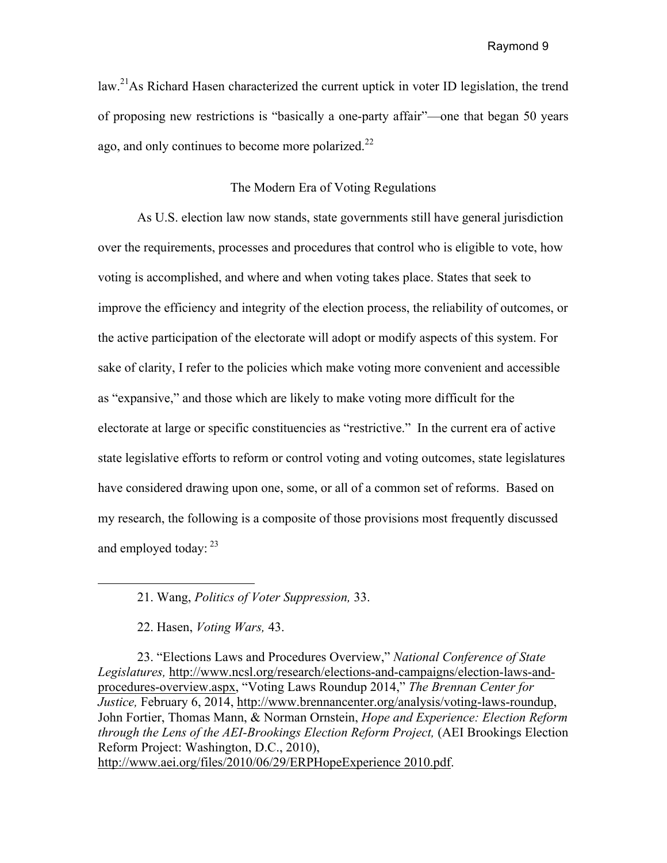law.<sup>21</sup>As Richard Hasen characterized the current uptick in voter ID legislation, the trend of proposing new restrictions is "basically a one-party affair"—one that began 50 years ago, and only continues to become more polarized. $^{22}$ 

## The Modern Era of Voting Regulations

As U.S. election law now stands, state governments still have general jurisdiction over the requirements, processes and procedures that control who is eligible to vote, how voting is accomplished, and where and when voting takes place. States that seek to improve the efficiency and integrity of the election process, the reliability of outcomes, or the active participation of the electorate will adopt or modify aspects of this system. For sake of clarity, I refer to the policies which make voting more convenient and accessible as "expansive," and those which are likely to make voting more difficult for the electorate at large or specific constituencies as "restrictive." In the current era of active state legislative efforts to reform or control voting and voting outcomes, state legislatures have considered drawing upon one, some, or all of a common set of reforms. Based on my research, the following is a composite of those provisions most frequently discussed and employed today: 23

http://www.aei.org/files/2010/06/29/ERPHopeExperience 2010.pdf.

<sup>21.</sup> Wang, *Politics of Voter Suppression,* 33.

<sup>22.</sup> Hasen, *Voting Wars,* 43.

<sup>23. &</sup>quot;Elections Laws and Procedures Overview," *National Conference of State Legislatures,* http://www.ncsl.org/research/elections-and-campaigns/election-laws-andprocedures-overview.aspx, "Voting Laws Roundup 2014," *The Brennan Center for Justice,* February 6, 2014, http://www.brennancenter.org/analysis/voting-laws-roundup, John Fortier, Thomas Mann, & Norman Ornstein, *Hope and Experience: Election Reform through the Lens of the AEI-Brookings Election Reform Project,* (AEI Brookings Election Reform Project: Washington, D.C., 2010),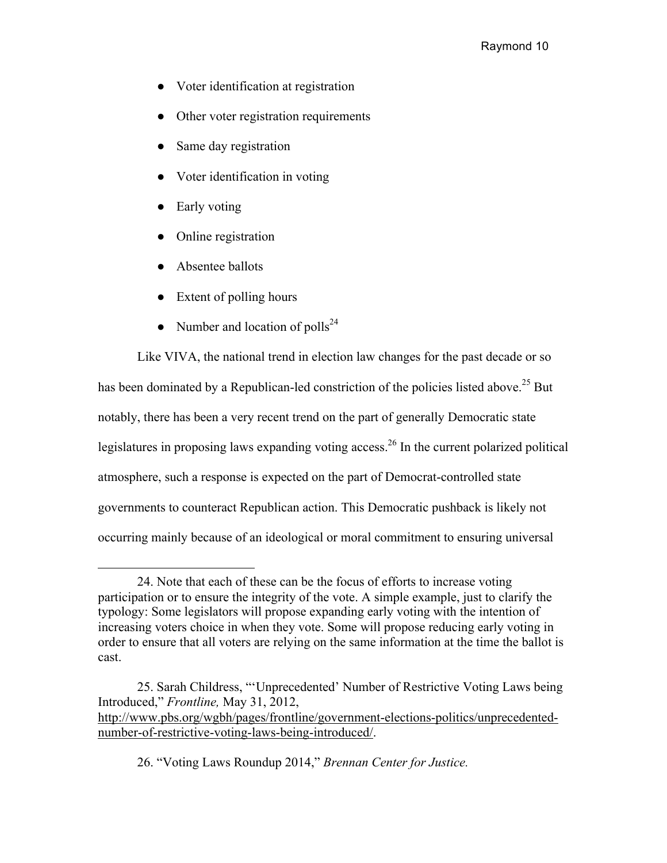- Voter identification at registration
- Other voter registration requirements
- Same day registration
- Voter identification in voting
- Early voting
- Online registration
- Absentee ballots

- Extent of polling hours
- Number and location of polls<sup>24</sup>

Like VIVA, the national trend in election law changes for the past decade or so has been dominated by a Republican-led constriction of the policies listed above.<sup>25</sup> But notably, there has been a very recent trend on the part of generally Democratic state legislatures in proposing laws expanding voting access.<sup>26</sup> In the current polarized political atmosphere, such a response is expected on the part of Democrat-controlled state governments to counteract Republican action. This Democratic pushback is likely not occurring mainly because of an ideological or moral commitment to ensuring universal

<sup>24.</sup> Note that each of these can be the focus of efforts to increase voting participation or to ensure the integrity of the vote. A simple example, just to clarify the typology: Some legislators will propose expanding early voting with the intention of increasing voters choice in when they vote. Some will propose reducing early voting in order to ensure that all voters are relying on the same information at the time the ballot is cast.

<sup>25.</sup> Sarah Childress, "'Unprecedented' Number of Restrictive Voting Laws being Introduced," *Frontline,* May 31, 2012, http://www.pbs.org/wgbh/pages/frontline/government-elections-politics/unprecedentednumber-of-restrictive-voting-laws-being-introduced/.

<sup>26. &</sup>quot;Voting Laws Roundup 2014," *Brennan Center for Justice.*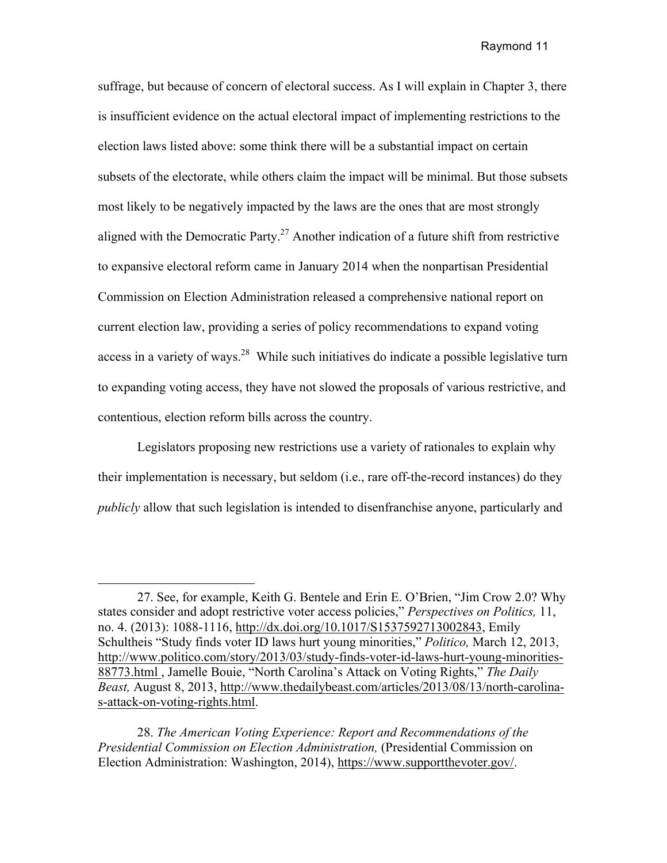suffrage, but because of concern of electoral success. As I will explain in Chapter 3, there is insufficient evidence on the actual electoral impact of implementing restrictions to the election laws listed above: some think there will be a substantial impact on certain subsets of the electorate, while others claim the impact will be minimal. But those subsets most likely to be negatively impacted by the laws are the ones that are most strongly aligned with the Democratic Party.<sup>27</sup> Another indication of a future shift from restrictive to expansive electoral reform came in January 2014 when the nonpartisan Presidential Commission on Election Administration released a comprehensive national report on current election law, providing a series of policy recommendations to expand voting access in a variety of ways.<sup>28</sup> While such initiatives do indicate a possible legislative turn to expanding voting access, they have not slowed the proposals of various restrictive, and contentious, election reform bills across the country.

Legislators proposing new restrictions use a variety of rationales to explain why their implementation is necessary, but seldom (i.e., rare off-the-record instances) do they *publicly* allow that such legislation is intended to disenfranchise anyone, particularly and

<sup>27.</sup> See, for example, Keith G. Bentele and Erin E. O'Brien, "Jim Crow 2.0? Why states consider and adopt restrictive voter access policies," *Perspectives on Politics,* 11, no. 4. (2013): 1088-1116, http://dx.doi.org/10.1017/S1537592713002843, Emily Schultheis "Study finds voter ID laws hurt young minorities," *Politico,* March 12, 2013, http://www.politico.com/story/2013/03/study-finds-voter-id-laws-hurt-young-minorities-88773.html , Jamelle Bouie, "North Carolina's Attack on Voting Rights," *The Daily Beast,* August 8, 2013, http://www.thedailybeast.com/articles/2013/08/13/north-carolinas-attack-on-voting-rights.html.

<sup>28.</sup> *The American Voting Experience: Report and Recommendations of the Presidential Commission on Election Administration,* (Presidential Commission on Election Administration: Washington, 2014), https://www.supportthevoter.gov/.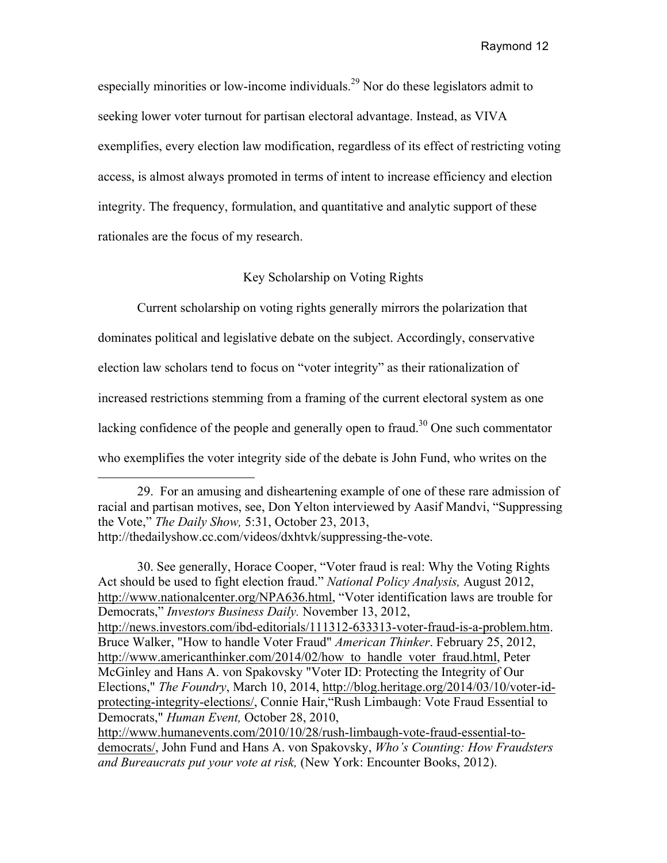especially minorities or low-income individuals.<sup>29</sup> Nor do these legislators admit to seeking lower voter turnout for partisan electoral advantage. Instead, as VIVA exemplifies, every election law modification, regardless of its effect of restricting voting access, is almost always promoted in terms of intent to increase efficiency and election integrity. The frequency, formulation, and quantitative and analytic support of these rationales are the focus of my research.

## Key Scholarship on Voting Rights

Current scholarship on voting rights generally mirrors the polarization that dominates political and legislative debate on the subject. Accordingly, conservative election law scholars tend to focus on "voter integrity" as their rationalization of increased restrictions stemming from a framing of the current electoral system as one lacking confidence of the people and generally open to fraud.<sup>30</sup> One such commentator who exemplifies the voter integrity side of the debate is John Fund, who writes on the

30. See generally, Horace Cooper, "Voter fraud is real: Why the Voting Rights Act should be used to fight election fraud." *National Policy Analysis,* August 2012, http://www.nationalcenter.org/NPA636.html, "Voter identification laws are trouble for Democrats," *Investors Business Daily.* November 13, 2012, http://news.investors.com/ibd-editorials/111312-633313-voter-fraud-is-a-problem.htm. Bruce Walker, "How to handle Voter Fraud" *American Thinker*. February 25, 2012, http://www.americanthinker.com/2014/02/how to handle voter fraud.html, Peter McGinley and Hans A. von Spakovsky "Voter ID: Protecting the Integrity of Our Elections," *The Foundry*, March 10, 2014, http://blog.heritage.org/2014/03/10/voter-idprotecting-integrity-elections/, Connie Hair,"Rush Limbaugh: Vote Fraud Essential to Democrats," *Human Event,* October 28, 2010, http://www.humanevents.com/2010/10/28/rush-limbaugh-vote-fraud-essential-todemocrats/, John Fund and Hans A. von Spakovsky, *Who's Counting: How Fraudsters and Bureaucrats put your vote at risk,* (New York: Encounter Books, 2012).

<sup>29.</sup> For an amusing and disheartening example of one of these rare admission of racial and partisan motives, see, Don Yelton interviewed by Aasif Mandvi, "Suppressing the Vote," *The Daily Show,* 5:31, October 23, 2013, http://thedailyshow.cc.com/videos/dxhtvk/suppressing-the-vote.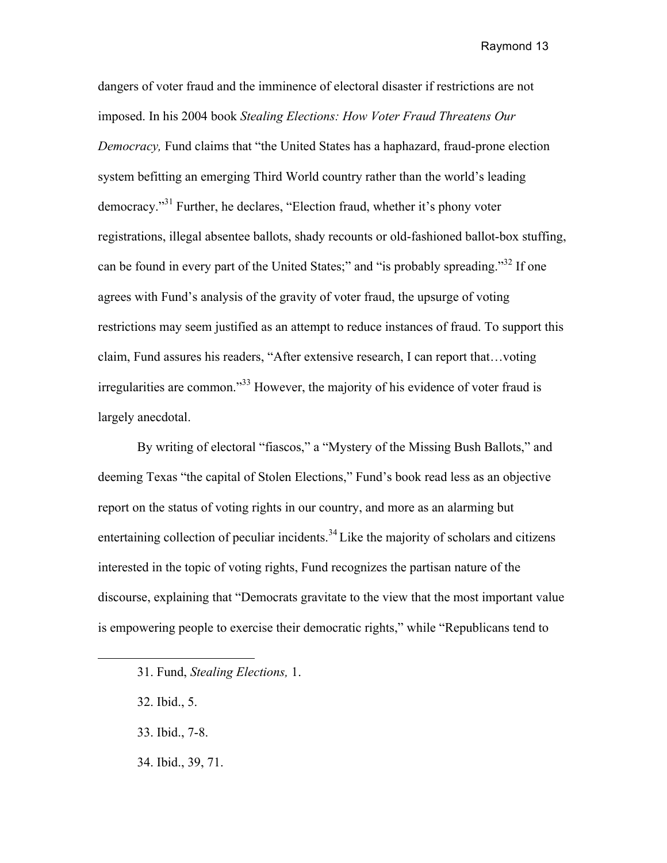dangers of voter fraud and the imminence of electoral disaster if restrictions are not imposed. In his 2004 book *Stealing Elections: How Voter Fraud Threatens Our Democracy,* Fund claims that "the United States has a haphazard, fraud-prone election system befitting an emerging Third World country rather than the world's leading democracy."31 Further, he declares, "Election fraud, whether it's phony voter registrations, illegal absentee ballots, shady recounts or old-fashioned ballot-box stuffing, can be found in every part of the United States;" and "is probably spreading."<sup>32</sup> If one agrees with Fund's analysis of the gravity of voter fraud, the upsurge of voting restrictions may seem justified as an attempt to reduce instances of fraud. To support this claim, Fund assures his readers, "After extensive research, I can report that…voting irregularities are common."33 However, the majority of his evidence of voter fraud is largely anecdotal.

 By writing of electoral "fiascos," a "Mystery of the Missing Bush Ballots," and deeming Texas "the capital of Stolen Elections," Fund's book read less as an objective report on the status of voting rights in our country, and more as an alarming but entertaining collection of peculiar incidents.<sup>34</sup> Like the majority of scholars and citizens interested in the topic of voting rights, Fund recognizes the partisan nature of the discourse, explaining that "Democrats gravitate to the view that the most important value is empowering people to exercise their democratic rights," while "Republicans tend to

- 31. Fund, *Stealing Elections,* 1.
- 32. Ibid., 5.

- 33. Ibid., 7-8.
- 34. Ibid., 39, 71.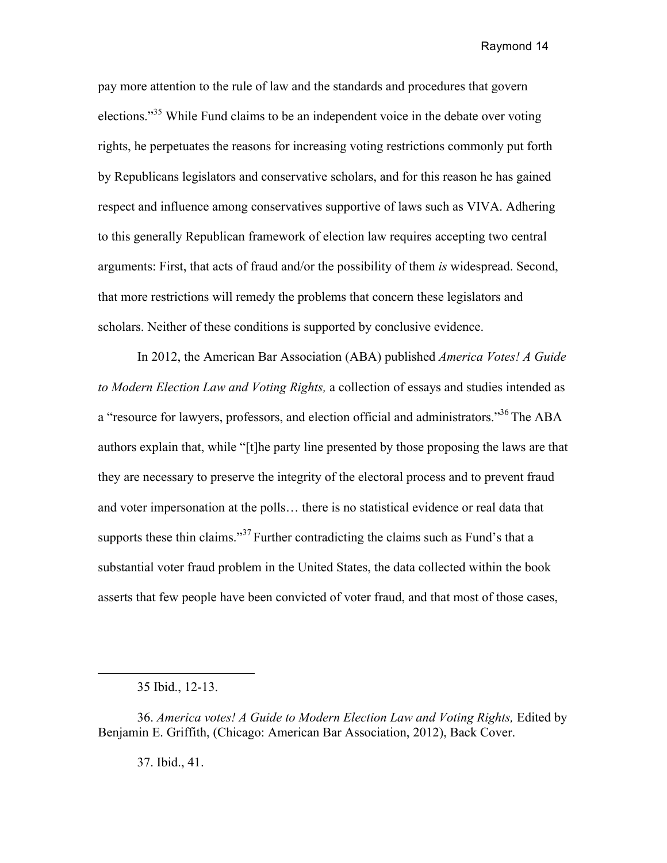pay more attention to the rule of law and the standards and procedures that govern elections."<sup>35</sup> While Fund claims to be an independent voice in the debate over voting rights, he perpetuates the reasons for increasing voting restrictions commonly put forth by Republicans legislators and conservative scholars, and for this reason he has gained respect and influence among conservatives supportive of laws such as VIVA. Adhering to this generally Republican framework of election law requires accepting two central arguments: First, that acts of fraud and/or the possibility of them *is* widespread. Second, that more restrictions will remedy the problems that concern these legislators and scholars. Neither of these conditions is supported by conclusive evidence.

In 2012, the American Bar Association (ABA) published *America Votes! A Guide to Modern Election Law and Voting Rights,* a collection of essays and studies intended as a "resource for lawyers, professors, and election official and administrators."<sup>36</sup> The ABA authors explain that, while "[t]he party line presented by those proposing the laws are that they are necessary to preserve the integrity of the electoral process and to prevent fraud and voter impersonation at the polls… there is no statistical evidence or real data that supports these thin claims."<sup>37</sup> Further contradicting the claims such as Fund's that a substantial voter fraud problem in the United States, the data collected within the book asserts that few people have been convicted of voter fraud, and that most of those cases,

37. Ibid., 41.

<sup>35</sup> Ibid., 12-13.

<sup>36.</sup> *America votes! A Guide to Modern Election Law and Voting Rights,* Edited by Benjamin E. Griffith, (Chicago: American Bar Association, 2012), Back Cover.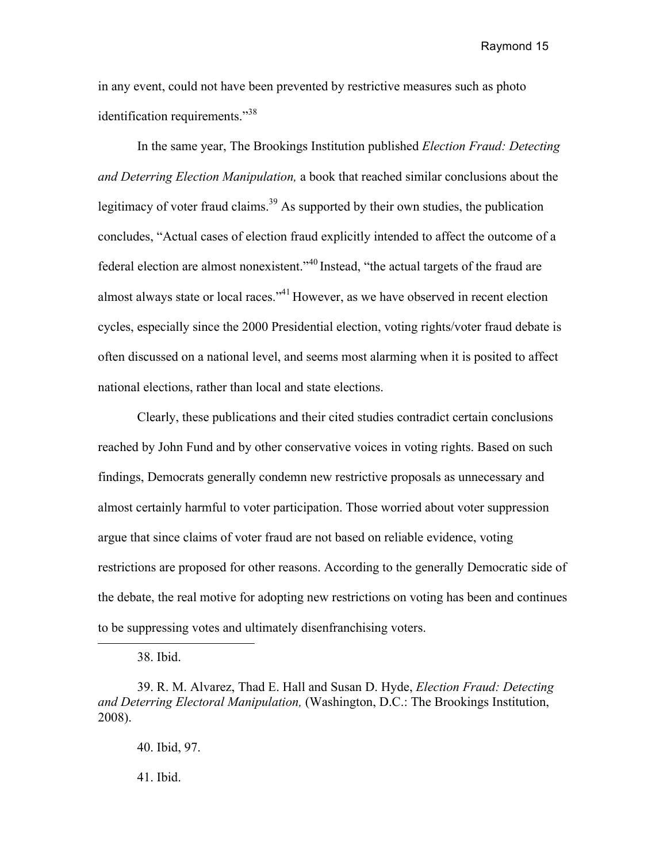in any event, could not have been prevented by restrictive measures such as photo identification requirements."<sup>38</sup>

In the same year, The Brookings Institution published *Election Fraud: Detecting and Deterring Election Manipulation,* a book that reached similar conclusions about the legitimacy of voter fraud claims.<sup>39</sup> As supported by their own studies, the publication concludes, "Actual cases of election fraud explicitly intended to affect the outcome of a federal election are almost nonexistent."<sup>40</sup> Instead, "the actual targets of the fraud are almost always state or local races."<sup>41</sup> However, as we have observed in recent election cycles, especially since the 2000 Presidential election, voting rights/voter fraud debate is often discussed on a national level, and seems most alarming when it is posited to affect national elections, rather than local and state elections.

Clearly, these publications and their cited studies contradict certain conclusions reached by John Fund and by other conservative voices in voting rights. Based on such findings, Democrats generally condemn new restrictive proposals as unnecessary and almost certainly harmful to voter participation. Those worried about voter suppression argue that since claims of voter fraud are not based on reliable evidence, voting restrictions are proposed for other reasons. According to the generally Democratic side of the debate, the real motive for adopting new restrictions on voting has been and continues to be suppressing votes and ultimately disenfranchising voters.

38. Ibid.

39. R. M. Alvarez, Thad E. Hall and Susan D. Hyde, *Election Fraud: Detecting and Deterring Electoral Manipulation,* (Washington, D.C.: The Brookings Institution, 2008).

40. Ibid, 97.

41. Ibid.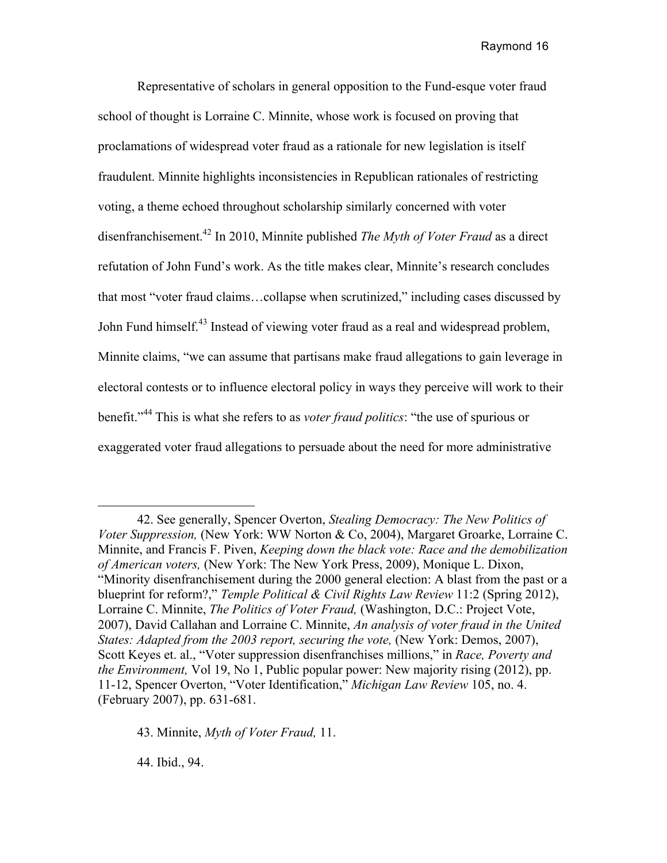Representative of scholars in general opposition to the Fund-esque voter fraud school of thought is Lorraine C. Minnite, whose work is focused on proving that proclamations of widespread voter fraud as a rationale for new legislation is itself fraudulent. Minnite highlights inconsistencies in Republican rationales of restricting voting, a theme echoed throughout scholarship similarly concerned with voter disenfranchisement.42 In 2010, Minnite published *The Myth of Voter Fraud* as a direct refutation of John Fund's work. As the title makes clear, Minnite's research concludes that most "voter fraud claims…collapse when scrutinized," including cases discussed by John Fund himself.<sup>43</sup> Instead of viewing voter fraud as a real and widespread problem, Minnite claims, "we can assume that partisans make fraud allegations to gain leverage in electoral contests or to influence electoral policy in ways they perceive will work to their benefit."<sup>44</sup> This is what she refers to as *voter fraud politics*: "the use of spurious or exaggerated voter fraud allegations to persuade about the need for more administrative

43. Minnite, *Myth of Voter Fraud,* 11.

44. Ibid., 94.

 $\overline{a}$ 

<sup>42.</sup> See generally, Spencer Overton, *Stealing Democracy: The New Politics of Voter Suppression,* (New York: WW Norton & Co, 2004), Margaret Groarke, Lorraine C. Minnite, and Francis F. Piven, *Keeping down the black vote: Race and the demobilization of American voters,* (New York: The New York Press, 2009), Monique L. Dixon, "Minority disenfranchisement during the 2000 general election: A blast from the past or a blueprint for reform?," *Temple Political & Civil Rights Law Review* 11:2 (Spring 2012), Lorraine C. Minnite, *The Politics of Voter Fraud,* (Washington, D.C.: Project Vote, 2007), David Callahan and Lorraine C. Minnite, *An analysis of voter fraud in the United States: Adapted from the 2003 report, securing the vote, (New York: Demos, 2007),* Scott Keyes et. al., "Voter suppression disenfranchises millions," in *Race, Poverty and the Environment,* Vol 19, No 1, Public popular power: New majority rising (2012), pp. 11-12, Spencer Overton, "Voter Identification," *Michigan Law Review* 105, no. 4. (February 2007), pp. 631-681.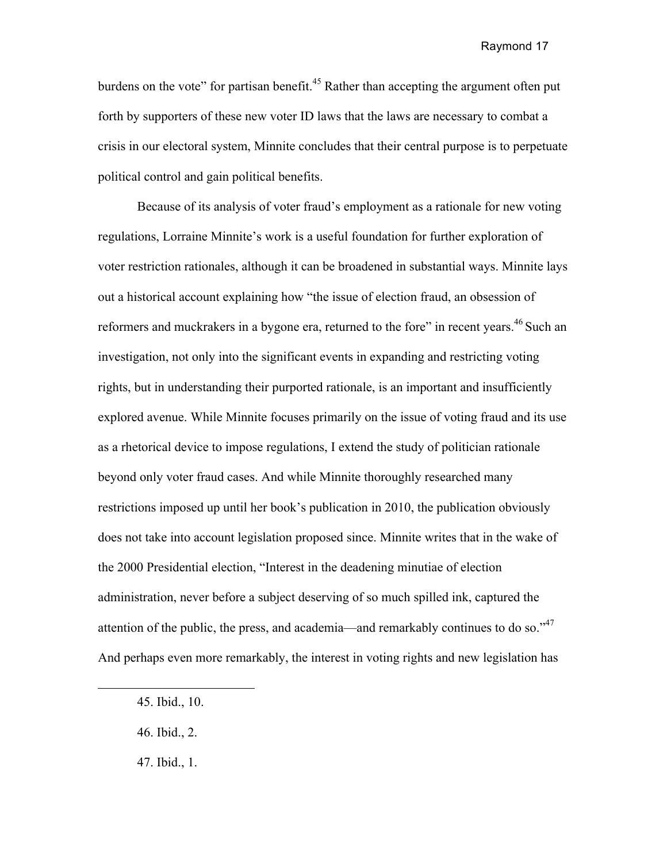burdens on the vote" for partisan benefit.<sup>45</sup> Rather than accepting the argument often put forth by supporters of these new voter ID laws that the laws are necessary to combat a crisis in our electoral system, Minnite concludes that their central purpose is to perpetuate political control and gain political benefits.

Because of its analysis of voter fraud's employment as a rationale for new voting regulations, Lorraine Minnite's work is a useful foundation for further exploration of voter restriction rationales, although it can be broadened in substantial ways. Minnite lays out a historical account explaining how "the issue of election fraud, an obsession of reformers and muckrakers in a bygone era, returned to the fore" in recent years.<sup>46</sup> Such an investigation, not only into the significant events in expanding and restricting voting rights, but in understanding their purported rationale, is an important and insufficiently explored avenue. While Minnite focuses primarily on the issue of voting fraud and its use as a rhetorical device to impose regulations, I extend the study of politician rationale beyond only voter fraud cases. And while Minnite thoroughly researched many restrictions imposed up until her book's publication in 2010, the publication obviously does not take into account legislation proposed since. Minnite writes that in the wake of the 2000 Presidential election, "Interest in the deadening minutiae of election administration, never before a subject deserving of so much spilled ink, captured the attention of the public, the press, and academia—and remarkably continues to do so."<sup>47</sup> And perhaps even more remarkably, the interest in voting rights and new legislation has

<sup>45.</sup> Ibid., 10.

<sup>46.</sup> Ibid., 2.

<sup>47.</sup> Ibid., 1.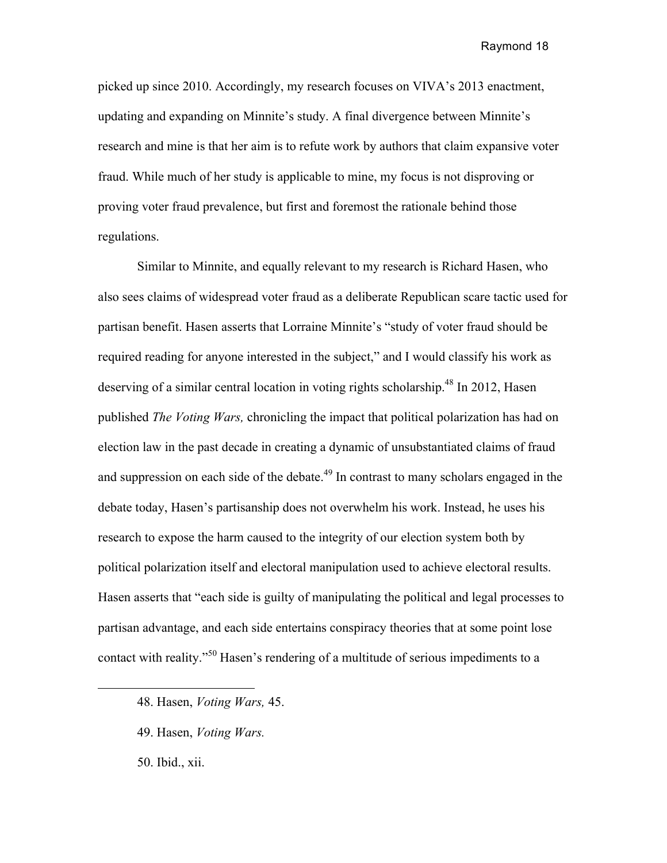picked up since 2010. Accordingly, my research focuses on VIVA's 2013 enactment, updating and expanding on Minnite's study. A final divergence between Minnite's research and mine is that her aim is to refute work by authors that claim expansive voter fraud. While much of her study is applicable to mine, my focus is not disproving or proving voter fraud prevalence, but first and foremost the rationale behind those regulations.

Similar to Minnite, and equally relevant to my research is Richard Hasen, who also sees claims of widespread voter fraud as a deliberate Republican scare tactic used for partisan benefit. Hasen asserts that Lorraine Minnite's "study of voter fraud should be required reading for anyone interested in the subject," and I would classify his work as deserving of a similar central location in voting rights scholarship.<sup>48</sup> In 2012, Hasen published *The Voting Wars,* chronicling the impact that political polarization has had on election law in the past decade in creating a dynamic of unsubstantiated claims of fraud and suppression on each side of the debate.<sup> $49$ </sup> In contrast to many scholars engaged in the debate today, Hasen's partisanship does not overwhelm his work. Instead, he uses his research to expose the harm caused to the integrity of our election system both by political polarization itself and electoral manipulation used to achieve electoral results. Hasen asserts that "each side is guilty of manipulating the political and legal processes to partisan advantage, and each side entertains conspiracy theories that at some point lose contact with reality."<sup>50</sup> Hasen's rendering of a multitude of serious impediments to a

- 49. Hasen, *Voting Wars.*
- 50. Ibid., xii.

<sup>48.</sup> Hasen, *Voting Wars,* 45.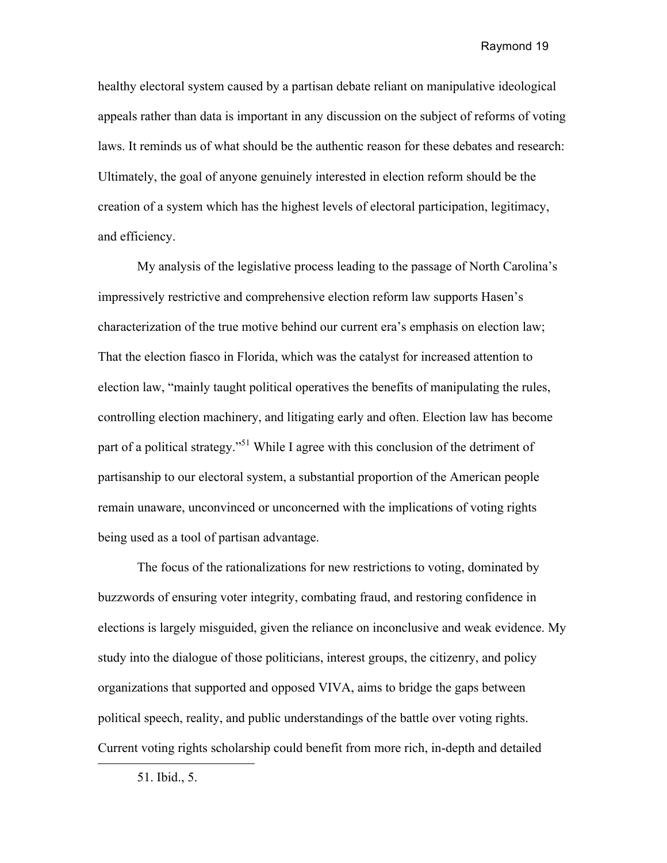healthy electoral system caused by a partisan debate reliant on manipulative ideological appeals rather than data is important in any discussion on the subject of reforms of voting laws. It reminds us of what should be the authentic reason for these debates and research: Ultimately, the goal of anyone genuinely interested in election reform should be the creation of a system which has the highest levels of electoral participation, legitimacy, and efficiency.

My analysis of the legislative process leading to the passage of North Carolina's impressively restrictive and comprehensive election reform law supports Hasen's characterization of the true motive behind our current era's emphasis on election law; That the election fiasco in Florida, which was the catalyst for increased attention to election law, "mainly taught political operatives the benefits of manipulating the rules, controlling election machinery, and litigating early and often. Election law has become part of a political strategy."<sup>51</sup> While I agree with this conclusion of the detriment of partisanship to our electoral system, a substantial proportion of the American people remain unaware, unconvinced or unconcerned with the implications of voting rights being used as a tool of partisan advantage.

The focus of the rationalizations for new restrictions to voting, dominated by buzzwords of ensuring voter integrity, combating fraud, and restoring confidence in elections is largely misguided, given the reliance on inconclusive and weak evidence. My study into the dialogue of those politicians, interest groups, the citizenry, and policy organizations that supported and opposed VIVA, aims to bridge the gaps between political speech, reality, and public understandings of the battle over voting rights. Current voting rights scholarship could benefit from more rich, in-depth and detailed

 $\overline{a}$ 

<sup>51.</sup> Ibid., 5.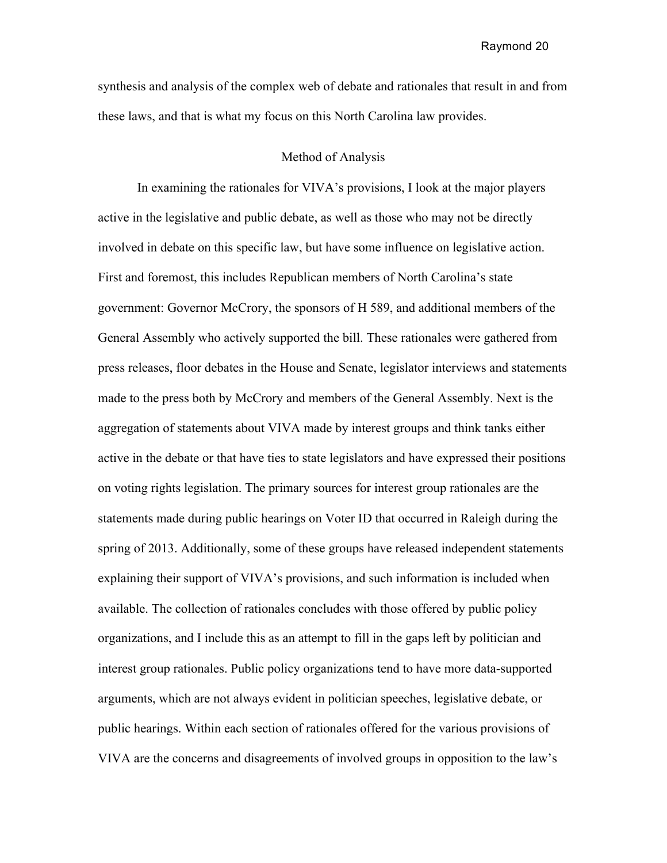synthesis and analysis of the complex web of debate and rationales that result in and from these laws, and that is what my focus on this North Carolina law provides.

#### Method of Analysis

In examining the rationales for VIVA's provisions, I look at the major players active in the legislative and public debate, as well as those who may not be directly involved in debate on this specific law, but have some influence on legislative action. First and foremost, this includes Republican members of North Carolina's state government: Governor McCrory, the sponsors of H 589, and additional members of the General Assembly who actively supported the bill. These rationales were gathered from press releases, floor debates in the House and Senate, legislator interviews and statements made to the press both by McCrory and members of the General Assembly. Next is the aggregation of statements about VIVA made by interest groups and think tanks either active in the debate or that have ties to state legislators and have expressed their positions on voting rights legislation. The primary sources for interest group rationales are the statements made during public hearings on Voter ID that occurred in Raleigh during the spring of 2013. Additionally, some of these groups have released independent statements explaining their support of VIVA's provisions, and such information is included when available. The collection of rationales concludes with those offered by public policy organizations, and I include this as an attempt to fill in the gaps left by politician and interest group rationales. Public policy organizations tend to have more data-supported arguments, which are not always evident in politician speeches, legislative debate, or public hearings. Within each section of rationales offered for the various provisions of VIVA are the concerns and disagreements of involved groups in opposition to the law's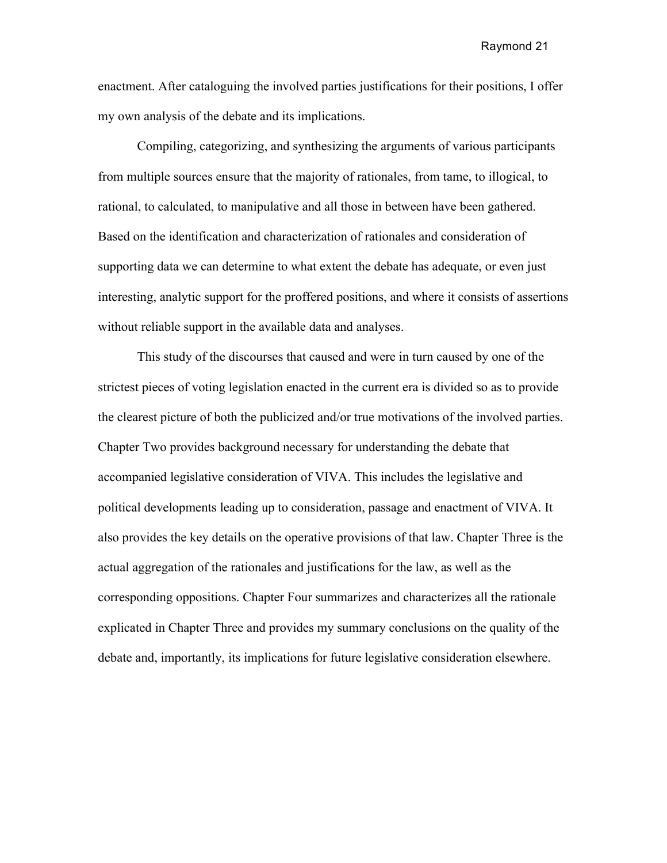enactment. After cataloguing the involved parties justifications for their positions, I offer my own analysis of the debate and its implications.

Compiling, categorizing, and synthesizing the arguments of various participants from multiple sources ensure that the majority of rationales, from tame, to illogical, to rational, to calculated, to manipulative and all those in between have been gathered. Based on the identification and characterization of rationales and consideration of supporting data we can determine to what extent the debate has adequate, or even just interesting, analytic support for the proffered positions, and where it consists of assertions without reliable support in the available data and analyses.

This study of the discourses that caused and were in turn caused by one of the strictest pieces of voting legislation enacted in the current era is divided so as to provide the clearest picture of both the publicized and/or true motivations of the involved parties. Chapter Two provides background necessary for understanding the debate that accompanied legislative consideration of VIVA. This includes the legislative and political developments leading up to consideration, passage and enactment of VIVA. It also provides the key details on the operative provisions of that law. Chapter Three is the actual aggregation of the rationales and justifications for the law, as well as the corresponding oppositions. Chapter Four summarizes and characterizes all the rationale explicated in Chapter Three and provides my summary conclusions on the quality of the debate and, importantly, its implications for future legislative consideration elsewhere.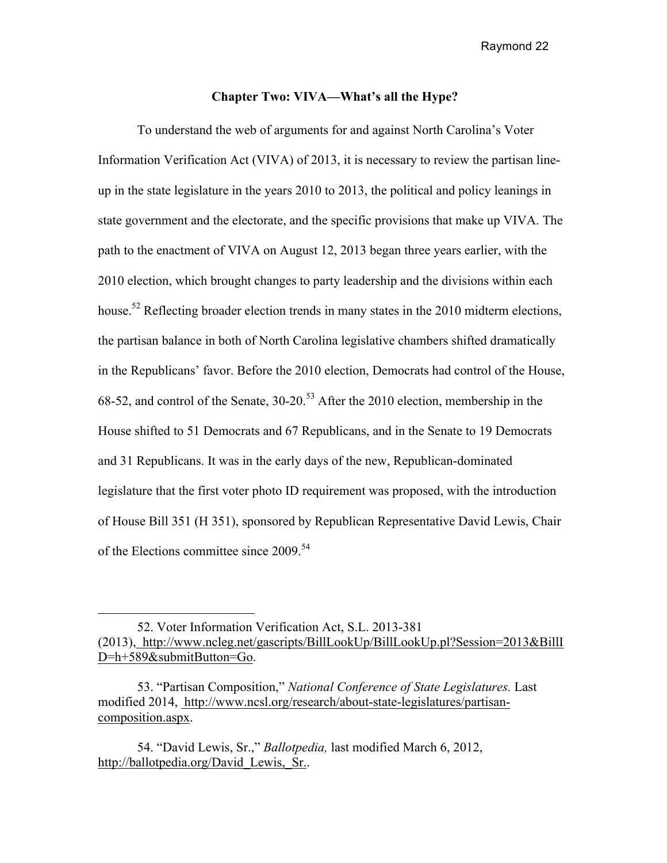#### **Chapter Two: VIVA—What's all the Hype?**

To understand the web of arguments for and against North Carolina's Voter Information Verification Act (VIVA) of 2013, it is necessary to review the partisan lineup in the state legislature in the years 2010 to 2013, the political and policy leanings in state government and the electorate, and the specific provisions that make up VIVA. The path to the enactment of VIVA on August 12, 2013 began three years earlier, with the 2010 election, which brought changes to party leadership and the divisions within each house.<sup>52</sup> Reflecting broader election trends in many states in the 2010 midterm elections, the partisan balance in both of North Carolina legislative chambers shifted dramatically in the Republicans' favor. Before the 2010 election, Democrats had control of the House, 68-52, and control of the Senate, 30-20.<sup>53</sup> After the 2010 election, membership in the House shifted to 51 Democrats and 67 Republicans, and in the Senate to 19 Democrats and 31 Republicans. It was in the early days of the new, Republican-dominated legislature that the first voter photo ID requirement was proposed, with the introduction of House Bill 351 (H 351), sponsored by Republican Representative David Lewis, Chair of the Elections committee since 2009.<sup>54</sup>

53. "Partisan Composition," *National Conference of State Legislatures.* Last modified 2014, http://www.ncsl.org/research/about-state-legislatures/partisancomposition.aspx.

54. "David Lewis, Sr.," *Ballotpedia,* last modified March 6, 2012, http://ballotpedia.org/David\_Lewis,\_Sr..

 $\overline{a}$ 

<sup>52.</sup> Voter Information Verification Act, S.L. 2013-381 (2013), http://www.ncleg.net/gascripts/BillLookUp/BillLookUp.pl?Session=2013&BillI D=h+589&submitButton=Go.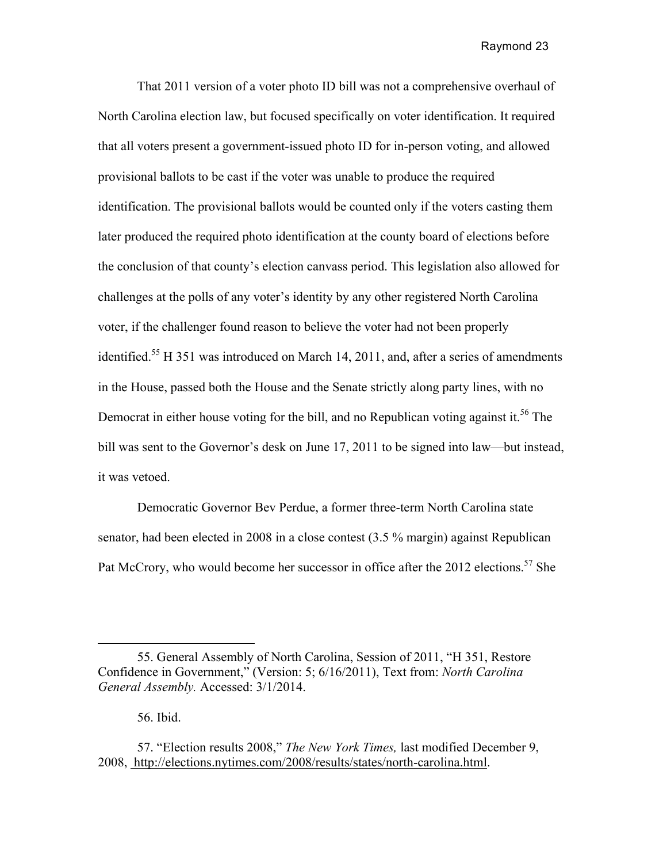That 2011 version of a voter photo ID bill was not a comprehensive overhaul of North Carolina election law, but focused specifically on voter identification. It required that all voters present a government-issued photo ID for in-person voting, and allowed provisional ballots to be cast if the voter was unable to produce the required identification. The provisional ballots would be counted only if the voters casting them later produced the required photo identification at the county board of elections before the conclusion of that county's election canvass period. This legislation also allowed for challenges at the polls of any voter's identity by any other registered North Carolina voter, if the challenger found reason to believe the voter had not been properly identified.<sup>55</sup> H 351 was introduced on March 14, 2011, and, after a series of amendments in the House, passed both the House and the Senate strictly along party lines, with no Democrat in either house voting for the bill, and no Republican voting against it.<sup>56</sup> The bill was sent to the Governor's desk on June 17, 2011 to be signed into law—but instead, it was vetoed.

Democratic Governor Bev Perdue, a former three-term North Carolina state senator, had been elected in 2008 in a close contest (3.5 % margin) against Republican Pat McCrory, who would become her successor in office after the 2012 elections.<sup>57</sup> She

<sup>55.</sup> General Assembly of North Carolina, Session of 2011, "H 351, Restore Confidence in Government," (Version: 5; 6/16/2011), Text from: *North Carolina General Assembly.* Accessed: 3/1/2014.

<sup>56.</sup> Ibid.

<sup>57. &</sup>quot;Election results 2008," *The New York Times,* last modified December 9, 2008, http://elections.nytimes.com/2008/results/states/north-carolina.html.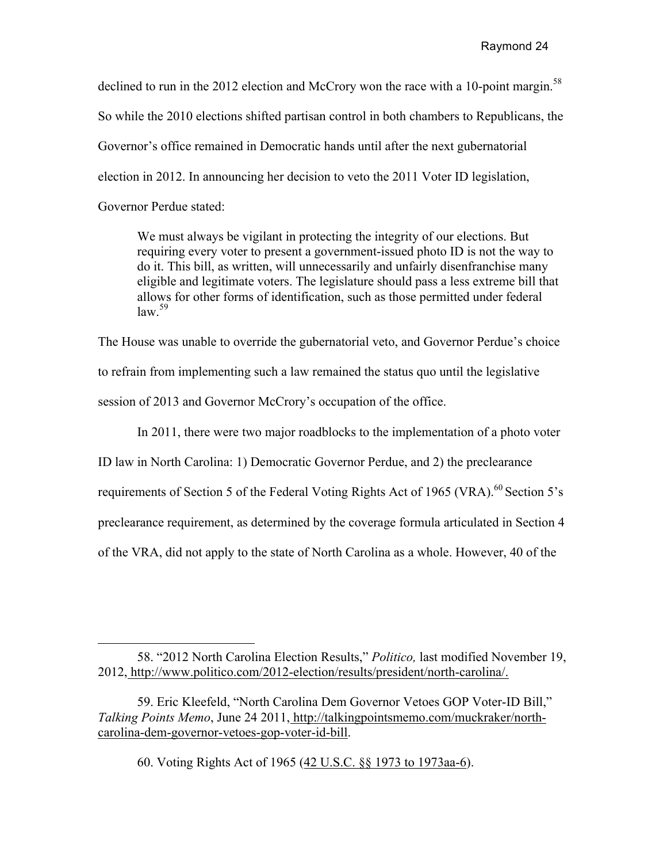declined to run in the 2012 election and McCrory won the race with a 10-point margin.<sup>58</sup> So while the 2010 elections shifted partisan control in both chambers to Republicans, the Governor's office remained in Democratic hands until after the next gubernatorial election in 2012. In announcing her decision to veto the 2011 Voter ID legislation, Governor Perdue stated:

We must always be vigilant in protecting the integrity of our elections. But requiring every voter to present a government-issued photo ID is not the way to do it. This bill, as written, will unnecessarily and unfairly disenfranchise many eligible and legitimate voters. The legislature should pass a less extreme bill that allows for other forms of identification, such as those permitted under federal  $\frac{1}{2}$ law<sup>59</sup>

The House was unable to override the gubernatorial veto, and Governor Perdue's choice to refrain from implementing such a law remained the status quo until the legislative session of 2013 and Governor McCrory's occupation of the office.

In 2011, there were two major roadblocks to the implementation of a photo voter

ID law in North Carolina: 1) Democratic Governor Perdue, and 2) the preclearance

requirements of Section 5 of the Federal Voting Rights Act of 1965 (VRA).<sup>60</sup> Section 5's

preclearance requirement, as determined by the coverage formula articulated in Section 4

of the VRA, did not apply to the state of North Carolina as a whole. However, 40 of the

60. Voting Rights Act of 1965 (42 U.S.C. §§ 1973 to 1973aa-6).

 58. "2012 North Carolina Election Results," *Politico,* last modified November 19, 2012, http://www.politico.com/2012-election/results/president/north-carolina/.

<sup>59.</sup> Eric Kleefeld, "North Carolina Dem Governor Vetoes GOP Voter-ID Bill," *Talking Points Memo*, June 24 2011, http://talkingpointsmemo.com/muckraker/northcarolina-dem-governor-vetoes-gop-voter-id-bill.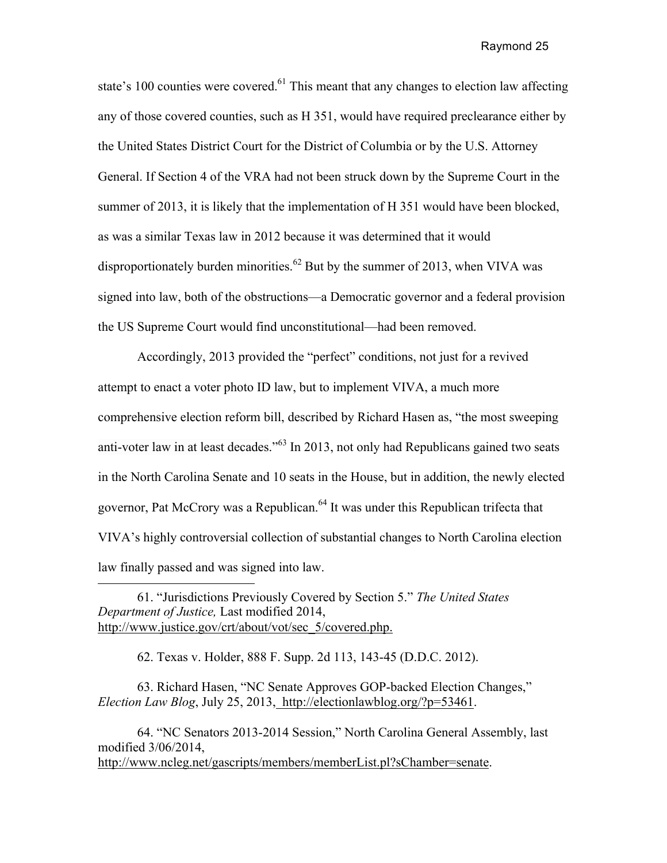state's 100 counties were covered.<sup>61</sup> This meant that any changes to election law affecting any of those covered counties, such as H 351, would have required preclearance either by the United States District Court for the District of Columbia or by the U.S. Attorney General. If Section 4 of the VRA had not been struck down by the Supreme Court in the summer of 2013, it is likely that the implementation of H 351 would have been blocked, as was a similar Texas law in 2012 because it was determined that it would disproportionately burden minorities.<sup>62</sup> But by the summer of 2013, when VIVA was signed into law, both of the obstructions—a Democratic governor and a federal provision the US Supreme Court would find unconstitutional—had been removed.

Accordingly, 2013 provided the "perfect" conditions, not just for a revived attempt to enact a voter photo ID law, but to implement VIVA, a much more comprehensive election reform bill, described by Richard Hasen as, "the most sweeping anti-voter law in at least decades."<sup>63</sup> In 2013, not only had Republicans gained two seats in the North Carolina Senate and 10 seats in the House, but in addition, the newly elected governor, Pat McCrory was a Republican.<sup>64</sup> It was under this Republican trifecta that VIVA's highly controversial collection of substantial changes to North Carolina election law finally passed and was signed into law.

62. Texas v. Holder, 888 F. Supp. 2d 113, 143-45 (D.D.C. 2012).

63. Richard Hasen, "NC Senate Approves GOP-backed Election Changes," *Election Law Blog*, July 25, 2013, http://electionlawblog.org/?p=53461.

64. "NC Senators 2013-2014 Session," North Carolina General Assembly, last modified 3/06/2014, http://www.ncleg.net/gascripts/members/memberList.pl?sChamber=senate.

<sup>61. &</sup>quot;Jurisdictions Previously Covered by Section 5." *The United States Department of Justice,* Last modified 2014, http://www.justice.gov/crt/about/vot/sec\_5/covered.php.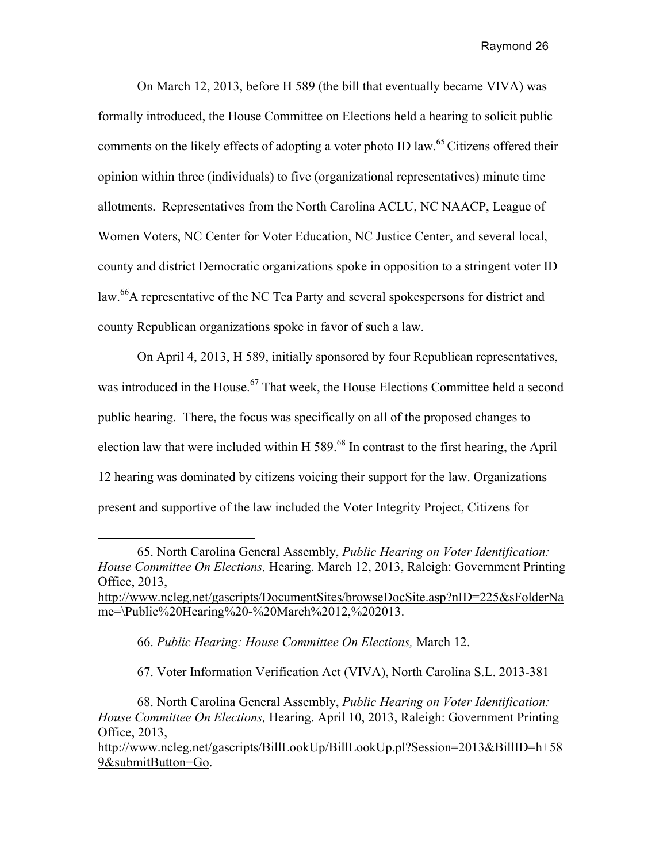On March 12, 2013, before H 589 (the bill that eventually became VIVA) was formally introduced, the House Committee on Elections held a hearing to solicit public comments on the likely effects of adopting a voter photo ID law.<sup>65</sup> Citizens offered their opinion within three (individuals) to five (organizational representatives) minute time allotments. Representatives from the North Carolina ACLU, NC NAACP, League of Women Voters, NC Center for Voter Education, NC Justice Center, and several local, county and district Democratic organizations spoke in opposition to a stringent voter ID law.<sup>66</sup>A representative of the NC Tea Party and several spokespersons for district and county Republican organizations spoke in favor of such a law.

On April 4, 2013, H 589, initially sponsored by four Republican representatives, was introduced in the House.<sup>67</sup> That week, the House Elections Committee held a second public hearing. There, the focus was specifically on all of the proposed changes to election law that were included within H  $589<sup>68</sup>$  In contrast to the first hearing, the April 12 hearing was dominated by citizens voicing their support for the law. Organizations present and supportive of the law included the Voter Integrity Project, Citizens for

66. *Public Hearing: House Committee On Elections,* March 12.

67. Voter Information Verification Act (VIVA), North Carolina S.L. 2013-381

68. North Carolina General Assembly, *Public Hearing on Voter Identification: House Committee On Elections,* Hearing. April 10, 2013, Raleigh: Government Printing Office, 2013,

http://www.ncleg.net/gascripts/BillLookUp/BillLookUp.pl?Session=2013&BillID=h+58 9&submitButton=Go.

<sup>65.</sup> North Carolina General Assembly, *Public Hearing on Voter Identification: House Committee On Elections,* Hearing. March 12, 2013, Raleigh: Government Printing Office, 2013, http://www.ncleg.net/gascripts/DocumentSites/browseDocSite.asp?nID=225&sFolderNa me=\Public%20Hearing%20-%20March%2012,%202013.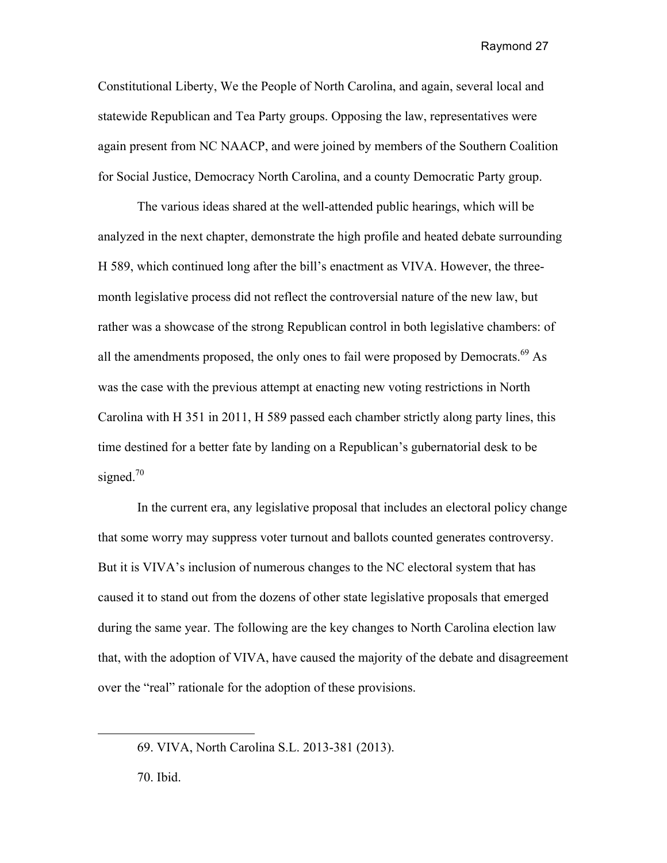Constitutional Liberty, We the People of North Carolina, and again, several local and statewide Republican and Tea Party groups. Opposing the law, representatives were again present from NC NAACP, and were joined by members of the Southern Coalition for Social Justice, Democracy North Carolina, and a county Democratic Party group.

The various ideas shared at the well-attended public hearings, which will be analyzed in the next chapter, demonstrate the high profile and heated debate surrounding H 589, which continued long after the bill's enactment as VIVA. However, the threemonth legislative process did not reflect the controversial nature of the new law, but rather was a showcase of the strong Republican control in both legislative chambers: of all the amendments proposed, the only ones to fail were proposed by Democrats.<sup>69</sup> As was the case with the previous attempt at enacting new voting restrictions in North Carolina with H 351 in 2011, H 589 passed each chamber strictly along party lines, this time destined for a better fate by landing on a Republican's gubernatorial desk to be signed. $70$ 

In the current era, any legislative proposal that includes an electoral policy change that some worry may suppress voter turnout and ballots counted generates controversy. But it is VIVA's inclusion of numerous changes to the NC electoral system that has caused it to stand out from the dozens of other state legislative proposals that emerged during the same year. The following are the key changes to North Carolina election law that, with the adoption of VIVA, have caused the majority of the debate and disagreement over the "real" rationale for the adoption of these provisions.

<sup>69.</sup> VIVA, North Carolina S.L. 2013-381 (2013).

<sup>70.</sup> Ibid.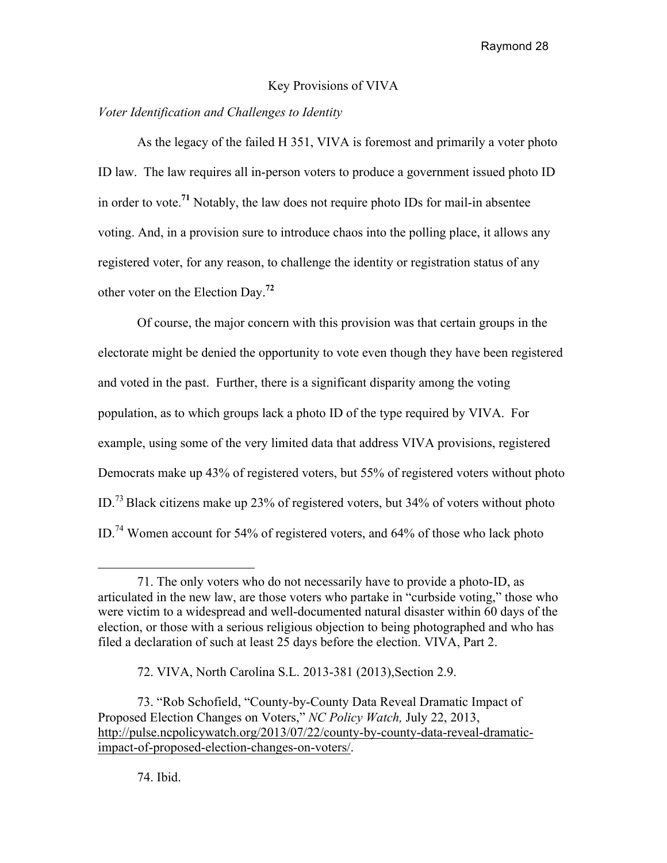## Key Provisions of VIVA

## *Voter Identification and Challenges to Identity*

As the legacy of the failed H 351, VIVA is foremost and primarily a voter photo ID law. The law requires all in-person voters to produce a government issued photo ID in order to vote.**<sup>71</sup>** Notably, the law does not require photo IDs for mail-in absentee voting. And, in a provision sure to introduce chaos into the polling place, it allows any registered voter, for any reason, to challenge the identity or registration status of any other voter on the Election Day.**<sup>72</sup>**

Of course, the major concern with this provision was that certain groups in the electorate might be denied the opportunity to vote even though they have been registered and voted in the past. Further, there is a significant disparity among the voting population, as to which groups lack a photo ID of the type required by VIVA. For example, using some of the very limited data that address VIVA provisions, registered Democrats make up 43% of registered voters, but 55% of registered voters without photo ID.73 Black citizens make up 23% of registered voters, but 34% of voters without photo ID.74 Women account for 54% of registered voters, and 64% of those who lack photo

<sup>71.</sup> The only voters who do not necessarily have to provide a photo-ID, as articulated in the new law, are those voters who partake in "curbside voting," those who were victim to a widespread and well-documented natural disaster within 60 days of the election, or those with a serious religious objection to being photographed and who has filed a declaration of such at least 25 days before the election. VIVA, Part 2.

<sup>72.</sup> VIVA, North Carolina S.L. 2013-381 (2013),Section 2.9.

<sup>73. &</sup>quot;Rob Schofield, "County-by-County Data Reveal Dramatic Impact of Proposed Election Changes on Voters," *NC Policy Watch,* July 22, 2013, http://pulse.ncpolicywatch.org/2013/07/22/county-by-county-data-reveal-dramaticimpact-of-proposed-election-changes-on-voters/.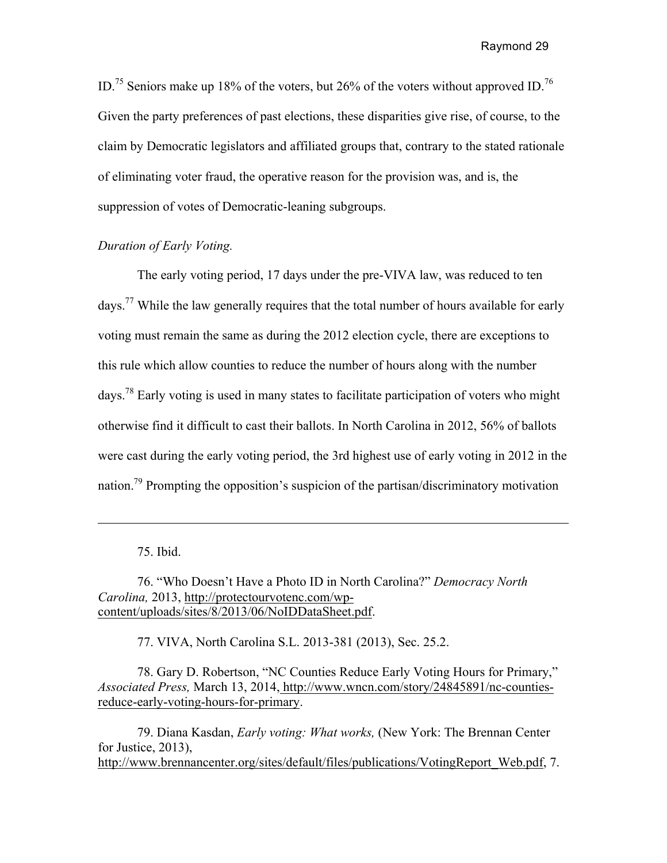ID.<sup>75</sup> Seniors make up 18% of the voters, but 26% of the voters without approved ID.<sup>76</sup> Given the party preferences of past elections, these disparities give rise, of course, to the claim by Democratic legislators and affiliated groups that, contrary to the stated rationale of eliminating voter fraud, the operative reason for the provision was, and is, the suppression of votes of Democratic-leaning subgroups.

## *Duration of Early Voting.*

The early voting period, 17 days under the pre-VIVA law, was reduced to ten days.77 While the law generally requires that the total number of hours available for early voting must remain the same as during the 2012 election cycle, there are exceptions to this rule which allow counties to reduce the number of hours along with the number days.78 Early voting is used in many states to facilitate participation of voters who might otherwise find it difficult to cast their ballots. In North Carolina in 2012, 56% of ballots were cast during the early voting period, the 3rd highest use of early voting in 2012 in the nation.<sup>79</sup> Prompting the opposition's suspicion of the partisan/discriminatory motivation

75. Ibid.

76. "Who Doesn't Have a Photo ID in North Carolina?" *Democracy North Carolina,* 2013, http://protectourvotenc.com/wpcontent/uploads/sites/8/2013/06/NoIDDataSheet.pdf.

77. VIVA, North Carolina S.L. 2013-381 (2013), Sec. 25.2.

78. Gary D. Robertson, "NC Counties Reduce Early Voting Hours for Primary," *Associated Press,* March 13, 2014, http://www.wncn.com/story/24845891/nc-countiesreduce-early-voting-hours-for-primary.

79. Diana Kasdan, *Early voting: What works,* (New York: The Brennan Center for Justice, 2013), http://www.brennancenter.org/sites/default/files/publications/VotingReport\_Web.pdf, 7.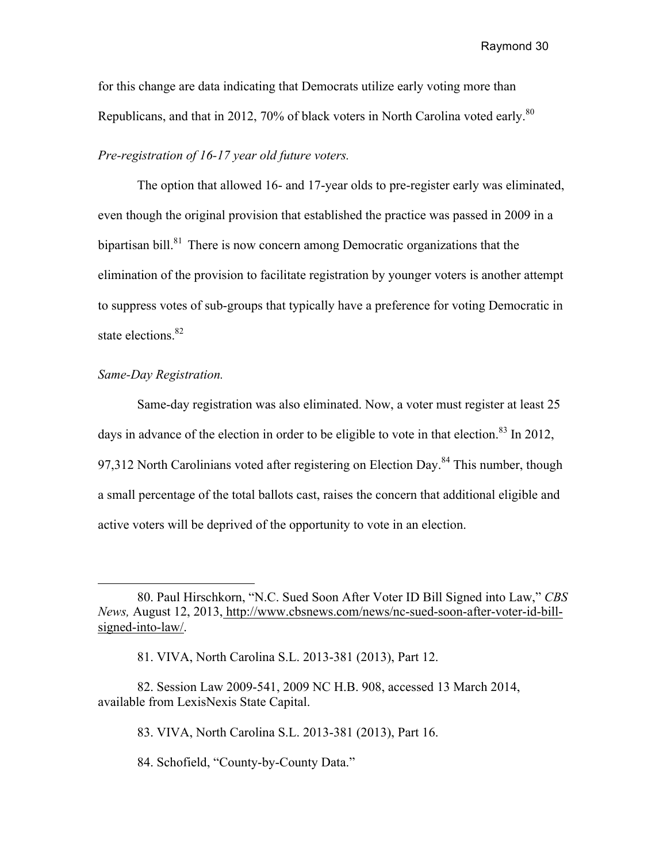for this change are data indicating that Democrats utilize early voting more than Republicans, and that in 2012, 70% of black voters in North Carolina voted early.<sup>80</sup>

#### *Pre-registration of 16-17 year old future voters.*

The option that allowed 16- and 17-year olds to pre-register early was eliminated, even though the original provision that established the practice was passed in 2009 in a bipartisan bill. $81$  There is now concern among Democratic organizations that the elimination of the provision to facilitate registration by younger voters is another attempt to suppress votes of sub-groups that typically have a preference for voting Democratic in state elections.<sup>82</sup>

### *Same-Day Registration.*

Same-day registration was also eliminated. Now, a voter must register at least 25 days in advance of the election in order to be eligible to vote in that election.<sup>83</sup> In 2012, 97,312 North Carolinians voted after registering on Election Day.<sup>84</sup> This number, though a small percentage of the total ballots cast, raises the concern that additional eligible and active voters will be deprived of the opportunity to vote in an election.

<sup>80.</sup> Paul Hirschkorn, "N.C. Sued Soon After Voter ID Bill Signed into Law," *CBS News,* August 12, 2013, http://www.cbsnews.com/news/nc-sued-soon-after-voter-id-billsigned-into-law/.

<sup>81.</sup> VIVA, North Carolina S.L. 2013-381 (2013), Part 12.

<sup>82.</sup> Session Law 2009-541, 2009 NC H.B. 908, accessed 13 March 2014, available from LexisNexis State Capital.

<sup>83.</sup> VIVA, North Carolina S.L. 2013-381 (2013), Part 16.

<sup>84.</sup> Schofield, "County-by-County Data."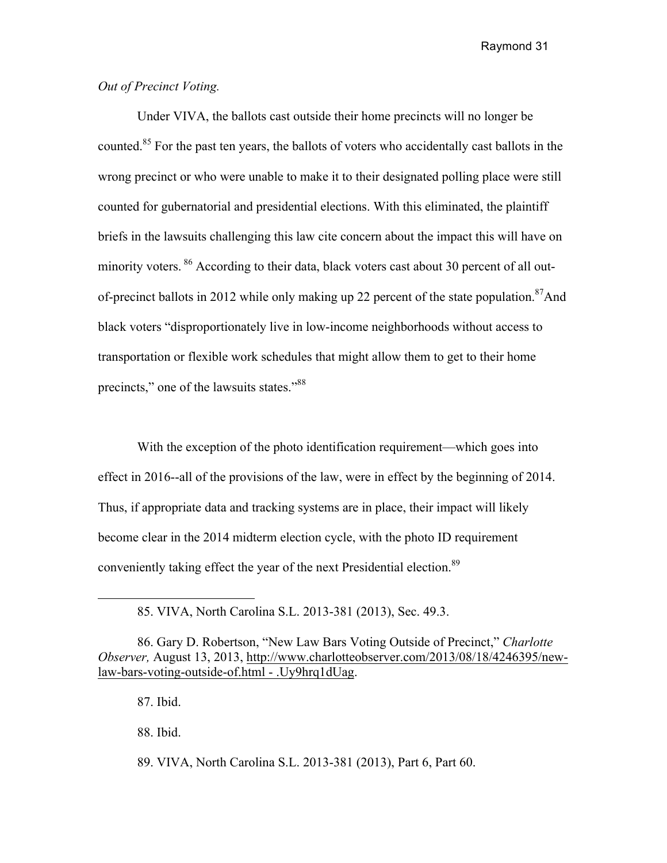## *Out of Precinct Voting.*

Under VIVA, the ballots cast outside their home precincts will no longer be counted.<sup>85</sup> For the past ten years, the ballots of voters who accidentally cast ballots in the wrong precinct or who were unable to make it to their designated polling place were still counted for gubernatorial and presidential elections. With this eliminated, the plaintiff briefs in the lawsuits challenging this law cite concern about the impact this will have on minority voters. <sup>86</sup> According to their data, black voters cast about 30 percent of all outof-precinct ballots in 2012 while only making up 22 percent of the state population.<sup>87</sup>And black voters "disproportionately live in low-income neighborhoods without access to transportation or flexible work schedules that might allow them to get to their home precincts," one of the lawsuits states."<sup>88</sup>

With the exception of the photo identification requirement—which goes into effect in 2016--all of the provisions of the law, were in effect by the beginning of 2014. Thus, if appropriate data and tracking systems are in place, their impact will likely become clear in the 2014 midterm election cycle, with the photo ID requirement conveniently taking effect the year of the next Presidential election.<sup>89</sup>

87. Ibid.

 $\overline{a}$ 

88. Ibid.

89. VIVA, North Carolina S.L. 2013-381 (2013), Part 6, Part 60.

<sup>85.</sup> VIVA, North Carolina S.L. 2013-381 (2013), Sec. 49.3.

<sup>86.</sup> Gary D. Robertson, "New Law Bars Voting Outside of Precinct," *Charlotte Observer,* August 13, 2013, http://www.charlotteobserver.com/2013/08/18/4246395/newlaw-bars-voting-outside-of.html - .Uy9hrq1dUag.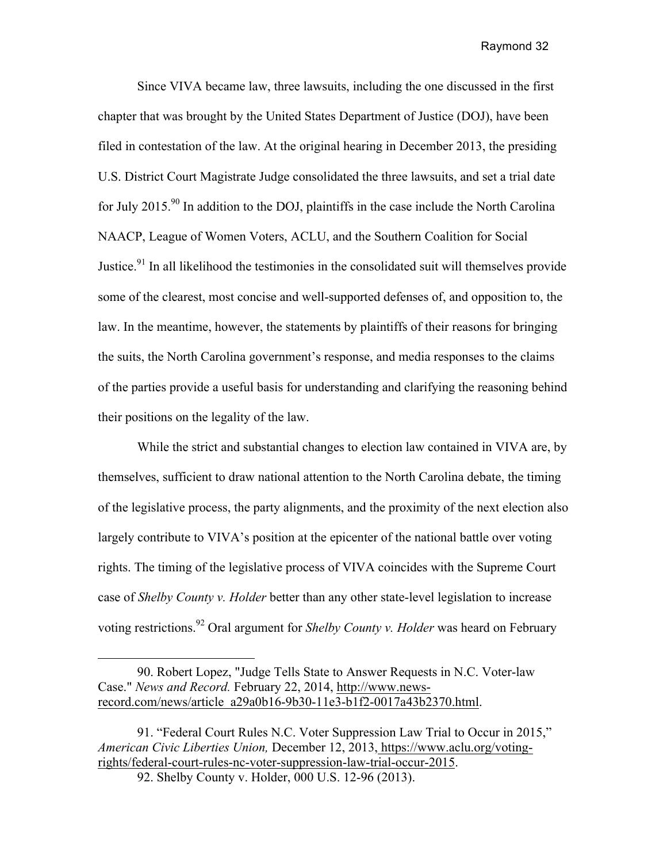Since VIVA became law, three lawsuits, including the one discussed in the first chapter that was brought by the United States Department of Justice (DOJ), have been filed in contestation of the law. At the original hearing in December 2013, the presiding U.S. District Court Magistrate Judge consolidated the three lawsuits, and set a trial date for July 2015.<sup>90</sup> In addition to the DOJ, plaintiffs in the case include the North Carolina NAACP, League of Women Voters, ACLU, and the Southern Coalition for Social Justice.<sup>91</sup> In all likelihood the testimonies in the consolidated suit will themselves provide some of the clearest, most concise and well-supported defenses of, and opposition to, the law. In the meantime, however, the statements by plaintiffs of their reasons for bringing the suits, the North Carolina government's response, and media responses to the claims of the parties provide a useful basis for understanding and clarifying the reasoning behind their positions on the legality of the law.

While the strict and substantial changes to election law contained in VIVA are, by themselves, sufficient to draw national attention to the North Carolina debate, the timing of the legislative process, the party alignments, and the proximity of the next election also largely contribute to VIVA's position at the epicenter of the national battle over voting rights. The timing of the legislative process of VIVA coincides with the Supreme Court case of *Shelby County v. Holder* better than any other state-level legislation to increase voting restrictions.<sup>92</sup> Oral argument for *Shelby County v. Holder* was heard on February

<sup>90.</sup> Robert Lopez, "Judge Tells State to Answer Requests in N.C. Voter-law Case." *News and Record.* February 22, 2014, http://www.newsrecord.com/news/article\_a29a0b16-9b30-11e3-b1f2-0017a43b2370.html.

<sup>91. &</sup>quot;Federal Court Rules N.C. Voter Suppression Law Trial to Occur in 2015," *American Civic Liberties Union,* December 12, 2013, https://www.aclu.org/votingrights/federal-court-rules-nc-voter-suppression-law-trial-occur-2015.

<sup>92.</sup> Shelby County v. Holder, 000 U.S. 12-96 (2013).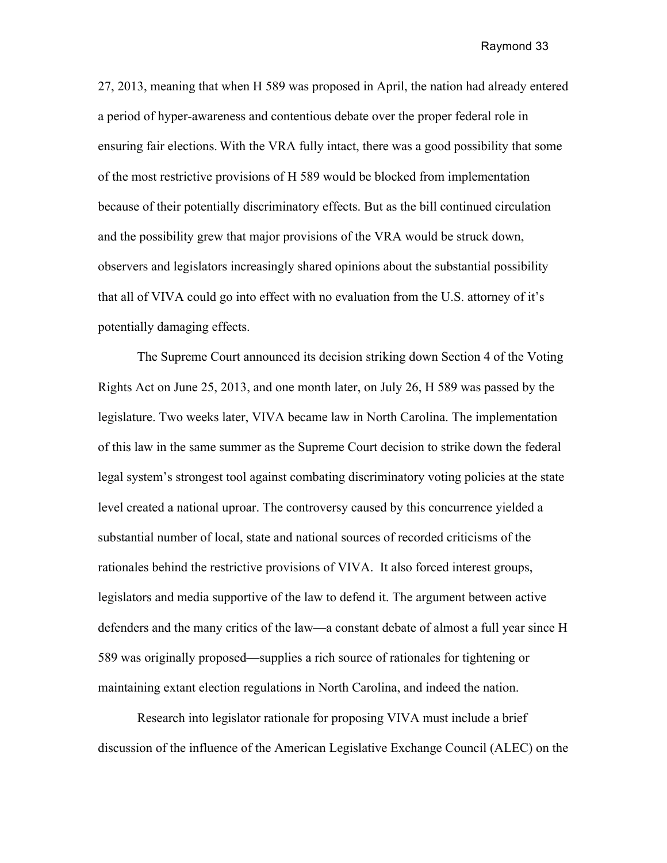27, 2013, meaning that when H 589 was proposed in April, the nation had already entered a period of hyper-awareness and contentious debate over the proper federal role in ensuring fair elections. With the VRA fully intact, there was a good possibility that some of the most restrictive provisions of H 589 would be blocked from implementation because of their potentially discriminatory effects. But as the bill continued circulation and the possibility grew that major provisions of the VRA would be struck down, observers and legislators increasingly shared opinions about the substantial possibility that all of VIVA could go into effect with no evaluation from the U.S. attorney of it's potentially damaging effects.

The Supreme Court announced its decision striking down Section 4 of the Voting Rights Act on June 25, 2013, and one month later, on July 26, H 589 was passed by the legislature. Two weeks later, VIVA became law in North Carolina. The implementation of this law in the same summer as the Supreme Court decision to strike down the federal legal system's strongest tool against combating discriminatory voting policies at the state level created a national uproar. The controversy caused by this concurrence yielded a substantial number of local, state and national sources of recorded criticisms of the rationales behind the restrictive provisions of VIVA. It also forced interest groups, legislators and media supportive of the law to defend it. The argument between active defenders and the many critics of the law—a constant debate of almost a full year since H 589 was originally proposed—supplies a rich source of rationales for tightening or maintaining extant election regulations in North Carolina, and indeed the nation.

 Research into legislator rationale for proposing VIVA must include a brief discussion of the influence of the American Legislative Exchange Council (ALEC) on the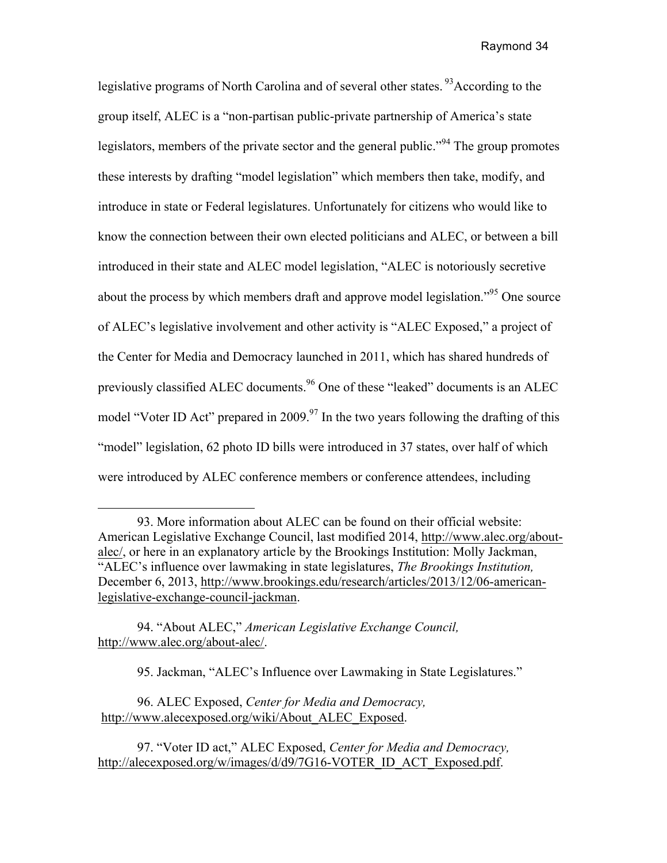legislative programs of North Carolina and of several other states.<sup>93</sup>According to the group itself, ALEC is a "non-partisan public-private partnership of America's state legislators, members of the private sector and the general public."<sup>94</sup> The group promotes these interests by drafting "model legislation" which members then take, modify, and introduce in state or Federal legislatures. Unfortunately for citizens who would like to know the connection between their own elected politicians and ALEC, or between a bill introduced in their state and ALEC model legislation, "ALEC is notoriously secretive about the process by which members draft and approve model legislation.<sup>995</sup> One source of ALEC's legislative involvement and other activity is "ALEC Exposed," a project of the Center for Media and Democracy launched in 2011, which has shared hundreds of previously classified ALEC documents.<sup>96</sup> One of these "leaked" documents is an ALEC model "Voter ID Act" prepared in 2009.<sup>97</sup> In the two years following the drafting of this "model" legislation, 62 photo ID bills were introduced in 37 states, over half of which were introduced by ALEC conference members or conference attendees, including

93. More information about ALEC can be found on their official website: American Legislative Exchange Council, last modified 2014, http://www.alec.org/aboutalec/, or here in an explanatory article by the Brookings Institution: Molly Jackman, "ALEC's influence over lawmaking in state legislatures, *The Brookings Institution,*  December 6, 2013, http://www.brookings.edu/research/articles/2013/12/06-americanlegislative-exchange-council-jackman.

94. "About ALEC," *American Legislative Exchange Council,* http://www.alec.org/about-alec/.

95. Jackman, "ALEC's Influence over Lawmaking in State Legislatures."

96. ALEC Exposed, *Center for Media and Democracy,* http://www.alecexposed.org/wiki/About\_ALEC\_Exposed.

97. "Voter ID act," ALEC Exposed, *Center for Media and Democracy,* http://alecexposed.org/w/images/d/d9/7G16-VOTER\_ID\_ACT\_Exposed.pdf.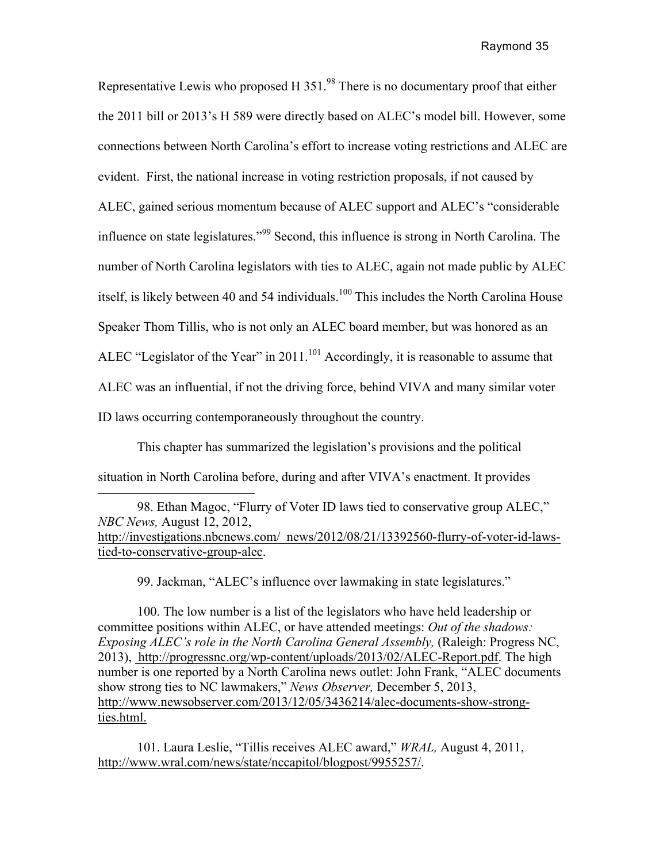Representative Lewis who proposed H  $351<sup>98</sup>$  There is no documentary proof that either the 2011 bill or 2013's H 589 were directly based on ALEC's model bill. However, some connections between North Carolina's effort to increase voting restrictions and ALEC are evident. First, the national increase in voting restriction proposals, if not caused by ALEC, gained serious momentum because of ALEC support and ALEC's "considerable influence on state legislatures."<sup>99</sup> Second, this influence is strong in North Carolina. The number of North Carolina legislators with ties to ALEC, again not made public by ALEC itself, is likely between 40 and 54 individuals.<sup>100</sup> This includes the North Carolina House Speaker Thom Tillis, who is not only an ALEC board member, but was honored as an ALEC "Legislator of the Year" in 2011.<sup>101</sup> Accordingly, it is reasonable to assume that ALEC was an influential, if not the driving force, behind VIVA and many similar voter ID laws occurring contemporaneously throughout the country.

This chapter has summarized the legislation's provisions and the political situation in North Carolina before, during and after VIVA's enactment. It provides

98. Ethan Magoc, "Flurry of Voter ID laws tied to conservative group ALEC," *NBC News,* August 12, 2012, http://investigations.nbcnews.com/\_news/2012/08/21/13392560-flurry-of-voter-id-lawstied-to-conservative-group-alec.

99. Jackman, "ALEC's influence over lawmaking in state legislatures."

100. The low number is a list of the legislators who have held leadership or committee positions within ALEC, or have attended meetings: *Out of the shadows: Exposing ALEC's role in the North Carolina General Assembly,* (Raleigh: Progress NC, 2013), http://progressnc.org/wp-content/uploads/2013/02/ALEC-Report.pdf. The high number is one reported by a North Carolina news outlet: John Frank, "ALEC documents show strong ties to NC lawmakers," *News Observer,* December 5, 2013, http://www.newsobserver.com/2013/12/05/3436214/alec-documents-show-strongties.html.

101. Laura Leslie, "Tillis receives ALEC award," *WRAL,* August 4, 2011, http://www.wral.com/news/state/nccapitol/blogpost/9955257/.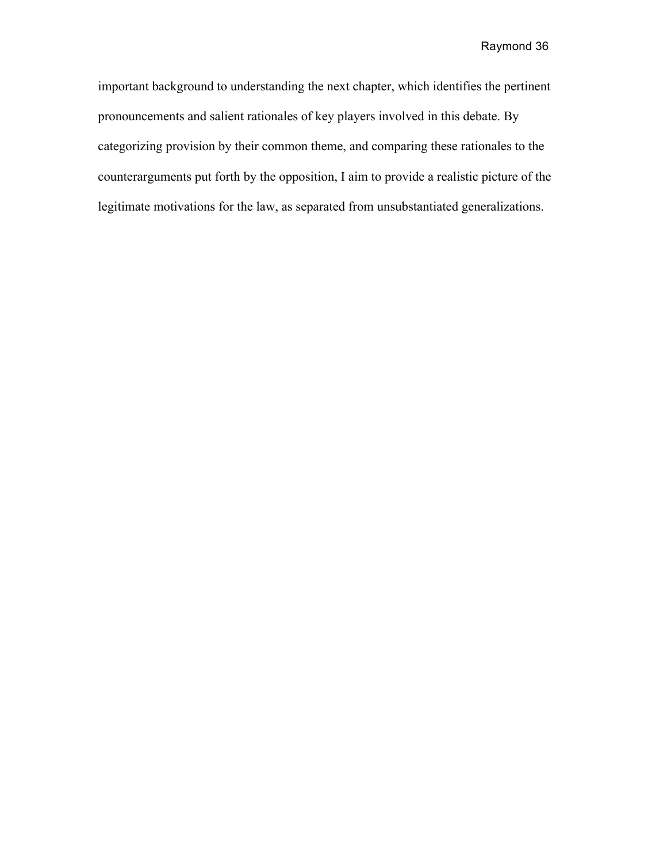important background to understanding the next chapter, which identifies the pertinent pronouncements and salient rationales of key players involved in this debate. By categorizing provision by their common theme, and comparing these rationales to the counterarguments put forth by the opposition, I aim to provide a realistic picture of the legitimate motivations for the law, as separated from unsubstantiated generalizations.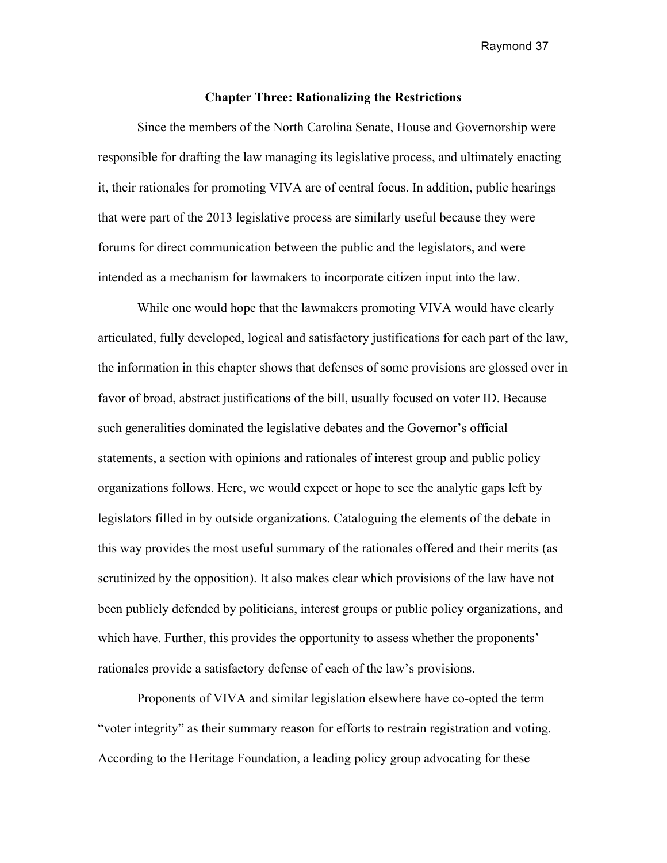#### **Chapter Three: Rationalizing the Restrictions**

Since the members of the North Carolina Senate, House and Governorship were responsible for drafting the law managing its legislative process, and ultimately enacting it, their rationales for promoting VIVA are of central focus. In addition, public hearings that were part of the 2013 legislative process are similarly useful because they were forums for direct communication between the public and the legislators, and were intended as a mechanism for lawmakers to incorporate citizen input into the law.

While one would hope that the lawmakers promoting VIVA would have clearly articulated, fully developed, logical and satisfactory justifications for each part of the law, the information in this chapter shows that defenses of some provisions are glossed over in favor of broad, abstract justifications of the bill, usually focused on voter ID. Because such generalities dominated the legislative debates and the Governor's official statements, a section with opinions and rationales of interest group and public policy organizations follows. Here, we would expect or hope to see the analytic gaps left by legislators filled in by outside organizations. Cataloguing the elements of the debate in this way provides the most useful summary of the rationales offered and their merits (as scrutinized by the opposition). It also makes clear which provisions of the law have not been publicly defended by politicians, interest groups or public policy organizations, and which have. Further, this provides the opportunity to assess whether the proponents' rationales provide a satisfactory defense of each of the law's provisions.

Proponents of VIVA and similar legislation elsewhere have co-opted the term "voter integrity" as their summary reason for efforts to restrain registration and voting. According to the Heritage Foundation, a leading policy group advocating for these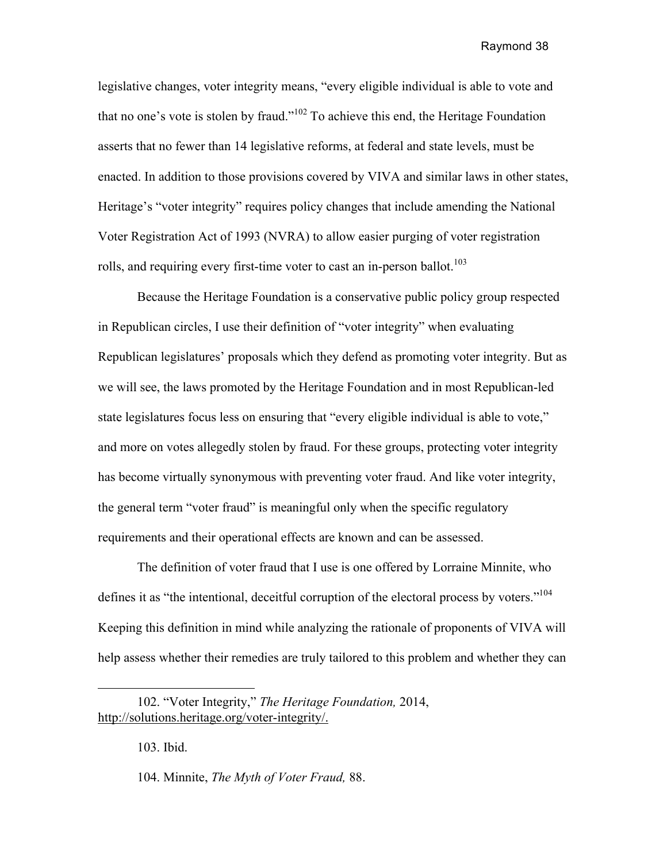legislative changes, voter integrity means, "every eligible individual is able to vote and that no one's vote is stolen by fraud."<sup>102</sup> To achieve this end, the Heritage Foundation asserts that no fewer than 14 legislative reforms, at federal and state levels, must be enacted. In addition to those provisions covered by VIVA and similar laws in other states, Heritage's "voter integrity" requires policy changes that include amending the National Voter Registration Act of 1993 (NVRA) to allow easier purging of voter registration rolls, and requiring every first-time voter to cast an in-person ballot.<sup>103</sup>

Because the Heritage Foundation is a conservative public policy group respected in Republican circles, I use their definition of "voter integrity" when evaluating Republican legislatures' proposals which they defend as promoting voter integrity. But as we will see, the laws promoted by the Heritage Foundation and in most Republican-led state legislatures focus less on ensuring that "every eligible individual is able to vote," and more on votes allegedly stolen by fraud. For these groups, protecting voter integrity has become virtually synonymous with preventing voter fraud. And like voter integrity, the general term "voter fraud" is meaningful only when the specific regulatory requirements and their operational effects are known and can be assessed.

The definition of voter fraud that I use is one offered by Lorraine Minnite, who defines it as "the intentional, deceitful corruption of the electoral process by voters."<sup>104</sup> Keeping this definition in mind while analyzing the rationale of proponents of VIVA will help assess whether their remedies are truly tailored to this problem and whether they can

103. Ibid.

104. Minnite, *The Myth of Voter Fraud,* 88.

<sup>102. &</sup>quot;Voter Integrity," *The Heritage Foundation,* 2014, http://solutions.heritage.org/voter-integrity/.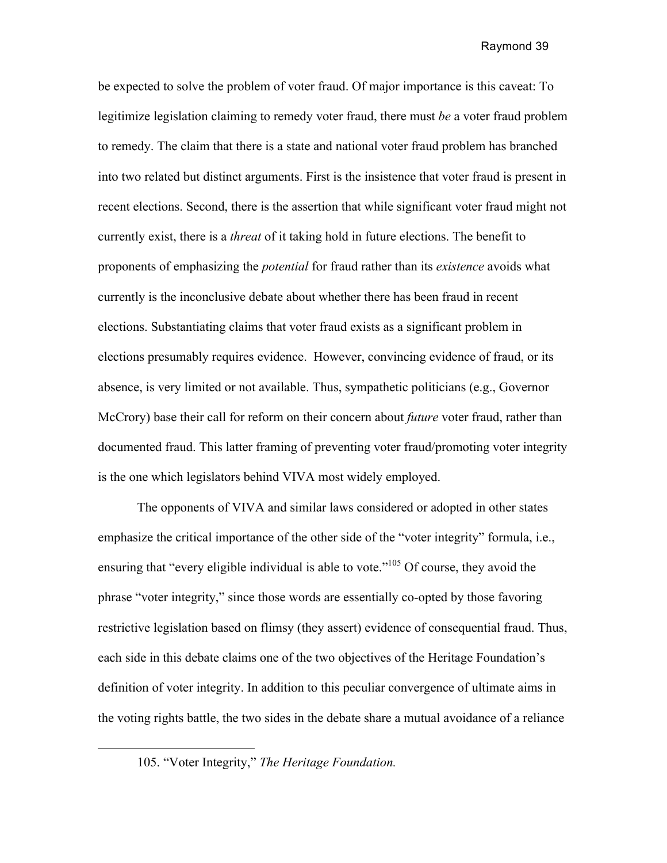be expected to solve the problem of voter fraud. Of major importance is this caveat: To legitimize legislation claiming to remedy voter fraud, there must *be* a voter fraud problem to remedy. The claim that there is a state and national voter fraud problem has branched into two related but distinct arguments. First is the insistence that voter fraud is present in recent elections. Second, there is the assertion that while significant voter fraud might not currently exist, there is a *threat* of it taking hold in future elections. The benefit to proponents of emphasizing the *potential* for fraud rather than its *existence* avoids what currently is the inconclusive debate about whether there has been fraud in recent elections. Substantiating claims that voter fraud exists as a significant problem in elections presumably requires evidence. However, convincing evidence of fraud, or its absence, is very limited or not available. Thus, sympathetic politicians (e.g., Governor McCrory) base their call for reform on their concern about *future* voter fraud, rather than documented fraud. This latter framing of preventing voter fraud/promoting voter integrity is the one which legislators behind VIVA most widely employed.

The opponents of VIVA and similar laws considered or adopted in other states emphasize the critical importance of the other side of the "voter integrity" formula, i.e., ensuring that "every eligible individual is able to vote."<sup>105</sup> Of course, they avoid the phrase "voter integrity," since those words are essentially co-opted by those favoring restrictive legislation based on flimsy (they assert) evidence of consequential fraud. Thus, each side in this debate claims one of the two objectives of the Heritage Foundation's definition of voter integrity. In addition to this peculiar convergence of ultimate aims in the voting rights battle, the two sides in the debate share a mutual avoidance of a reliance

 $\overline{a}$ 

<sup>105. &</sup>quot;Voter Integrity," *The Heritage Foundation.*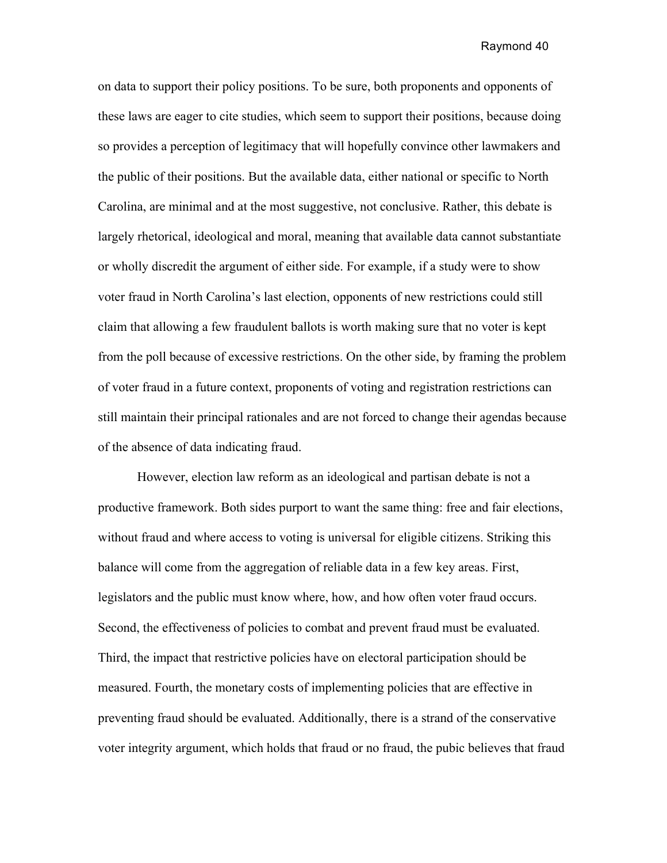on data to support their policy positions. To be sure, both proponents and opponents of these laws are eager to cite studies, which seem to support their positions, because doing so provides a perception of legitimacy that will hopefully convince other lawmakers and the public of their positions. But the available data, either national or specific to North Carolina, are minimal and at the most suggestive, not conclusive. Rather, this debate is largely rhetorical, ideological and moral, meaning that available data cannot substantiate or wholly discredit the argument of either side. For example, if a study were to show voter fraud in North Carolina's last election, opponents of new restrictions could still claim that allowing a few fraudulent ballots is worth making sure that no voter is kept from the poll because of excessive restrictions. On the other side, by framing the problem of voter fraud in a future context, proponents of voting and registration restrictions can still maintain their principal rationales and are not forced to change their agendas because of the absence of data indicating fraud.

However, election law reform as an ideological and partisan debate is not a productive framework. Both sides purport to want the same thing: free and fair elections, without fraud and where access to voting is universal for eligible citizens. Striking this balance will come from the aggregation of reliable data in a few key areas. First, legislators and the public must know where, how, and how often voter fraud occurs. Second, the effectiveness of policies to combat and prevent fraud must be evaluated. Third, the impact that restrictive policies have on electoral participation should be measured. Fourth, the monetary costs of implementing policies that are effective in preventing fraud should be evaluated. Additionally, there is a strand of the conservative voter integrity argument, which holds that fraud or no fraud, the pubic believes that fraud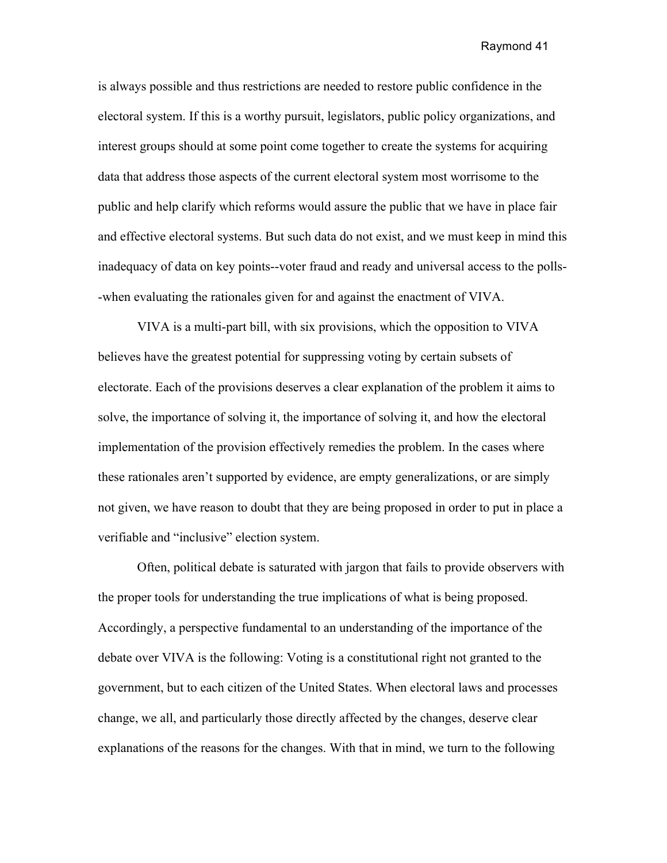is always possible and thus restrictions are needed to restore public confidence in the electoral system. If this is a worthy pursuit, legislators, public policy organizations, and interest groups should at some point come together to create the systems for acquiring data that address those aspects of the current electoral system most worrisome to the public and help clarify which reforms would assure the public that we have in place fair and effective electoral systems. But such data do not exist, and we must keep in mind this inadequacy of data on key points--voter fraud and ready and universal access to the polls- -when evaluating the rationales given for and against the enactment of VIVA.

VIVA is a multi-part bill, with six provisions, which the opposition to VIVA believes have the greatest potential for suppressing voting by certain subsets of electorate. Each of the provisions deserves a clear explanation of the problem it aims to solve, the importance of solving it, the importance of solving it, and how the electoral implementation of the provision effectively remedies the problem. In the cases where these rationales aren't supported by evidence, are empty generalizations, or are simply not given, we have reason to doubt that they are being proposed in order to put in place a verifiable and "inclusive" election system.

Often, political debate is saturated with jargon that fails to provide observers with the proper tools for understanding the true implications of what is being proposed. Accordingly, a perspective fundamental to an understanding of the importance of the debate over VIVA is the following: Voting is a constitutional right not granted to the government, but to each citizen of the United States. When electoral laws and processes change, we all, and particularly those directly affected by the changes, deserve clear explanations of the reasons for the changes. With that in mind, we turn to the following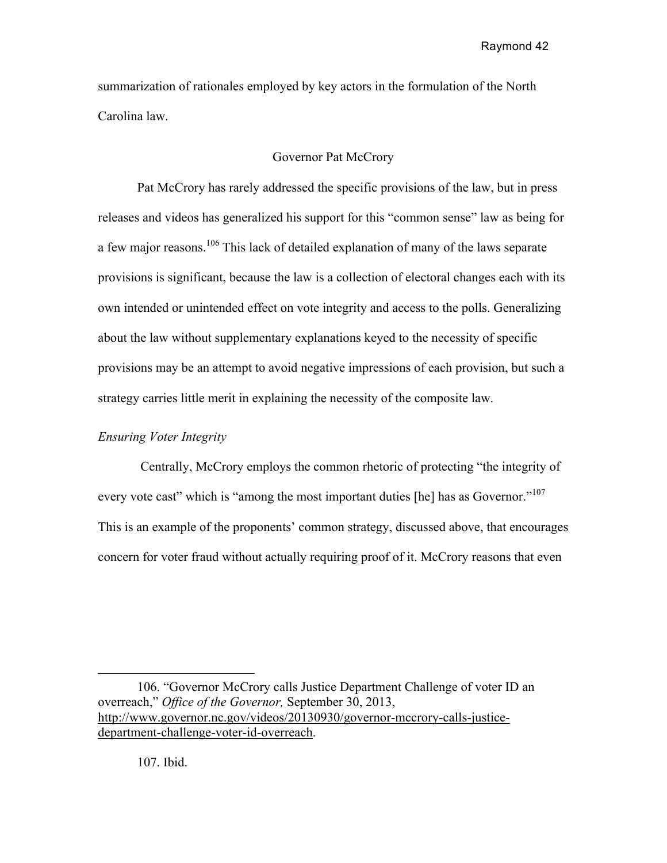summarization of rationales employed by key actors in the formulation of the North Carolina law.

# Governor Pat McCrory

Pat McCrory has rarely addressed the specific provisions of the law, but in press releases and videos has generalized his support for this "common sense" law as being for a few major reasons.<sup>106</sup> This lack of detailed explanation of many of the laws separate provisions is significant, because the law is a collection of electoral changes each with its own intended or unintended effect on vote integrity and access to the polls. Generalizing about the law without supplementary explanations keyed to the necessity of specific provisions may be an attempt to avoid negative impressions of each provision, but such a strategy carries little merit in explaining the necessity of the composite law.

## *Ensuring Voter Integrity*

Centrally, McCrory employs the common rhetoric of protecting "the integrity of every vote cast" which is "among the most important duties [he] has as Governor."<sup>107</sup> This is an example of the proponents' common strategy, discussed above, that encourages concern for voter fraud without actually requiring proof of it. McCrory reasons that even

106. "Governor McCrory calls Justice Department Challenge of voter ID an overreach," *Office of the Governor,* September 30, 2013, http://www.governor.nc.gov/videos/20130930/governor-mccrory-calls-justicedepartment-challenge-voter-id-overreach.

107. Ibid.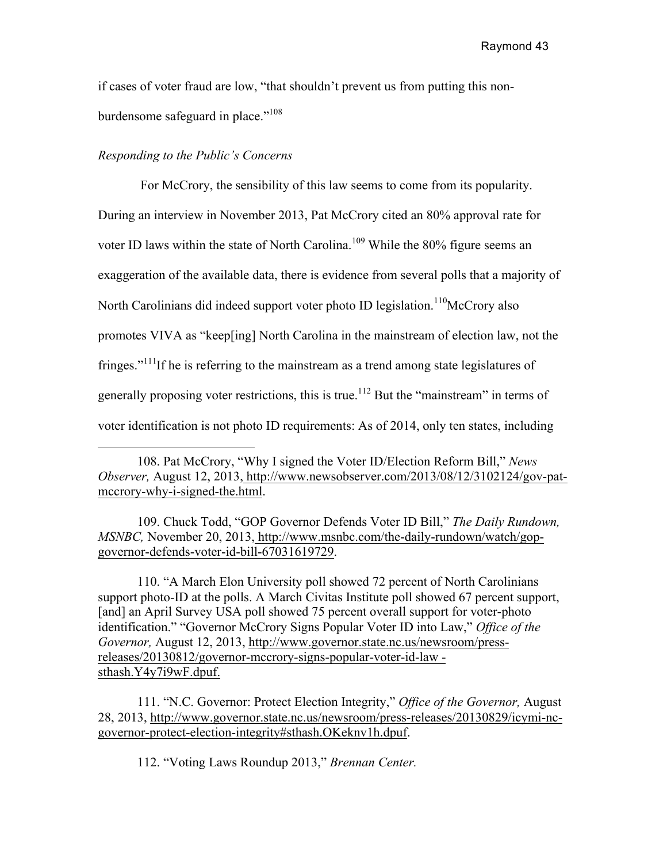if cases of voter fraud are low, "that shouldn't prevent us from putting this nonburdensome safeguard in place."<sup>108</sup>

# *Responding to the Public's Concerns*

 $\overline{a}$ 

For McCrory, the sensibility of this law seems to come from its popularity. During an interview in November 2013, Pat McCrory cited an 80% approval rate for voter ID laws within the state of North Carolina.<sup>109</sup> While the 80% figure seems an exaggeration of the available data, there is evidence from several polls that a majority of North Carolinians did indeed support voter photo ID legislation.<sup>110</sup>McCrory also promotes VIVA as "keep[ing] North Carolina in the mainstream of election law, not the fringes."<sup>111</sup>If he is referring to the mainstream as a trend among state legislatures of generally proposing voter restrictions, this is true.<sup>112</sup> But the "mainstream" in terms of voter identification is not photo ID requirements: As of 2014, only ten states, including

109. Chuck Todd, "GOP Governor Defends Voter ID Bill," *The Daily Rundown, MSNBC,* November 20, 2013, http://www.msnbc.com/the-daily-rundown/watch/gopgovernor-defends-voter-id-bill-67031619729.

110. "A March Elon University poll showed 72 percent of North Carolinians support photo-ID at the polls. A March Civitas Institute poll showed 67 percent support, [and] an April Survey USA poll showed 75 percent overall support for voter-photo identification." "Governor McCrory Signs Popular Voter ID into Law," *Office of the Governor,* August 12, 2013, http://www.governor.state.nc.us/newsroom/pressreleases/20130812/governor-mccrory-signs-popular-voter-id-law sthash.Y4y7i9wF.dpuf.

111. "N.C. Governor: Protect Election Integrity," *Office of the Governor,* August 28, 2013, http://www.governor.state.nc.us/newsroom/press-releases/20130829/icymi-ncgovernor-protect-election-integrity#sthash.OKeknv1h.dpuf.

112. "Voting Laws Roundup 2013," *Brennan Center.*

<sup>108.</sup> Pat McCrory, "Why I signed the Voter ID/Election Reform Bill," *News Observer,* August 12, 2013, http://www.newsobserver.com/2013/08/12/3102124/gov-patmccrory-why-i-signed-the.html.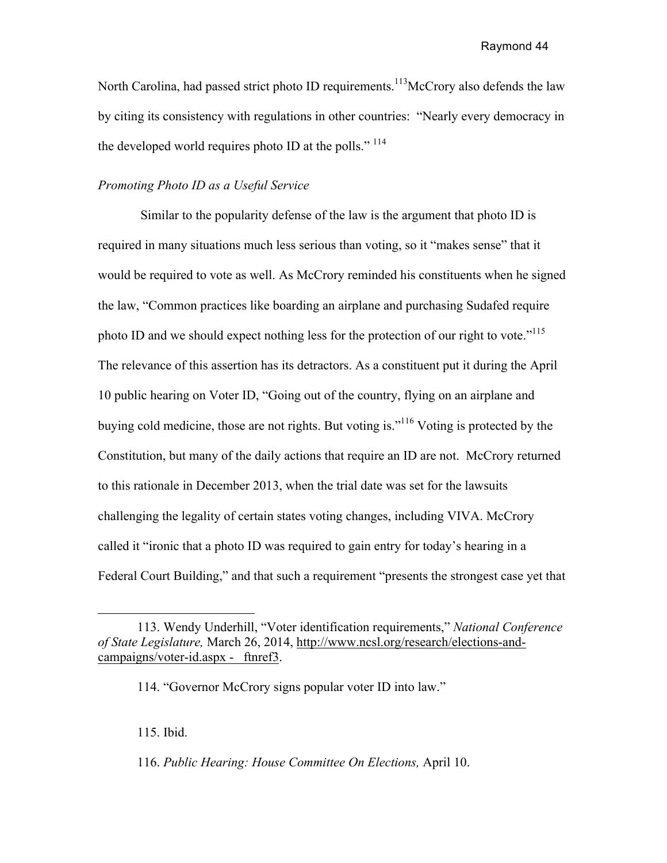North Carolina, had passed strict photo ID requirements.<sup>113</sup>McCrory also defends the law by citing its consistency with regulations in other countries: "Nearly every democracy in the developed world requires photo ID at the polls."  $^{114}$ 

## *Promoting Photo ID as a Useful Service*

Similar to the popularity defense of the law is the argument that photo ID is required in many situations much less serious than voting, so it "makes sense" that it would be required to vote as well. As McCrory reminded his constituents when he signed the law, "Common practices like boarding an airplane and purchasing Sudafed require photo ID and we should expect nothing less for the protection of our right to vote."<sup>115</sup> The relevance of this assertion has its detractors. As a constituent put it during the April 10 public hearing on Voter ID, "Going out of the country, flying on an airplane and buying cold medicine, those are not rights. But voting is."<sup>116</sup> Voting is protected by the Constitution, but many of the daily actions that require an ID are not. McCrory returned to this rationale in December 2013, when the trial date was set for the lawsuits challenging the legality of certain states voting changes, including VIVA. McCrory called it "ironic that a photo ID was required to gain entry for today's hearing in a Federal Court Building," and that such a requirement "presents the strongest case yet that

115. Ibid.

 $\overline{a}$ 

116. *Public Hearing: House Committee On Elections,* April 10.

<sup>113.</sup> Wendy Underhill, "Voter identification requirements," *National Conference of State Legislature,* March 26, 2014, http://www.ncsl.org/research/elections-andcampaigns/voter-id.aspx - ftnref3.

<sup>114. &</sup>quot;Governor McCrory signs popular voter ID into law."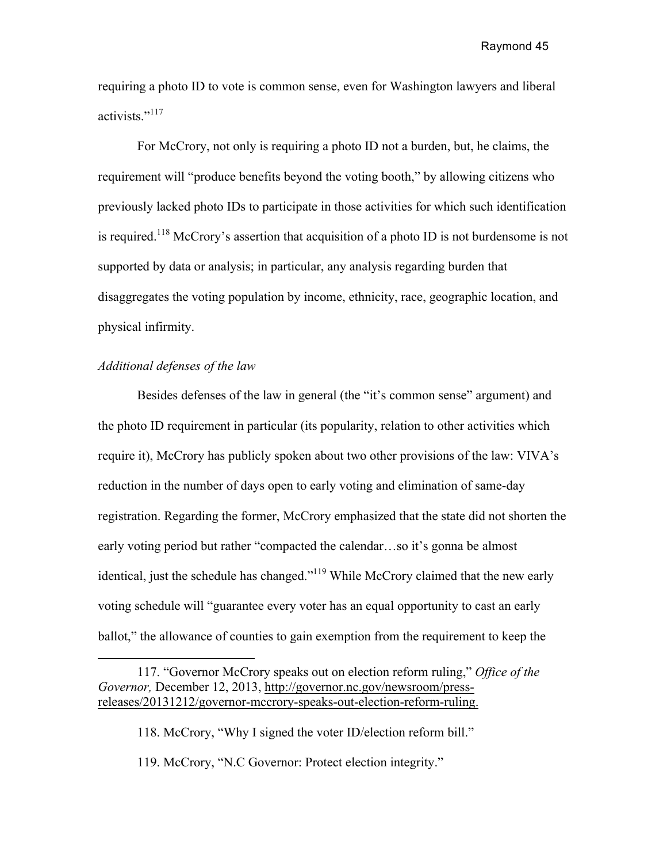requiring a photo ID to vote is common sense, even for Washington lawyers and liberal activists."<sup>117</sup>

For McCrory, not only is requiring a photo ID not a burden, but, he claims, the requirement will "produce benefits beyond the voting booth," by allowing citizens who previously lacked photo IDs to participate in those activities for which such identification is required.<sup>118</sup> McCrory's assertion that acquisition of a photo ID is not burdensome is not supported by data or analysis; in particular, any analysis regarding burden that disaggregates the voting population by income, ethnicity, race, geographic location, and physical infirmity.

## *Additional defenses of the law*

Besides defenses of the law in general (the "it's common sense" argument) and the photo ID requirement in particular (its popularity, relation to other activities which require it), McCrory has publicly spoken about two other provisions of the law: VIVA's reduction in the number of days open to early voting and elimination of same-day registration. Regarding the former, McCrory emphasized that the state did not shorten the early voting period but rather "compacted the calendar…so it's gonna be almost identical, just the schedule has changed."119 While McCrory claimed that the new early voting schedule will "guarantee every voter has an equal opportunity to cast an early ballot," the allowance of counties to gain exemption from the requirement to keep the

<sup>117. &</sup>quot;Governor McCrory speaks out on election reform ruling," *Office of the Governor,* December 12, 2013, http://governor.nc.gov/newsroom/pressreleases/20131212/governor-mccrory-speaks-out-election-reform-ruling.

<sup>118.</sup> McCrory, "Why I signed the voter ID/election reform bill."

<sup>119.</sup> McCrory, "N.C Governor: Protect election integrity."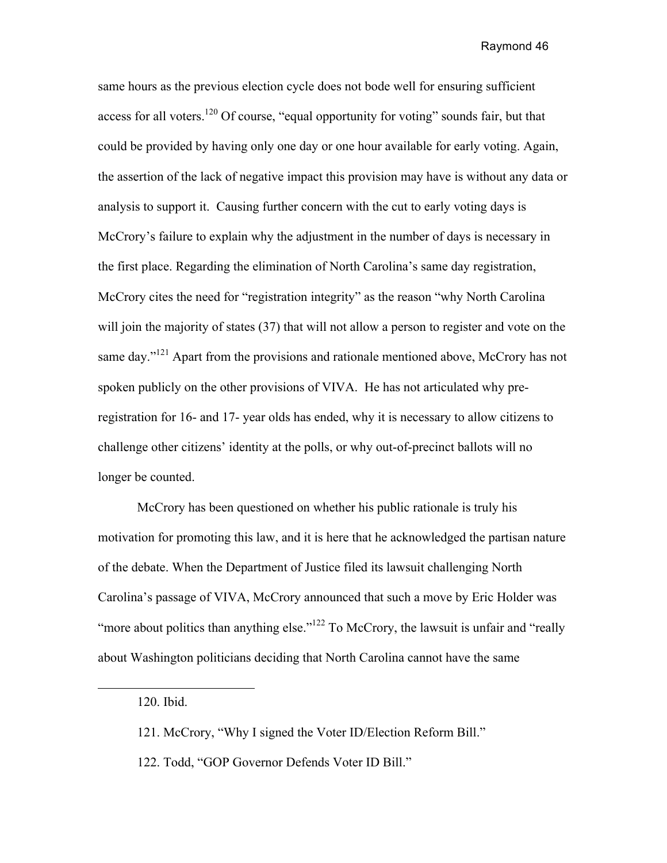same hours as the previous election cycle does not bode well for ensuring sufficient access for all voters.<sup>120</sup> Of course, "equal opportunity for voting" sounds fair, but that could be provided by having only one day or one hour available for early voting. Again, the assertion of the lack of negative impact this provision may have is without any data or analysis to support it. Causing further concern with the cut to early voting days is McCrory's failure to explain why the adjustment in the number of days is necessary in the first place. Regarding the elimination of North Carolina's same day registration, McCrory cites the need for "registration integrity" as the reason "why North Carolina will join the majority of states (37) that will not allow a person to register and vote on the same day."<sup>121</sup> Apart from the provisions and rationale mentioned above, McCrory has not spoken publicly on the other provisions of VIVA. He has not articulated why preregistration for 16- and 17- year olds has ended, why it is necessary to allow citizens to challenge other citizens' identity at the polls, or why out-of-precinct ballots will no longer be counted.

McCrory has been questioned on whether his public rationale is truly his motivation for promoting this law, and it is here that he acknowledged the partisan nature of the debate. When the Department of Justice filed its lawsuit challenging North Carolina's passage of VIVA, McCrory announced that such a move by Eric Holder was "more about politics than anything else." $122$  To McCrory, the lawsuit is unfair and "really" about Washington politicians deciding that North Carolina cannot have the same

<sup>120.</sup> Ibid.

<sup>121.</sup> McCrory, "Why I signed the Voter ID/Election Reform Bill."

<sup>122.</sup> Todd, "GOP Governor Defends Voter ID Bill."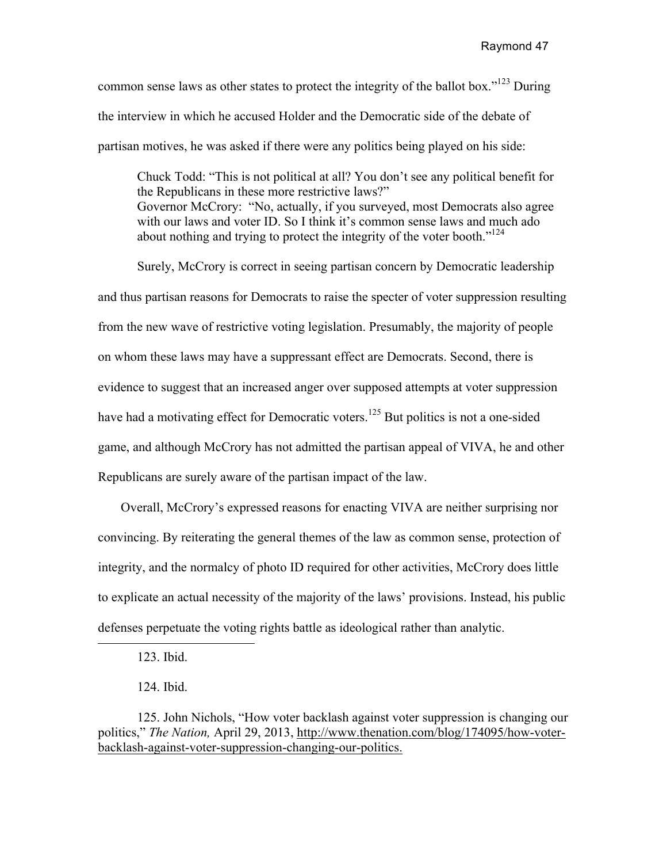common sense laws as other states to protect the integrity of the ballot box."<sup>123</sup> During the interview in which he accused Holder and the Democratic side of the debate of partisan motives, he was asked if there were any politics being played on his side:

Chuck Todd: "This is not political at all? You don't see any political benefit for the Republicans in these more restrictive laws?" Governor McCrory: "No, actually, if you surveyed, most Democrats also agree with our laws and voter ID. So I think it's common sense laws and much ado about nothing and trying to protect the integrity of the voter booth."<sup>124</sup>

Surely, McCrory is correct in seeing partisan concern by Democratic leadership and thus partisan reasons for Democrats to raise the specter of voter suppression resulting from the new wave of restrictive voting legislation. Presumably, the majority of people on whom these laws may have a suppressant effect are Democrats. Second, there is evidence to suggest that an increased anger over supposed attempts at voter suppression have had a motivating effect for Democratic voters.<sup>125</sup> But politics is not a one-sided game, and although McCrory has not admitted the partisan appeal of VIVA, he and other Republicans are surely aware of the partisan impact of the law.

 Overall, McCrory's expressed reasons for enacting VIVA are neither surprising nor convincing. By reiterating the general themes of the law as common sense, protection of integrity, and the normalcy of photo ID required for other activities, McCrory does little to explicate an actual necessity of the majority of the laws' provisions. Instead, his public defenses perpetuate the voting rights battle as ideological rather than analytic.

123. Ibid.

124. Ibid.

125. John Nichols, "How voter backlash against voter suppression is changing our politics," *The Nation,* April 29, 2013, http://www.thenation.com/blog/174095/how-voterbacklash-against-voter-suppression-changing-our-politics.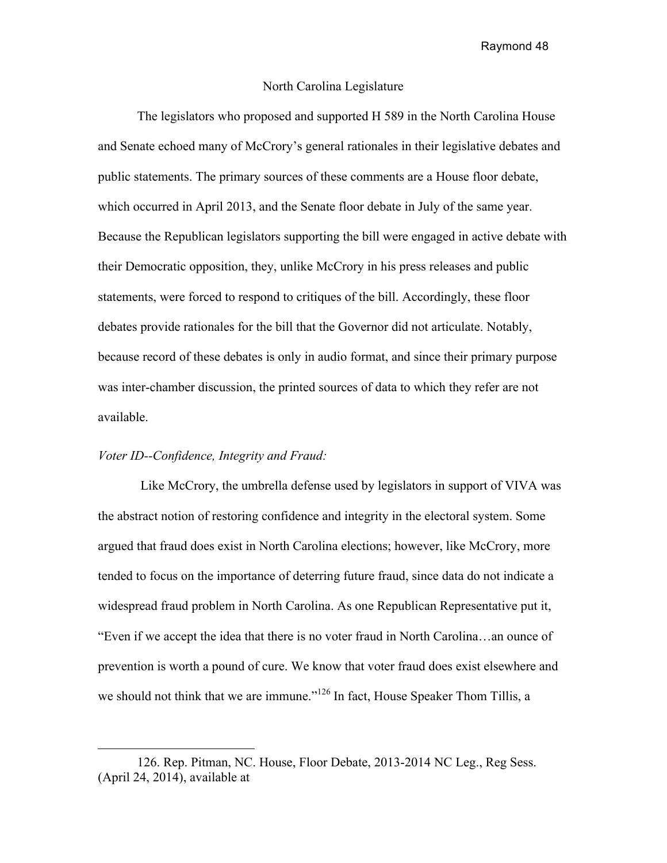### North Carolina Legislature

 The legislators who proposed and supported H 589 in the North Carolina House and Senate echoed many of McCrory's general rationales in their legislative debates and public statements. The primary sources of these comments are a House floor debate, which occurred in April 2013, and the Senate floor debate in July of the same year. Because the Republican legislators supporting the bill were engaged in active debate with their Democratic opposition, they, unlike McCrory in his press releases and public statements, were forced to respond to critiques of the bill. Accordingly, these floor debates provide rationales for the bill that the Governor did not articulate. Notably, because record of these debates is only in audio format, and since their primary purpose was inter-chamber discussion, the printed sources of data to which they refer are not available.

# *Voter ID--Confidence, Integrity and Fraud:*

 $\overline{a}$ 

Like McCrory, the umbrella defense used by legislators in support of VIVA was the abstract notion of restoring confidence and integrity in the electoral system. Some argued that fraud does exist in North Carolina elections; however, like McCrory, more tended to focus on the importance of deterring future fraud, since data do not indicate a widespread fraud problem in North Carolina. As one Republican Representative put it, "Even if we accept the idea that there is no voter fraud in North Carolina…an ounce of prevention is worth a pound of cure. We know that voter fraud does exist elsewhere and we should not think that we are immune."<sup>126</sup> In fact, House Speaker Thom Tillis, a

<sup>126.</sup> Rep. Pitman, NC. House, Floor Debate, 2013-2014 NC Leg., Reg Sess. (April 24, 2014), available at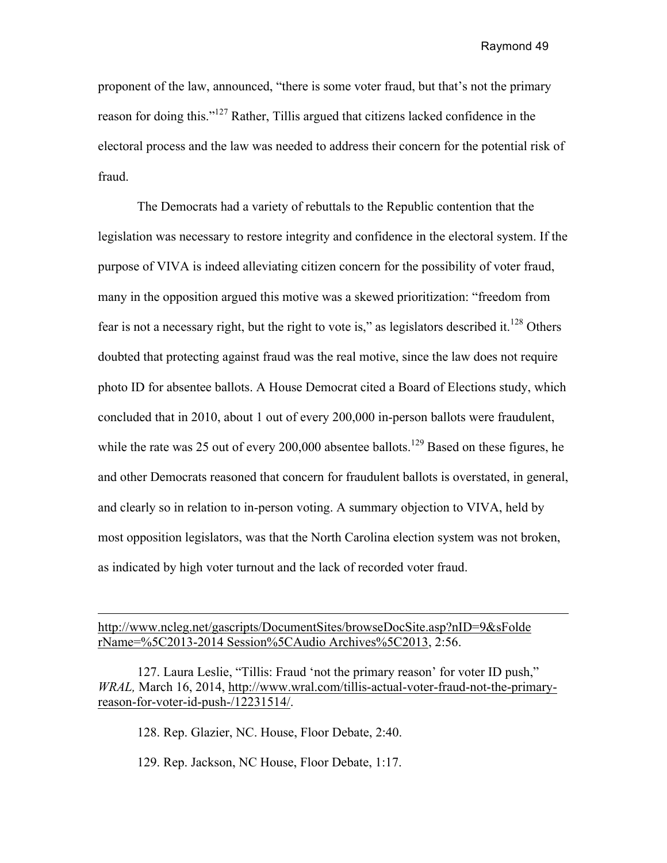proponent of the law, announced, "there is some voter fraud, but that's not the primary reason for doing this."127 Rather, Tillis argued that citizens lacked confidence in the electoral process and the law was needed to address their concern for the potential risk of fraud.

 The Democrats had a variety of rebuttals to the Republic contention that the legislation was necessary to restore integrity and confidence in the electoral system. If the purpose of VIVA is indeed alleviating citizen concern for the possibility of voter fraud, many in the opposition argued this motive was a skewed prioritization: "freedom from fear is not a necessary right, but the right to vote is," as legislators described it.<sup>128</sup> Others doubted that protecting against fraud was the real motive, since the law does not require photo ID for absentee ballots. A House Democrat cited a Board of Elections study, which concluded that in 2010, about 1 out of every 200,000 in-person ballots were fraudulent, while the rate was 25 out of every 200,000 absentee ballots.<sup>129</sup> Based on these figures, he and other Democrats reasoned that concern for fraudulent ballots is overstated, in general, and clearly so in relation to in-person voting. A summary objection to VIVA, held by most opposition legislators, was that the North Carolina election system was not broken, as indicated by high voter turnout and the lack of recorded voter fraud.

http://www.ncleg.net/gascripts/DocumentSites/browseDocSite.asp?nID=9&sFolde rName=%5C2013-2014 Session%5CAudio Archives%5C2013, 2:56.

127. Laura Leslie, "Tillis: Fraud 'not the primary reason' for voter ID push," *WRAL,* March 16, 2014, http://www.wral.com/tillis-actual-voter-fraud-not-the-primaryreason-for-voter-id-push-/12231514/.

128. Rep. Glazier, NC. House, Floor Debate, 2:40.

 $\overline{a}$ 

129. Rep. Jackson, NC House, Floor Debate, 1:17.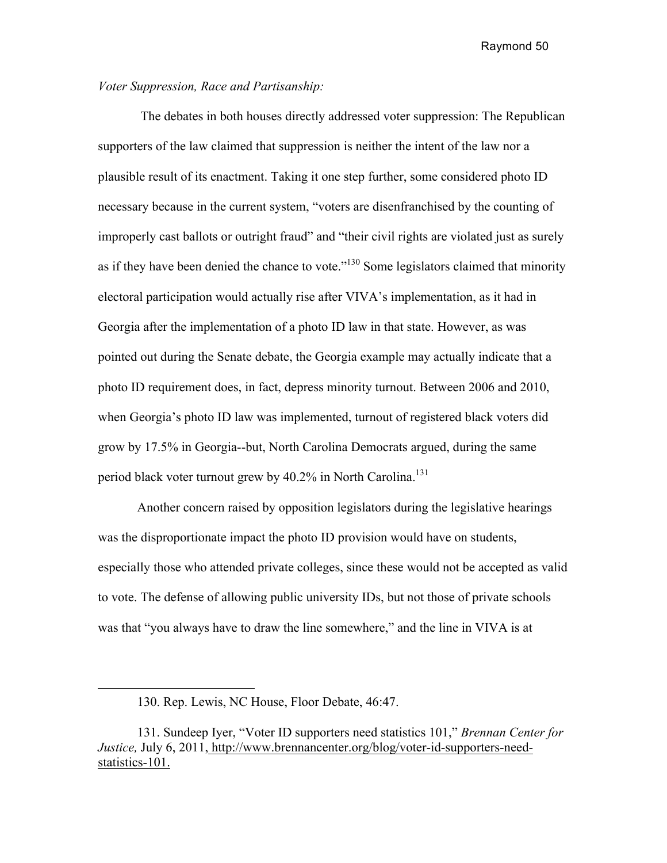## *Voter Suppression, Race and Partisanship:*

The debates in both houses directly addressed voter suppression: The Republican supporters of the law claimed that suppression is neither the intent of the law nor a plausible result of its enactment. Taking it one step further, some considered photo ID necessary because in the current system, "voters are disenfranchised by the counting of improperly cast ballots or outright fraud" and "their civil rights are violated just as surely as if they have been denied the chance to vote."<sup>130</sup> Some legislators claimed that minority electoral participation would actually rise after VIVA's implementation, as it had in Georgia after the implementation of a photo ID law in that state. However, as was pointed out during the Senate debate, the Georgia example may actually indicate that a photo ID requirement does, in fact, depress minority turnout. Between 2006 and 2010, when Georgia's photo ID law was implemented, turnout of registered black voters did grow by 17.5% in Georgia--but, North Carolina Democrats argued, during the same period black voter turnout grew by  $40.2\%$  in North Carolina.<sup>131</sup>

Another concern raised by opposition legislators during the legislative hearings was the disproportionate impact the photo ID provision would have on students, especially those who attended private colleges, since these would not be accepted as valid to vote. The defense of allowing public university IDs, but not those of private schools was that "you always have to draw the line somewhere," and the line in VIVA is at

<sup>130.</sup> Rep. Lewis, NC House, Floor Debate, 46:47.

<sup>131.</sup> Sundeep Iyer, "Voter ID supporters need statistics 101," *Brennan Center for Justice,* July 6, 2011, http://www.brennancenter.org/blog/voter-id-supporters-needstatistics-101.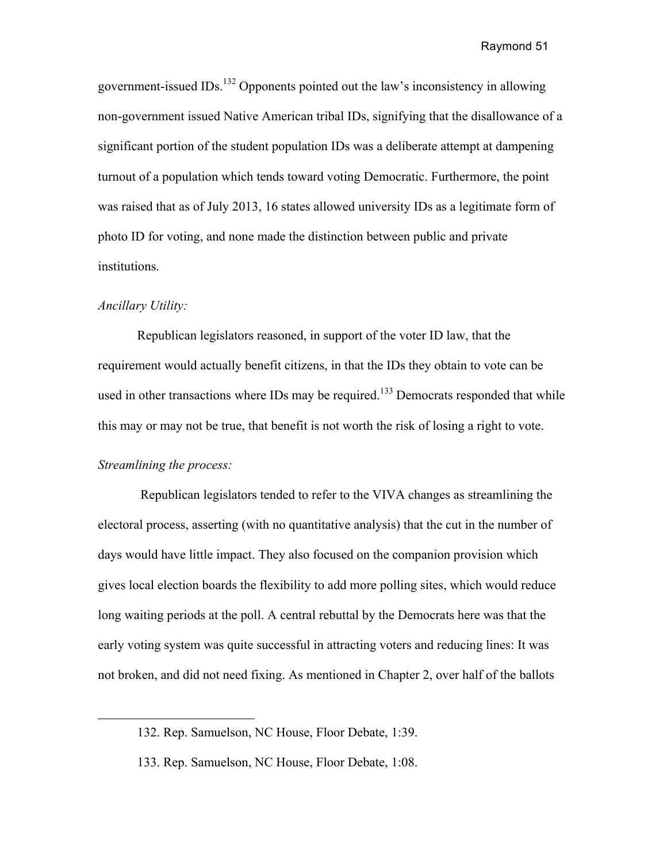government-issued IDs.<sup>132</sup> Opponents pointed out the law's inconsistency in allowing non-government issued Native American tribal IDs, signifying that the disallowance of a significant portion of the student population IDs was a deliberate attempt at dampening turnout of a population which tends toward voting Democratic. Furthermore, the point was raised that as of July 2013, 16 states allowed university IDs as a legitimate form of photo ID for voting, and none made the distinction between public and private institutions.

### *Ancillary Utility:*

Republican legislators reasoned, in support of the voter ID law, that the requirement would actually benefit citizens, in that the IDs they obtain to vote can be used in other transactions where IDs may be required.<sup>133</sup> Democrats responded that while this may or may not be true, that benefit is not worth the risk of losing a right to vote.

# *Streamlining the process:*

Republican legislators tended to refer to the VIVA changes as streamlining the electoral process, asserting (with no quantitative analysis) that the cut in the number of days would have little impact. They also focused on the companion provision which gives local election boards the flexibility to add more polling sites, which would reduce long waiting periods at the poll. A central rebuttal by the Democrats here was that the early voting system was quite successful in attracting voters and reducing lines: It was not broken, and did not need fixing. As mentioned in Chapter 2, over half of the ballots

<sup>132.</sup> Rep. Samuelson, NC House, Floor Debate, 1:39.

<sup>133.</sup> Rep. Samuelson, NC House, Floor Debate, 1:08.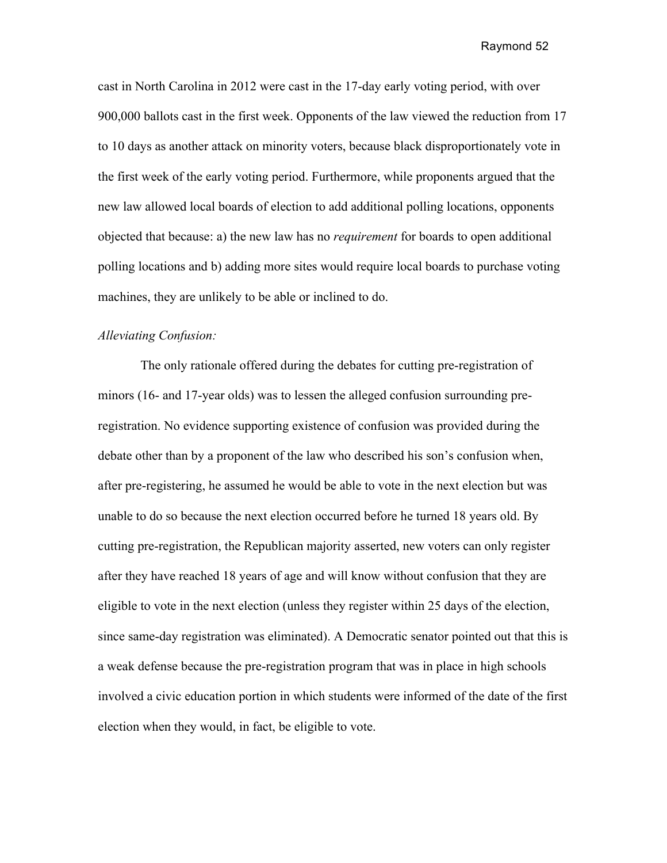cast in North Carolina in 2012 were cast in the 17-day early voting period, with over 900,000 ballots cast in the first week. Opponents of the law viewed the reduction from 17 to 10 days as another attack on minority voters, because black disproportionately vote in the first week of the early voting period. Furthermore, while proponents argued that the new law allowed local boards of election to add additional polling locations, opponents objected that because: a) the new law has no *requirement* for boards to open additional polling locations and b) adding more sites would require local boards to purchase voting machines, they are unlikely to be able or inclined to do.

# *Alleviating Confusion:*

The only rationale offered during the debates for cutting pre-registration of minors (16- and 17-year olds) was to lessen the alleged confusion surrounding preregistration. No evidence supporting existence of confusion was provided during the debate other than by a proponent of the law who described his son's confusion when, after pre-registering, he assumed he would be able to vote in the next election but was unable to do so because the next election occurred before he turned 18 years old. By cutting pre-registration, the Republican majority asserted, new voters can only register after they have reached 18 years of age and will know without confusion that they are eligible to vote in the next election (unless they register within 25 days of the election, since same-day registration was eliminated). A Democratic senator pointed out that this is a weak defense because the pre-registration program that was in place in high schools involved a civic education portion in which students were informed of the date of the first election when they would, in fact, be eligible to vote.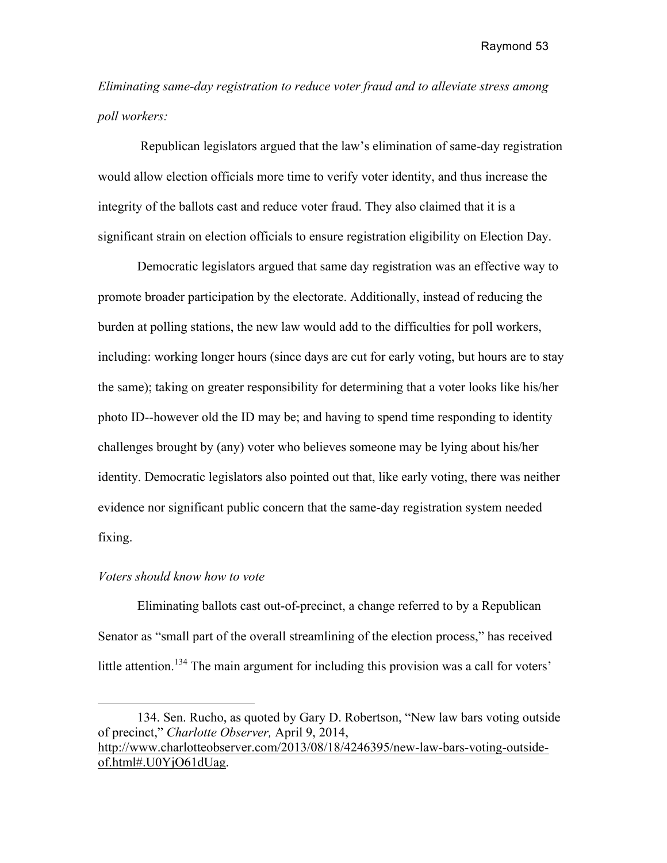*Eliminating same-day registration to reduce voter fraud and to alleviate stress among poll workers:*

Republican legislators argued that the law's elimination of same-day registration would allow election officials more time to verify voter identity, and thus increase the integrity of the ballots cast and reduce voter fraud. They also claimed that it is a significant strain on election officials to ensure registration eligibility on Election Day.

Democratic legislators argued that same day registration was an effective way to promote broader participation by the electorate. Additionally, instead of reducing the burden at polling stations, the new law would add to the difficulties for poll workers, including: working longer hours (since days are cut for early voting, but hours are to stay the same); taking on greater responsibility for determining that a voter looks like his/her photo ID--however old the ID may be; and having to spend time responding to identity challenges brought by (any) voter who believes someone may be lying about his/her identity. Democratic legislators also pointed out that, like early voting, there was neither evidence nor significant public concern that the same-day registration system needed fixing.

#### *Voters should know how to vote*

Eliminating ballots cast out-of-precinct, a change referred to by a Republican Senator as "small part of the overall streamlining of the election process," has received little attention.<sup>134</sup> The main argument for including this provision was a call for voters'

<sup>134.</sup> Sen. Rucho, as quoted by Gary D. Robertson, "New law bars voting outside of precinct," *Charlotte Observer,* April 9, 2014, http://www.charlotteobserver.com/2013/08/18/4246395/new-law-bars-voting-outsideof.html#.U0YjO61dUag.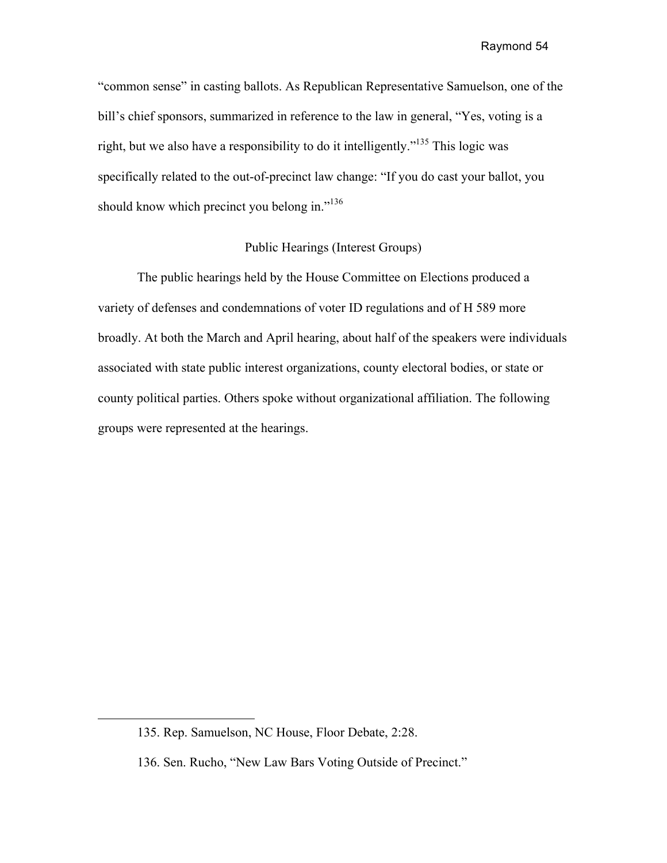"common sense" in casting ballots. As Republican Representative Samuelson, one of the bill's chief sponsors, summarized in reference to the law in general, "Yes, voting is a right, but we also have a responsibility to do it intelligently."<sup>135</sup> This logic was specifically related to the out-of-precinct law change: "If you do cast your ballot, you should know which precinct you belong in."<sup>136</sup>

## Public Hearings (Interest Groups)

The public hearings held by the House Committee on Elections produced a variety of defenses and condemnations of voter ID regulations and of H 589 more broadly. At both the March and April hearing, about half of the speakers were individuals associated with state public interest organizations, county electoral bodies, or state or county political parties. Others spoke without organizational affiliation. The following groups were represented at the hearings.

<sup>135.</sup> Rep. Samuelson, NC House, Floor Debate, 2:28.

<sup>136.</sup> Sen. Rucho, "New Law Bars Voting Outside of Precinct."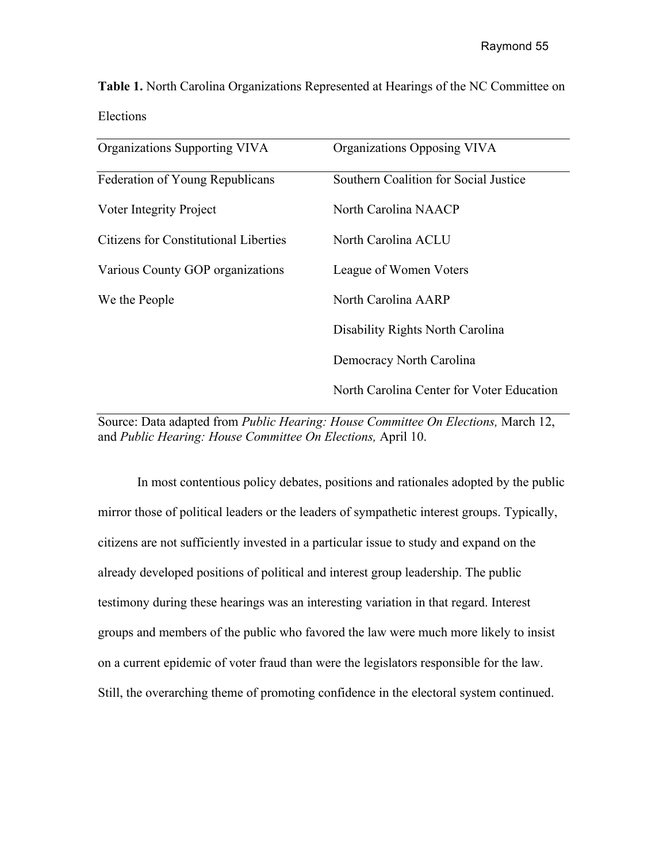**Table 1.** North Carolina Organizations Represented at Hearings of the NC Committee on Elections

| Organizations Supporting VIVA         | Organizations Opposing VIVA               |
|---------------------------------------|-------------------------------------------|
| Federation of Young Republicans       | Southern Coalition for Social Justice     |
| Voter Integrity Project               | North Carolina NAACP                      |
| Citizens for Constitutional Liberties | North Carolina ACLU                       |
| Various County GOP organizations      | League of Women Voters                    |
| We the People                         | North Carolina AARP                       |
|                                       | Disability Rights North Carolina          |
|                                       | Democracy North Carolina                  |
|                                       | North Carolina Center for Voter Education |

Source: Data adapted from *Public Hearing: House Committee On Elections,* March 12, and *Public Hearing: House Committee On Elections,* April 10.

In most contentious policy debates, positions and rationales adopted by the public mirror those of political leaders or the leaders of sympathetic interest groups. Typically, citizens are not sufficiently invested in a particular issue to study and expand on the already developed positions of political and interest group leadership. The public testimony during these hearings was an interesting variation in that regard. Interest groups and members of the public who favored the law were much more likely to insist on a current epidemic of voter fraud than were the legislators responsible for the law. Still, the overarching theme of promoting confidence in the electoral system continued.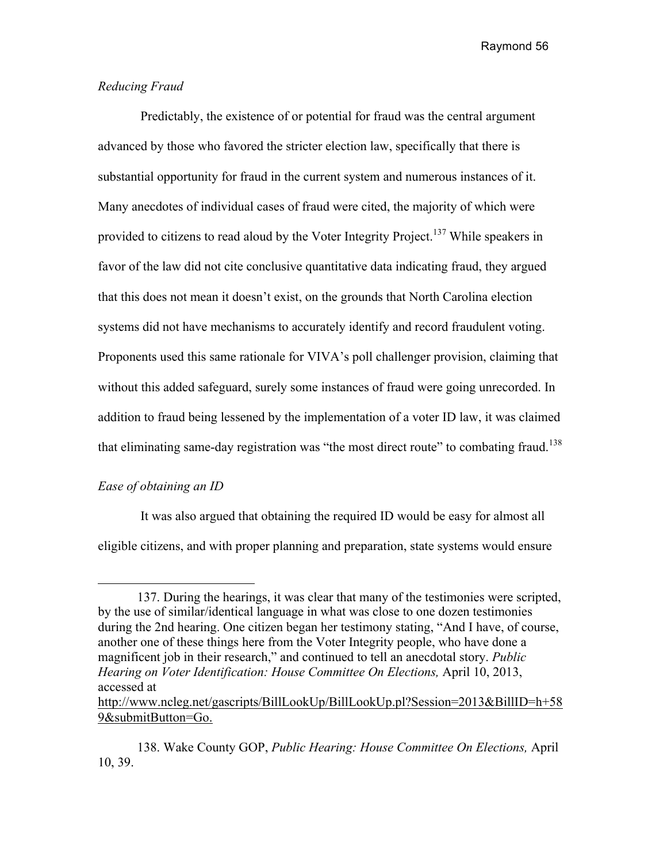# *Reducing Fraud*

Predictably, the existence of or potential for fraud was the central argument advanced by those who favored the stricter election law, specifically that there is substantial opportunity for fraud in the current system and numerous instances of it. Many anecdotes of individual cases of fraud were cited, the majority of which were provided to citizens to read aloud by the Voter Integrity Project.<sup>137</sup> While speakers in favor of the law did not cite conclusive quantitative data indicating fraud, they argued that this does not mean it doesn't exist, on the grounds that North Carolina election systems did not have mechanisms to accurately identify and record fraudulent voting. Proponents used this same rationale for VIVA's poll challenger provision, claiming that without this added safeguard, surely some instances of fraud were going unrecorded. In addition to fraud being lessened by the implementation of a voter ID law, it was claimed that eliminating same-day registration was "the most direct route" to combating fraud.<sup>138</sup>

## *Ease of obtaining an ID*

It was also argued that obtaining the required ID would be easy for almost all eligible citizens, and with proper planning and preparation, state systems would ensure

http://www.ncleg.net/gascripts/BillLookUp/BillLookUp.pl?Session=2013&BillID=h+58 9&submitButton=Go.

<sup>137.</sup> During the hearings, it was clear that many of the testimonies were scripted, by the use of similar/identical language in what was close to one dozen testimonies during the 2nd hearing. One citizen began her testimony stating, "And I have, of course, another one of these things here from the Voter Integrity people, who have done a magnificent job in their research," and continued to tell an anecdotal story. *Public Hearing on Voter Identification: House Committee On Elections,* April 10, 2013, accessed at

<sup>138.</sup> Wake County GOP, *Public Hearing: House Committee On Elections,* April 10, 39.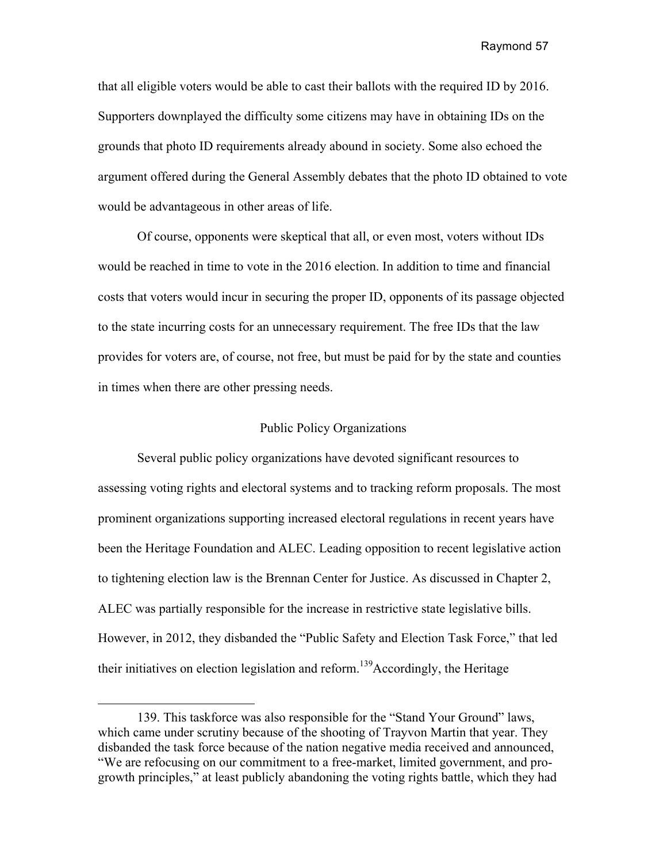that all eligible voters would be able to cast their ballots with the required ID by 2016. Supporters downplayed the difficulty some citizens may have in obtaining IDs on the grounds that photo ID requirements already abound in society. Some also echoed the argument offered during the General Assembly debates that the photo ID obtained to vote would be advantageous in other areas of life.

 Of course, opponents were skeptical that all, or even most, voters without IDs would be reached in time to vote in the 2016 election. In addition to time and financial costs that voters would incur in securing the proper ID, opponents of its passage objected to the state incurring costs for an unnecessary requirement. The free IDs that the law provides for voters are, of course, not free, but must be paid for by the state and counties in times when there are other pressing needs.

## Public Policy Organizations

Several public policy organizations have devoted significant resources to assessing voting rights and electoral systems and to tracking reform proposals. The most prominent organizations supporting increased electoral regulations in recent years have been the Heritage Foundation and ALEC. Leading opposition to recent legislative action to tightening election law is the Brennan Center for Justice. As discussed in Chapter 2, ALEC was partially responsible for the increase in restrictive state legislative bills. However, in 2012, they disbanded the "Public Safety and Election Task Force," that led their initiatives on election legislation and reform.<sup>139</sup>Accordingly, the Heritage

<sup>139.</sup> This taskforce was also responsible for the "Stand Your Ground" laws, which came under scrutiny because of the shooting of Trayvon Martin that year. They disbanded the task force because of the nation negative media received and announced, "We are refocusing on our commitment to a free-market, limited government, and progrowth principles," at least publicly abandoning the voting rights battle, which they had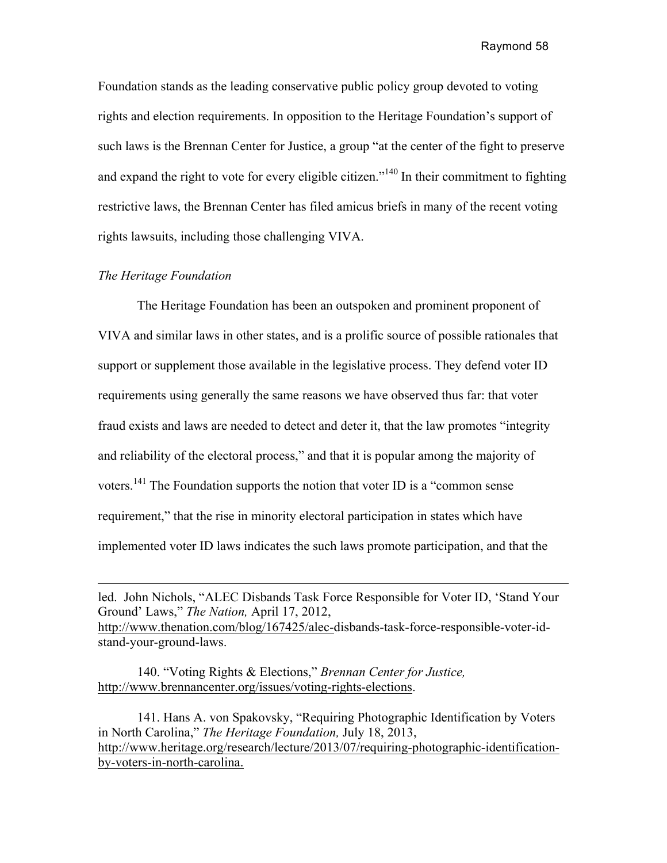Foundation stands as the leading conservative public policy group devoted to voting rights and election requirements. In opposition to the Heritage Foundation's support of such laws is the Brennan Center for Justice, a group "at the center of the fight to preserve and expand the right to vote for every eligible citizen."<sup>140</sup> In their commitment to fighting restrictive laws, the Brennan Center has filed amicus briefs in many of the recent voting rights lawsuits, including those challenging VIVA.

### *The Heritage Foundation*

 The Heritage Foundation has been an outspoken and prominent proponent of VIVA and similar laws in other states, and is a prolific source of possible rationales that support or supplement those available in the legislative process. They defend voter ID requirements using generally the same reasons we have observed thus far: that voter fraud exists and laws are needed to detect and deter it, that the law promotes "integrity and reliability of the electoral process," and that it is popular among the majority of voters.<sup>141</sup> The Foundation supports the notion that voter ID is a "common sense requirement," that the rise in minority electoral participation in states which have implemented voter ID laws indicates the such laws promote participation, and that the

140. "Voting Rights & Elections," *Brennan Center for Justice,*  http://www.brennancenter.org/issues/voting-rights-elections.

141. Hans A. von Spakovsky, "Requiring Photographic Identification by Voters in North Carolina," *The Heritage Foundation,* July 18, 2013, http://www.heritage.org/research/lecture/2013/07/requiring-photographic-identificationby-voters-in-north-carolina.

led. John Nichols, "ALEC Disbands Task Force Responsible for Voter ID, 'Stand Your Ground' Laws," *The Nation,* April 17, 2012, http://www.thenation.com/blog/167425/alec-disbands-task-force-responsible-voter-idstand-your-ground-laws.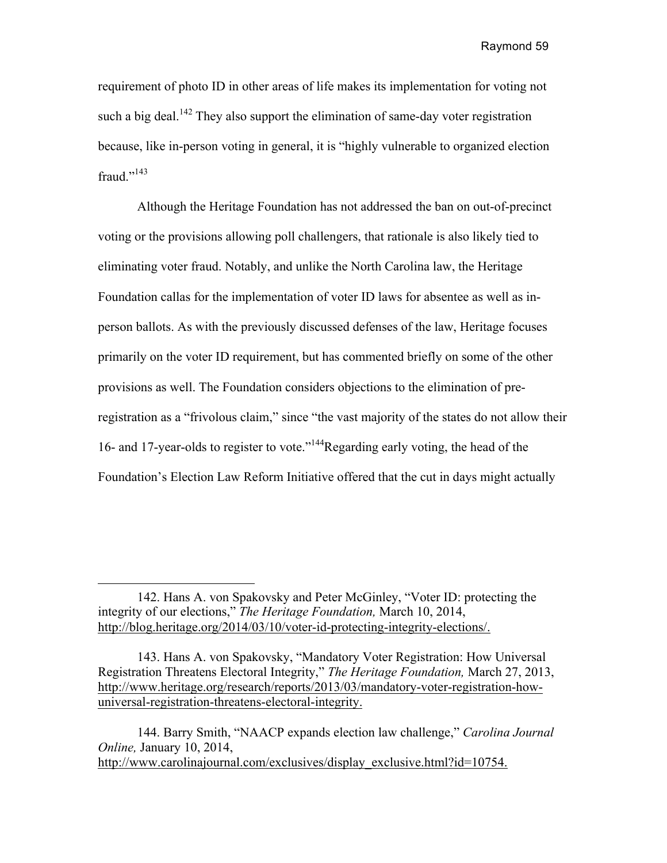requirement of photo ID in other areas of life makes its implementation for voting not such a big deal.<sup>142</sup> They also support the elimination of same-day voter registration because, like in-person voting in general, it is "highly vulnerable to organized election fraud $^{1143}$ 

Although the Heritage Foundation has not addressed the ban on out-of-precinct voting or the provisions allowing poll challengers, that rationale is also likely tied to eliminating voter fraud. Notably, and unlike the North Carolina law, the Heritage Foundation callas for the implementation of voter ID laws for absentee as well as inperson ballots. As with the previously discussed defenses of the law, Heritage focuses primarily on the voter ID requirement, but has commented briefly on some of the other provisions as well. The Foundation considers objections to the elimination of preregistration as a "frivolous claim," since "the vast majority of the states do not allow their 16- and 17-year-olds to register to vote."144Regarding early voting, the head of the Foundation's Election Law Reform Initiative offered that the cut in days might actually

<sup>142.</sup> Hans A. von Spakovsky and Peter McGinley, "Voter ID: protecting the integrity of our elections," *The Heritage Foundation,* March 10, 2014, http://blog.heritage.org/2014/03/10/voter-id-protecting-integrity-elections/.

<sup>143.</sup> Hans A. von Spakovsky, "Mandatory Voter Registration: How Universal Registration Threatens Electoral Integrity," *The Heritage Foundation,* March 27, 2013, http://www.heritage.org/research/reports/2013/03/mandatory-voter-registration-howuniversal-registration-threatens-electoral-integrity.

<sup>144.</sup> Barry Smith, "NAACP expands election law challenge," *Carolina Journal Online,* January 10, 2014, http://www.carolinajournal.com/exclusives/display\_exclusive.html?id=10754.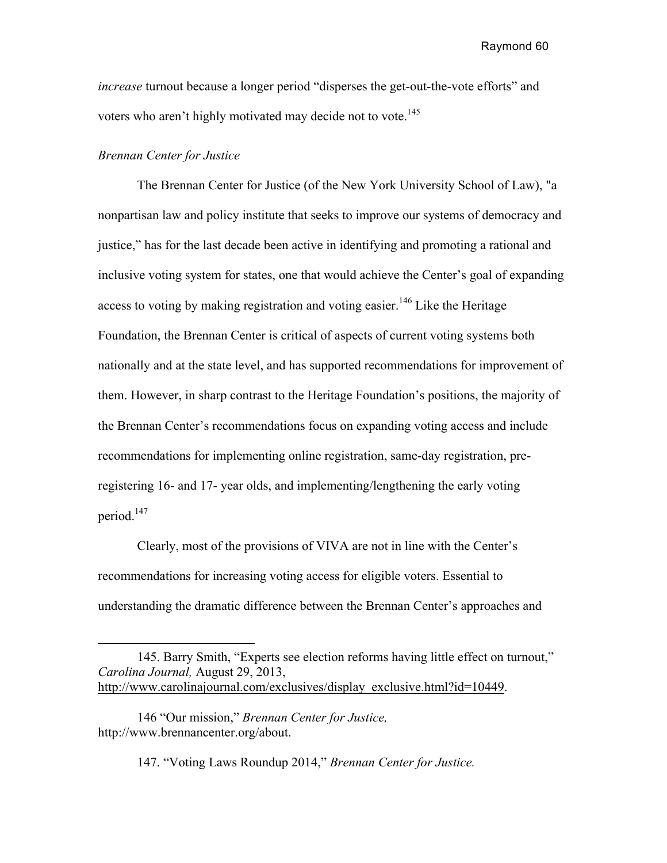*increase* turnout because a longer period "disperses the get-out-the-vote efforts" and voters who aren't highly motivated may decide not to vote.<sup>145</sup>

## *Brennan Center for Justice*

The Brennan Center for Justice (of the New York University School of Law), "a nonpartisan law and policy institute that seeks to improve our systems of democracy and justice," has for the last decade been active in identifying and promoting a rational and inclusive voting system for states, one that would achieve the Center's goal of expanding access to voting by making registration and voting easier.<sup>146</sup> Like the Heritage Foundation, the Brennan Center is critical of aspects of current voting systems both nationally and at the state level, and has supported recommendations for improvement of them. However, in sharp contrast to the Heritage Foundation's positions, the majority of the Brennan Center's recommendations focus on expanding voting access and include recommendations for implementing online registration, same-day registration, preregistering 16- and 17- year olds, and implementing/lengthening the early voting period.<sup>147</sup>

Clearly, most of the provisions of VIVA are not in line with the Center's recommendations for increasing voting access for eligible voters. Essential to understanding the dramatic difference between the Brennan Center's approaches and

147. "Voting Laws Roundup 2014," *Brennan Center for Justice.*

<sup>145.</sup> Barry Smith, "Experts see election reforms having little effect on turnout," *Carolina Journal,* August 29, 2013, http://www.carolinajournal.com/exclusives/display\_exclusive.html?id=10449.

<sup>146</sup> "Our mission," *Brennan Center for Justice,* http://www.brennancenter.org/about.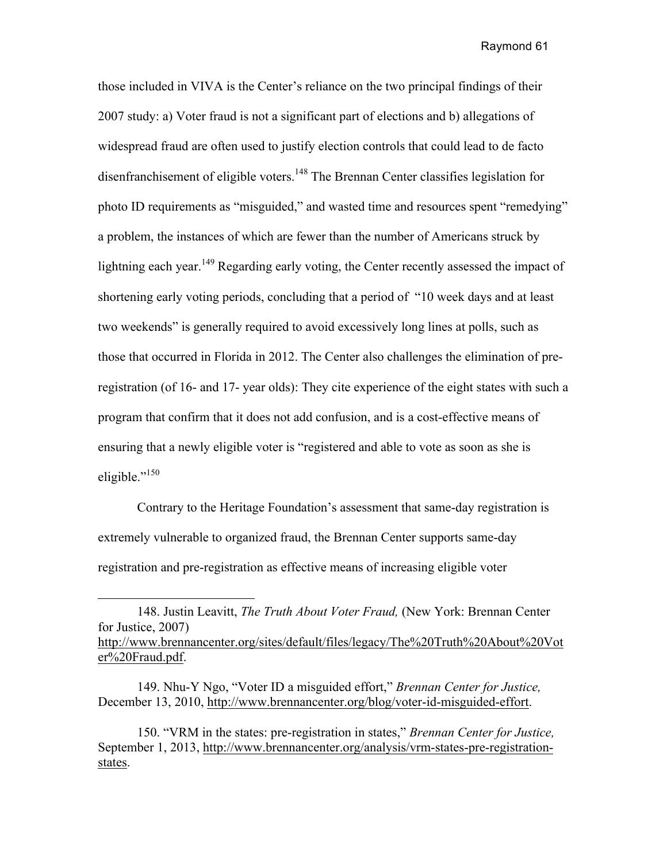those included in VIVA is the Center's reliance on the two principal findings of their 2007 study: a) Voter fraud is not a significant part of elections and b) allegations of widespread fraud are often used to justify election controls that could lead to de facto disenfranchisement of eligible voters.<sup>148</sup> The Brennan Center classifies legislation for photo ID requirements as "misguided," and wasted time and resources spent "remedying" a problem, the instances of which are fewer than the number of Americans struck by lightning each year.<sup>149</sup> Regarding early voting, the Center recently assessed the impact of shortening early voting periods, concluding that a period of "10 week days and at least two weekends" is generally required to avoid excessively long lines at polls, such as those that occurred in Florida in 2012. The Center also challenges the elimination of preregistration (of 16- and 17- year olds): They cite experience of the eight states with such a program that confirm that it does not add confusion, and is a cost-effective means of ensuring that a newly eligible voter is "registered and able to vote as soon as she is eligible."<sup>150</sup>

Contrary to the Heritage Foundation's assessment that same-day registration is extremely vulnerable to organized fraud, the Brennan Center supports same-day registration and pre-registration as effective means of increasing eligible voter

 $\overline{a}$ 

<sup>148.</sup> Justin Leavitt, *The Truth About Voter Fraud,* (New York: Brennan Center for Justice, 2007) http://www.brennancenter.org/sites/default/files/legacy/The%20Truth%20About%20Vot

er%20Fraud.pdf.

<sup>149.</sup> Nhu-Y Ngo, "Voter ID a misguided effort," *Brennan Center for Justice,*  December 13, 2010, http://www.brennancenter.org/blog/voter-id-misguided-effort.

<sup>150. &</sup>quot;VRM in the states: pre-registration in states," *Brennan Center for Justice,*  September 1, 2013, http://www.brennancenter.org/analysis/vrm-states-pre-registrationstates.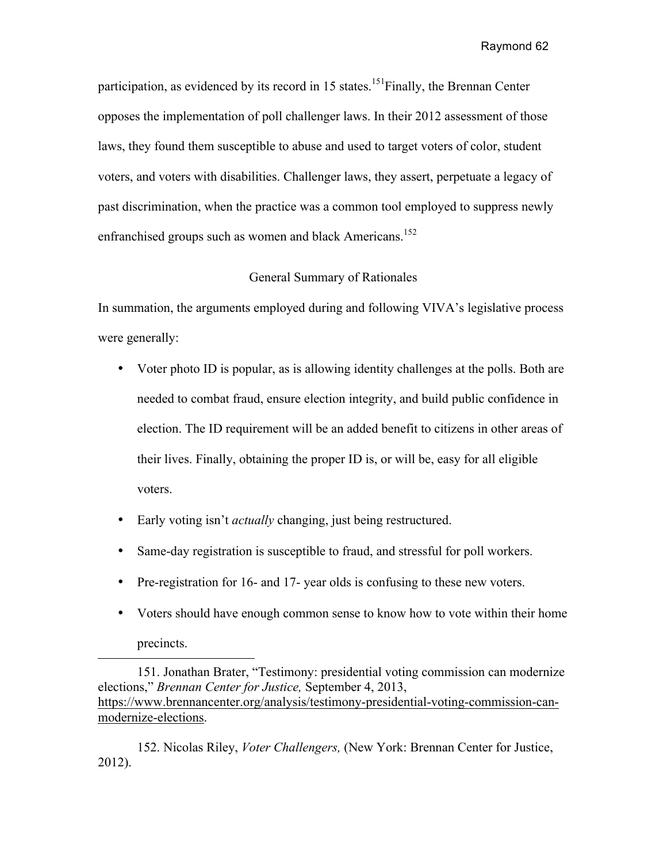participation, as evidenced by its record in 15 states.<sup>151</sup>Finally, the Brennan Center opposes the implementation of poll challenger laws. In their 2012 assessment of those laws, they found them susceptible to abuse and used to target voters of color, student voters, and voters with disabilities. Challenger laws, they assert, perpetuate a legacy of past discrimination, when the practice was a common tool employed to suppress newly enfranchised groups such as women and black Americans.<sup>152</sup>

# General Summary of Rationales

In summation, the arguments employed during and following VIVA's legislative process were generally:

- Voter photo ID is popular, as is allowing identity challenges at the polls. Both are needed to combat fraud, ensure election integrity, and build public confidence in election. The ID requirement will be an added benefit to citizens in other areas of their lives. Finally, obtaining the proper ID is, or will be, easy for all eligible voters.
- Early voting isn't *actually* changing, just being restructured.

- Same-day registration is susceptible to fraud, and stressful for poll workers.
- Pre-registration for 16- and 17- year olds is confusing to these new voters.
- Voters should have enough common sense to know how to vote within their home precincts.

151. Jonathan Brater, "Testimony: presidential voting commission can modernize elections," *Brennan Center for Justice,* September 4, 2013, https://www.brennancenter.org/analysis/testimony-presidential-voting-commission-canmodernize-elections.

152. Nicolas Riley, *Voter Challengers,* (New York: Brennan Center for Justice, 2012).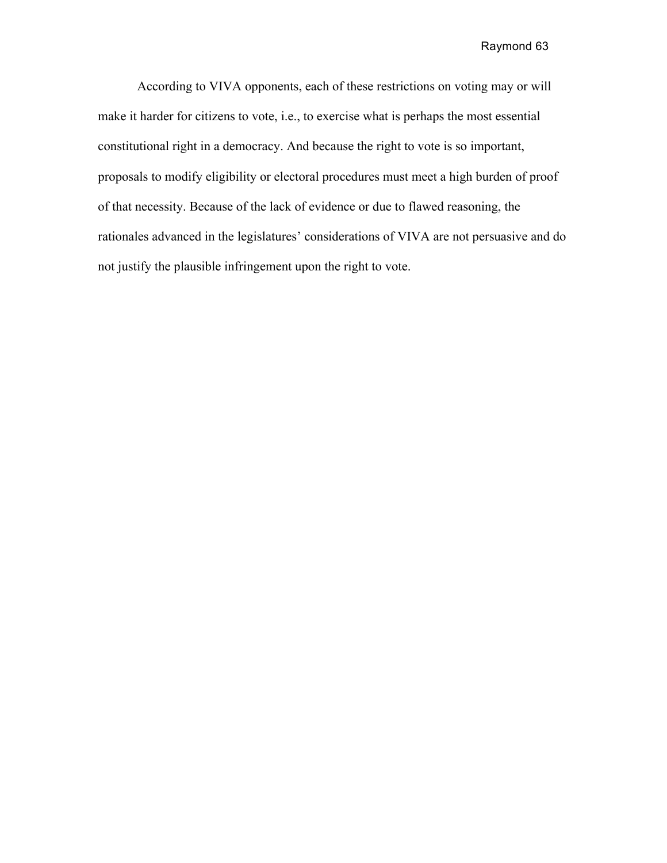According to VIVA opponents, each of these restrictions on voting may or will make it harder for citizens to vote, i.e., to exercise what is perhaps the most essential constitutional right in a democracy. And because the right to vote is so important, proposals to modify eligibility or electoral procedures must meet a high burden of proof of that necessity. Because of the lack of evidence or due to flawed reasoning, the rationales advanced in the legislatures' considerations of VIVA are not persuasive and do not justify the plausible infringement upon the right to vote.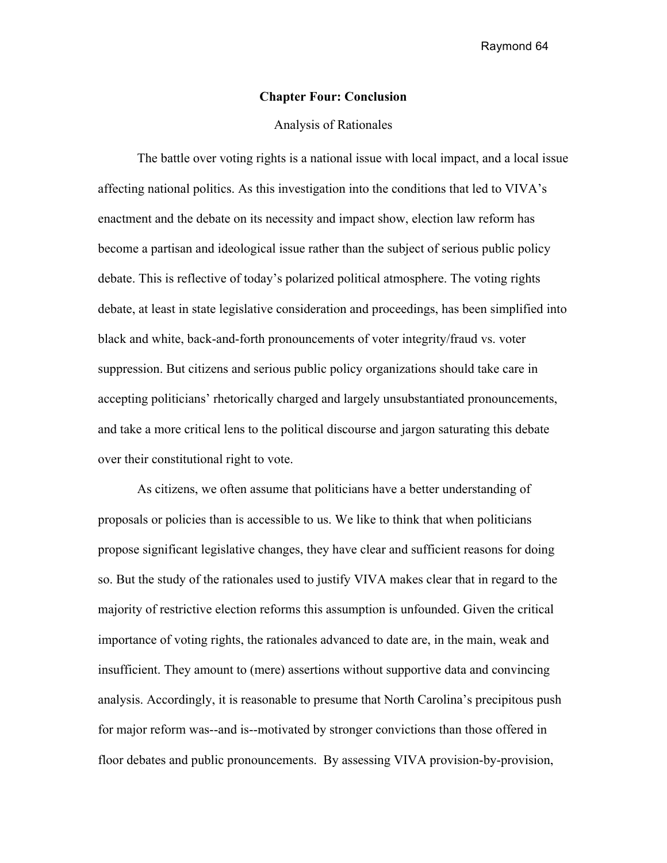# **Chapter Four: Conclusion**

### Analysis of Rationales

The battle over voting rights is a national issue with local impact, and a local issue affecting national politics. As this investigation into the conditions that led to VIVA's enactment and the debate on its necessity and impact show, election law reform has become a partisan and ideological issue rather than the subject of serious public policy debate. This is reflective of today's polarized political atmosphere. The voting rights debate, at least in state legislative consideration and proceedings, has been simplified into black and white, back-and-forth pronouncements of voter integrity/fraud vs. voter suppression. But citizens and serious public policy organizations should take care in accepting politicians' rhetorically charged and largely unsubstantiated pronouncements, and take a more critical lens to the political discourse and jargon saturating this debate over their constitutional right to vote.

As citizens, we often assume that politicians have a better understanding of proposals or policies than is accessible to us. We like to think that when politicians propose significant legislative changes, they have clear and sufficient reasons for doing so. But the study of the rationales used to justify VIVA makes clear that in regard to the majority of restrictive election reforms this assumption is unfounded. Given the critical importance of voting rights, the rationales advanced to date are, in the main, weak and insufficient. They amount to (mere) assertions without supportive data and convincing analysis. Accordingly, it is reasonable to presume that North Carolina's precipitous push for major reform was--and is--motivated by stronger convictions than those offered in floor debates and public pronouncements. By assessing VIVA provision-by-provision,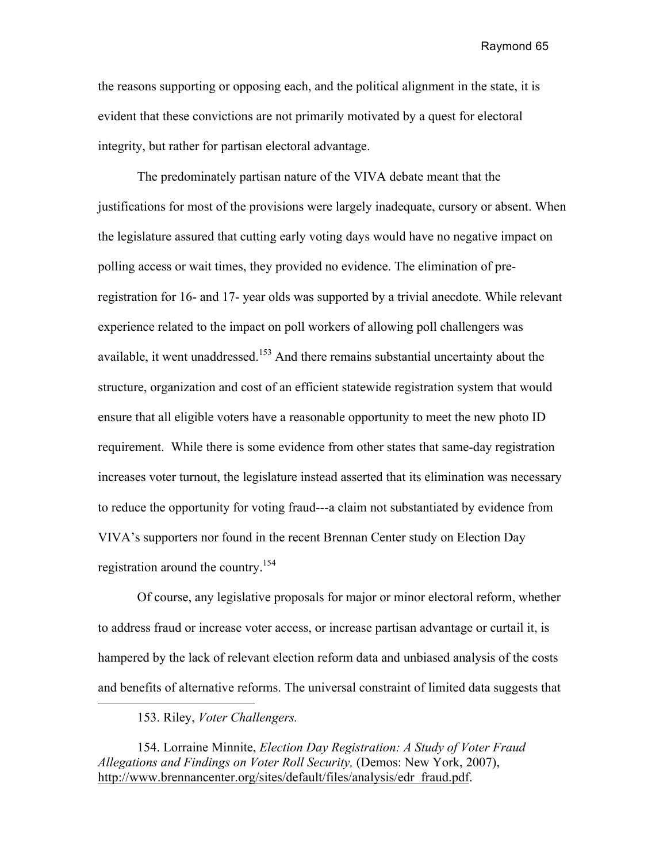the reasons supporting or opposing each, and the political alignment in the state, it is evident that these convictions are not primarily motivated by a quest for electoral integrity, but rather for partisan electoral advantage.

The predominately partisan nature of the VIVA debate meant that the justifications for most of the provisions were largely inadequate, cursory or absent. When the legislature assured that cutting early voting days would have no negative impact on polling access or wait times, they provided no evidence. The elimination of preregistration for 16- and 17- year olds was supported by a trivial anecdote. While relevant experience related to the impact on poll workers of allowing poll challengers was available, it went unaddressed.<sup>153</sup> And there remains substantial uncertainty about the structure, organization and cost of an efficient statewide registration system that would ensure that all eligible voters have a reasonable opportunity to meet the new photo ID requirement. While there is some evidence from other states that same-day registration increases voter turnout, the legislature instead asserted that its elimination was necessary to reduce the opportunity for voting fraud---a claim not substantiated by evidence from VIVA's supporters nor found in the recent Brennan Center study on Election Day registration around the country.154

Of course, any legislative proposals for major or minor electoral reform, whether to address fraud or increase voter access, or increase partisan advantage or curtail it, is hampered by the lack of relevant election reform data and unbiased analysis of the costs and benefits of alternative reforms. The universal constraint of limited data suggests that

153. Riley, *Voter Challengers.*

154. Lorraine Minnite, *Election Day Registration: A Study of Voter Fraud Allegations and Findings on Voter Roll Security,* (Demos: New York, 2007), http://www.brennancenter.org/sites/default/files/analysis/edr\_fraud.pdf.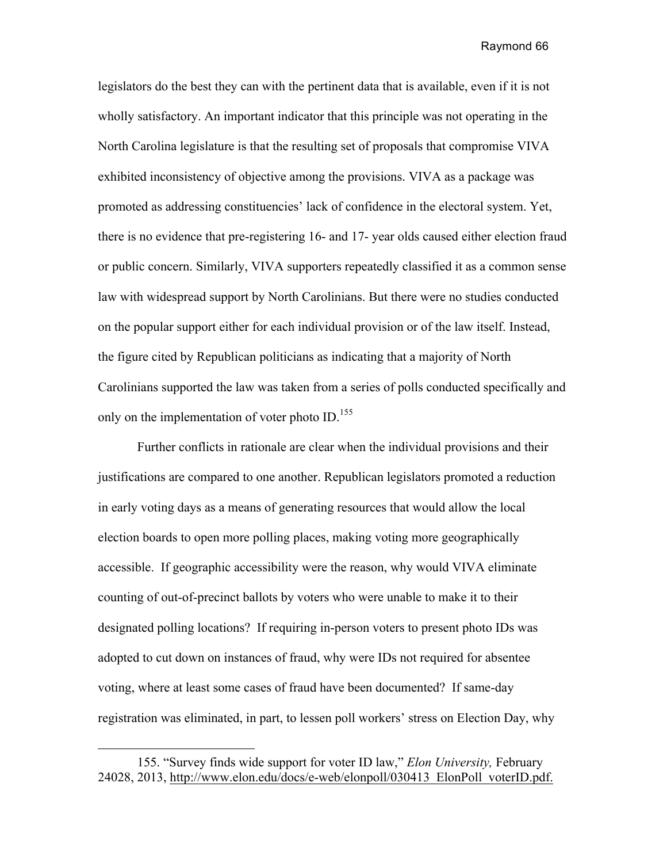legislators do the best they can with the pertinent data that is available, even if it is not wholly satisfactory. An important indicator that this principle was not operating in the North Carolina legislature is that the resulting set of proposals that compromise VIVA exhibited inconsistency of objective among the provisions. VIVA as a package was promoted as addressing constituencies' lack of confidence in the electoral system. Yet, there is no evidence that pre-registering 16- and 17- year olds caused either election fraud or public concern. Similarly, VIVA supporters repeatedly classified it as a common sense law with widespread support by North Carolinians. But there were no studies conducted on the popular support either for each individual provision or of the law itself. Instead, the figure cited by Republican politicians as indicating that a majority of North Carolinians supported the law was taken from a series of polls conducted specifically and only on the implementation of voter photo ID.<sup>155</sup>

Further conflicts in rationale are clear when the individual provisions and their justifications are compared to one another. Republican legislators promoted a reduction in early voting days as a means of generating resources that would allow the local election boards to open more polling places, making voting more geographically accessible. If geographic accessibility were the reason, why would VIVA eliminate counting of out-of-precinct ballots by voters who were unable to make it to their designated polling locations? If requiring in-person voters to present photo IDs was adopted to cut down on instances of fraud, why were IDs not required for absentee voting, where at least some cases of fraud have been documented? If same-day registration was eliminated, in part, to lessen poll workers' stress on Election Day, why

 $\overline{a}$ 

<sup>155.</sup> "Survey finds wide support for voter ID law," *Elon University,* February 24028, 2013, http://www.elon.edu/docs/e-web/elonpoll/030413\_ElonPoll\_voterID.pdf.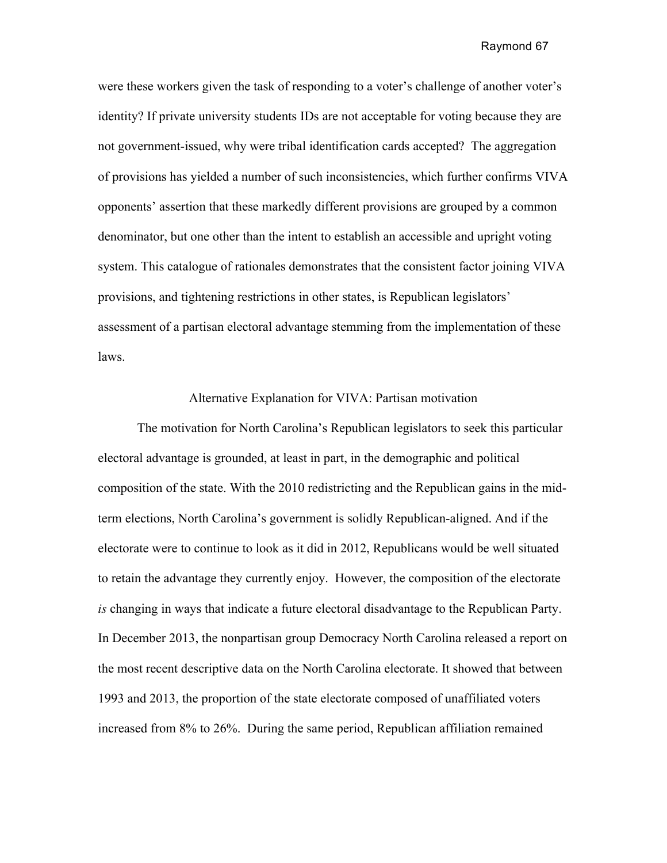were these workers given the task of responding to a voter's challenge of another voter's identity? If private university students IDs are not acceptable for voting because they are not government-issued, why were tribal identification cards accepted? The aggregation of provisions has yielded a number of such inconsistencies, which further confirms VIVA opponents' assertion that these markedly different provisions are grouped by a common denominator, but one other than the intent to establish an accessible and upright voting system. This catalogue of rationales demonstrates that the consistent factor joining VIVA provisions, and tightening restrictions in other states, is Republican legislators' assessment of a partisan electoral advantage stemming from the implementation of these laws.

### Alternative Explanation for VIVA: Partisan motivation

The motivation for North Carolina's Republican legislators to seek this particular electoral advantage is grounded, at least in part, in the demographic and political composition of the state. With the 2010 redistricting and the Republican gains in the midterm elections, North Carolina's government is solidly Republican-aligned. And if the electorate were to continue to look as it did in 2012, Republicans would be well situated to retain the advantage they currently enjoy. However, the composition of the electorate *is* changing in ways that indicate a future electoral disadvantage to the Republican Party. In December 2013, the nonpartisan group Democracy North Carolina released a report on the most recent descriptive data on the North Carolina electorate. It showed that between 1993 and 2013, the proportion of the state electorate composed of unaffiliated voters increased from 8% to 26%. During the same period, Republican affiliation remained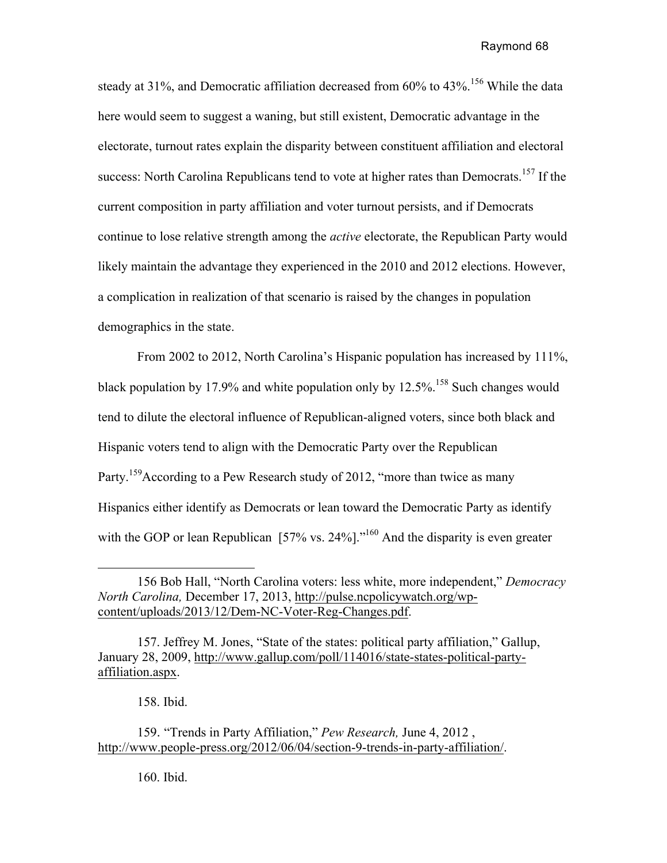steady at 31%, and Democratic affiliation decreased from 60% to 43%.<sup>156</sup> While the data here would seem to suggest a waning, but still existent, Democratic advantage in the electorate, turnout rates explain the disparity between constituent affiliation and electoral success: North Carolina Republicans tend to vote at higher rates than Democrats.<sup>157</sup> If the current composition in party affiliation and voter turnout persists, and if Democrats continue to lose relative strength among the *active* electorate, the Republican Party would likely maintain the advantage they experienced in the 2010 and 2012 elections. However, a complication in realization of that scenario is raised by the changes in population demographics in the state.

From 2002 to 2012, North Carolina's Hispanic population has increased by 111%, black population by 17.9% and white population only by 12.5%.<sup>158</sup> Such changes would tend to dilute the electoral influence of Republican-aligned voters, since both black and Hispanic voters tend to align with the Democratic Party over the Republican Party.<sup>159</sup>According to a Pew Research study of 2012, "more than twice as many Hispanics either identify as Democrats or lean toward the Democratic Party as identify with the GOP or lean Republican [57% vs. 24%]."<sup>160</sup> And the disparity is even greater

158. Ibid.

160. Ibid.

<sup>156</sup> Bob Hall, "North Carolina voters: less white, more independent," *Democracy North Carolina,* December 17, 2013, http://pulse.ncpolicywatch.org/wpcontent/uploads/2013/12/Dem-NC-Voter-Reg-Changes.pdf.

<sup>157.</sup> Jeffrey M. Jones, "State of the states: political party affiliation," Gallup, January 28, 2009, http://www.gallup.com/poll/114016/state-states-political-partyaffiliation.aspx.

<sup>159</sup>. "Trends in Party Affiliation," *Pew Research,* June 4, 2012 , http://www.people-press.org/2012/06/04/section-9-trends-in-party-affiliation/.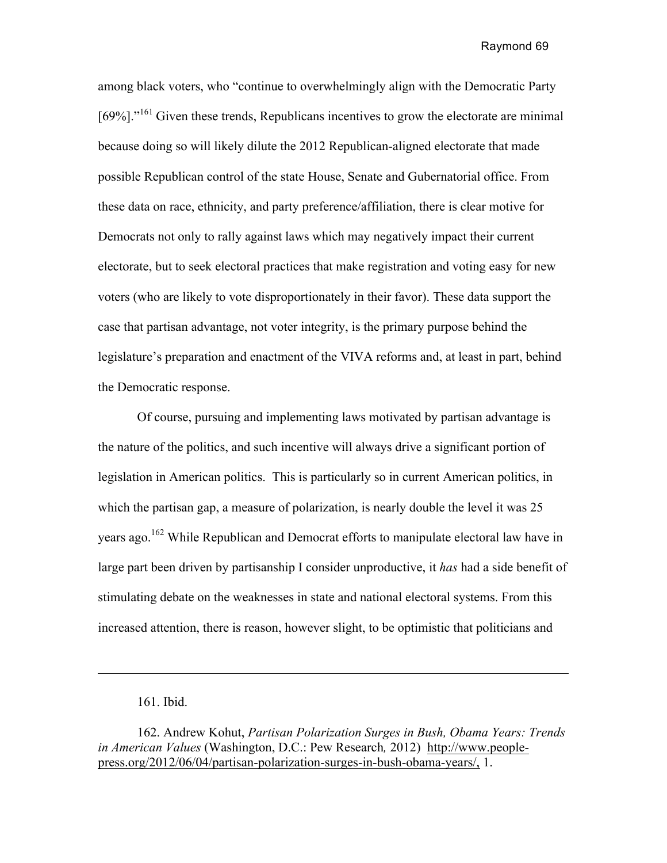among black voters, who "continue to overwhelmingly align with the Democratic Party  $[69\%]$ ."<sup>161</sup> Given these trends, Republicans incentives to grow the electorate are minimal because doing so will likely dilute the 2012 Republican-aligned electorate that made possible Republican control of the state House, Senate and Gubernatorial office. From these data on race, ethnicity, and party preference/affiliation, there is clear motive for Democrats not only to rally against laws which may negatively impact their current electorate, but to seek electoral practices that make registration and voting easy for new voters (who are likely to vote disproportionately in their favor). These data support the case that partisan advantage, not voter integrity, is the primary purpose behind the legislature's preparation and enactment of the VIVA reforms and, at least in part, behind the Democratic response.

Of course, pursuing and implementing laws motivated by partisan advantage is the nature of the politics, and such incentive will always drive a significant portion of legislation in American politics. This is particularly so in current American politics, in which the partisan gap, a measure of polarization, is nearly double the level it was 25 years ago.<sup>162</sup> While Republican and Democrat efforts to manipulate electoral law have in large part been driven by partisanship I consider unproductive, it *has* had a side benefit of stimulating debate on the weaknesses in state and national electoral systems. From this increased attention, there is reason, however slight, to be optimistic that politicians and

<sup>161.</sup> Ibid.

<sup>162.</sup> Andrew Kohut, *Partisan Polarization Surges in Bush, Obama Years: Trends in American Values* (Washington, D.C.: Pew Research*,* 2012) http://www.peoplepress.org/2012/06/04/partisan-polarization-surges-in-bush-obama-years/, 1.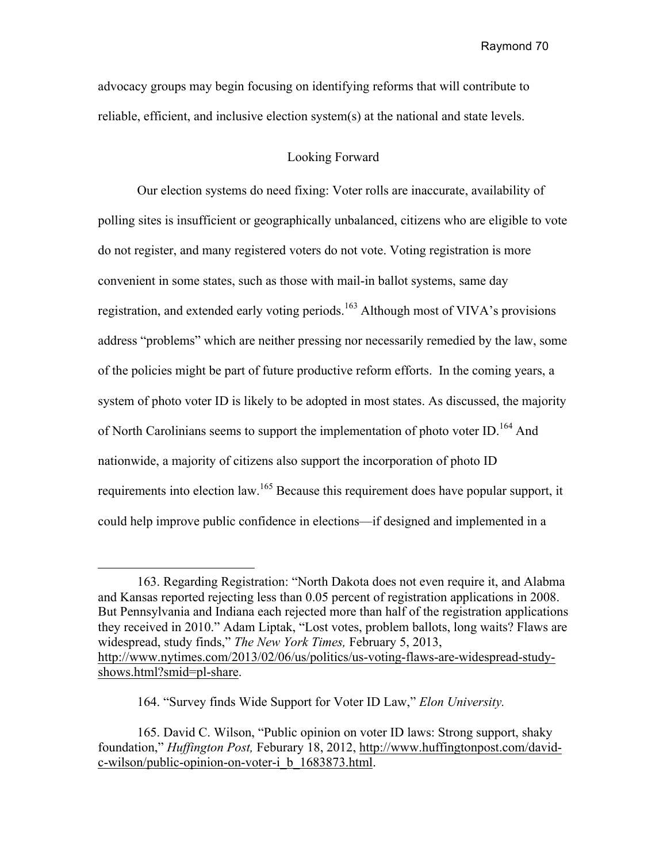advocacy groups may begin focusing on identifying reforms that will contribute to reliable, efficient, and inclusive election system(s) at the national and state levels.

### Looking Forward

Our election systems do need fixing: Voter rolls are inaccurate, availability of polling sites is insufficient or geographically unbalanced, citizens who are eligible to vote do not register, and many registered voters do not vote. Voting registration is more convenient in some states, such as those with mail-in ballot systems, same day registration, and extended early voting periods.<sup>163</sup> Although most of VIVA's provisions address "problems" which are neither pressing nor necessarily remedied by the law, some of the policies might be part of future productive reform efforts. In the coming years, a system of photo voter ID is likely to be adopted in most states. As discussed, the majority of North Carolinians seems to support the implementation of photo voter ID.<sup>164</sup> And nationwide, a majority of citizens also support the incorporation of photo ID requirements into election law.165 Because this requirement does have popular support, it could help improve public confidence in elections—if designed and implemented in a

<sup>163.</sup> Regarding Registration: "North Dakota does not even require it, and Alabma and Kansas reported rejecting less than 0.05 percent of registration applications in 2008. But Pennsylvania and Indiana each rejected more than half of the registration applications they received in 2010." Adam Liptak, "Lost votes, problem ballots, long waits? Flaws are widespread, study finds," *The New York Times,* February 5, 2013, http://www.nytimes.com/2013/02/06/us/politics/us-voting-flaws-are-widespread-studyshows.html?smid=pl-share.

<sup>164. &</sup>quot;Survey finds Wide Support for Voter ID Law," *Elon University.*

<sup>165.</sup> David C. Wilson, "Public opinion on voter ID laws: Strong support, shaky foundation," *Huffington Post,* Feburary 18, 2012, http://www.huffingtonpost.com/davidc-wilson/public-opinion-on-voter-i\_b\_1683873.html.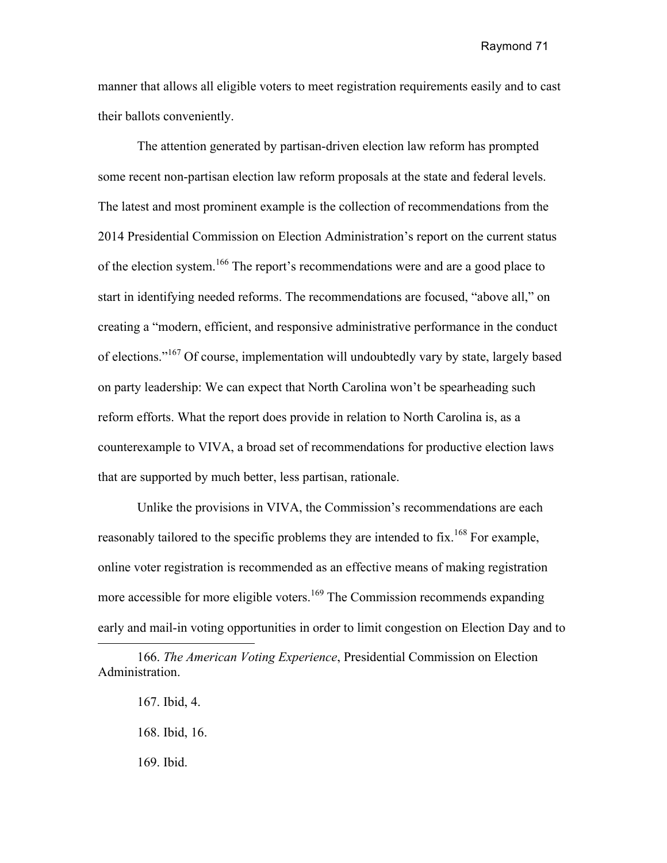manner that allows all eligible voters to meet registration requirements easily and to cast their ballots conveniently.

The attention generated by partisan-driven election law reform has prompted some recent non-partisan election law reform proposals at the state and federal levels. The latest and most prominent example is the collection of recommendations from the 2014 Presidential Commission on Election Administration's report on the current status of the election system.<sup>166</sup> The report's recommendations were and are a good place to start in identifying needed reforms. The recommendations are focused, "above all," on creating a "modern, efficient, and responsive administrative performance in the conduct of elections."<sup>167</sup> Of course, implementation will undoubtedly vary by state, largely based on party leadership: We can expect that North Carolina won't be spearheading such reform efforts. What the report does provide in relation to North Carolina is, as a counterexample to VIVA, a broad set of recommendations for productive election laws that are supported by much better, less partisan, rationale.

Unlike the provisions in VIVA, the Commission's recommendations are each reasonably tailored to the specific problems they are intended to fix.<sup>168</sup> For example, online voter registration is recommended as an effective means of making registration more accessible for more eligible voters.<sup>169</sup> The Commission recommends expanding early and mail-in voting opportunities in order to limit congestion on Election Day and to

169. Ibid.

<sup>166.</sup> *The American Voting Experience*, Presidential Commission on Election Administration.

<sup>167.</sup> Ibid, 4.

<sup>168.</sup> Ibid, 16.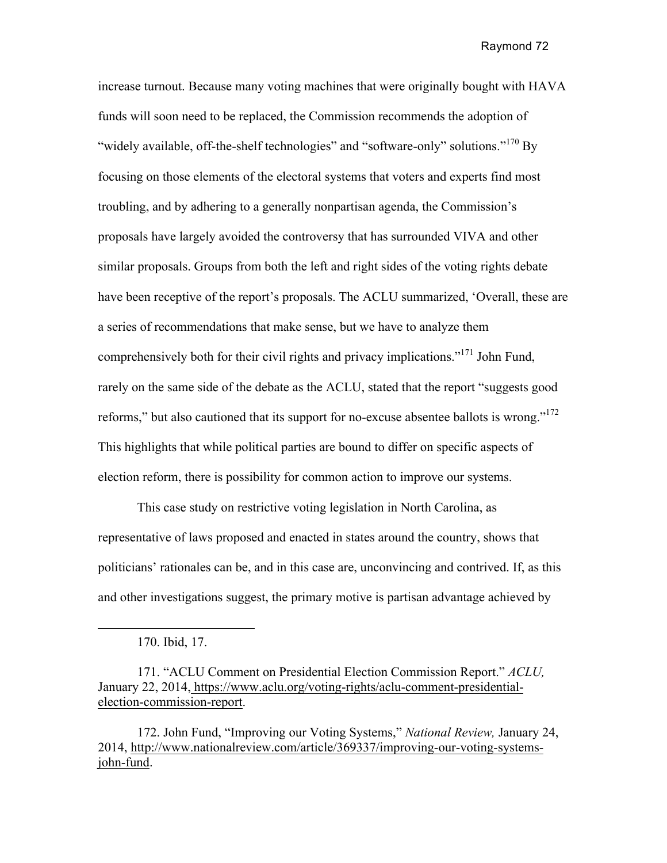increase turnout. Because many voting machines that were originally bought with HAVA funds will soon need to be replaced, the Commission recommends the adoption of "widely available, off-the-shelf technologies" and "software-only" solutions."<sup>170</sup> By focusing on those elements of the electoral systems that voters and experts find most troubling, and by adhering to a generally nonpartisan agenda, the Commission's proposals have largely avoided the controversy that has surrounded VIVA and other similar proposals. Groups from both the left and right sides of the voting rights debate have been receptive of the report's proposals. The ACLU summarized, 'Overall, these are a series of recommendations that make sense, but we have to analyze them comprehensively both for their civil rights and privacy implications."171 John Fund, rarely on the same side of the debate as the ACLU, stated that the report "suggests good reforms," but also cautioned that its support for no-excuse absentee ballots is wrong."<sup>172</sup> This highlights that while political parties are bound to differ on specific aspects of election reform, there is possibility for common action to improve our systems.

This case study on restrictive voting legislation in North Carolina, as representative of laws proposed and enacted in states around the country, shows that politicians' rationales can be, and in this case are, unconvincing and contrived. If, as this and other investigations suggest, the primary motive is partisan advantage achieved by

172. John Fund, "Improving our Voting Systems," *National Review,* January 24, 2014, http://www.nationalreview.com/article/369337/improving-our-voting-systemsjohn-fund.

<sup>170.</sup> Ibid, 17.

<sup>171. &</sup>quot;ACLU Comment on Presidential Election Commission Report." *ACLU,*  January 22, 2014, https://www.aclu.org/voting-rights/aclu-comment-presidentialelection-commission-report.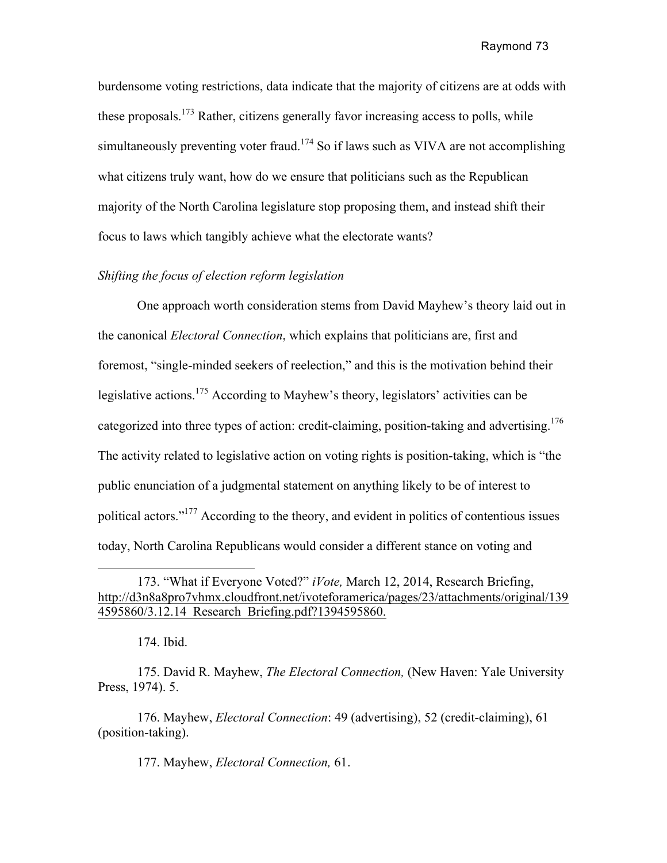burdensome voting restrictions, data indicate that the majority of citizens are at odds with these proposals.<sup>173</sup> Rather, citizens generally favor increasing access to polls, while simultaneously preventing voter fraud.<sup>174</sup> So if laws such as VIVA are not accomplishing what citizens truly want, how do we ensure that politicians such as the Republican majority of the North Carolina legislature stop proposing them, and instead shift their focus to laws which tangibly achieve what the electorate wants?

## *Shifting the focus of election reform legislation*

One approach worth consideration stems from David Mayhew's theory laid out in the canonical *Electoral Connection*, which explains that politicians are, first and foremost, "single-minded seekers of reelection," and this is the motivation behind their legislative actions.175 According to Mayhew's theory, legislators' activities can be categorized into three types of action: credit-claiming, position-taking and advertising.<sup>176</sup> The activity related to legislative action on voting rights is position-taking, which is "the public enunciation of a judgmental statement on anything likely to be of interest to political actors."177 According to the theory, and evident in politics of contentious issues today, North Carolina Republicans would consider a different stance on voting and

174. Ibid.

175. David R. Mayhew, *The Electoral Connection,* (New Haven: Yale University Press, 1974). 5.

176. Mayhew, *Electoral Connection*: 49 (advertising), 52 (credit-claiming), 61 (position-taking).

177. Mayhew, *Electoral Connection,* 61.

<sup>173. &</sup>quot;What if Everyone Voted?" *iVote,* March 12, 2014, Research Briefing, http://d3n8a8pro7vhmx.cloudfront.net/ivoteforamerica/pages/23/attachments/original/139 4595860/3.12.14\_Research\_Briefing.pdf?1394595860.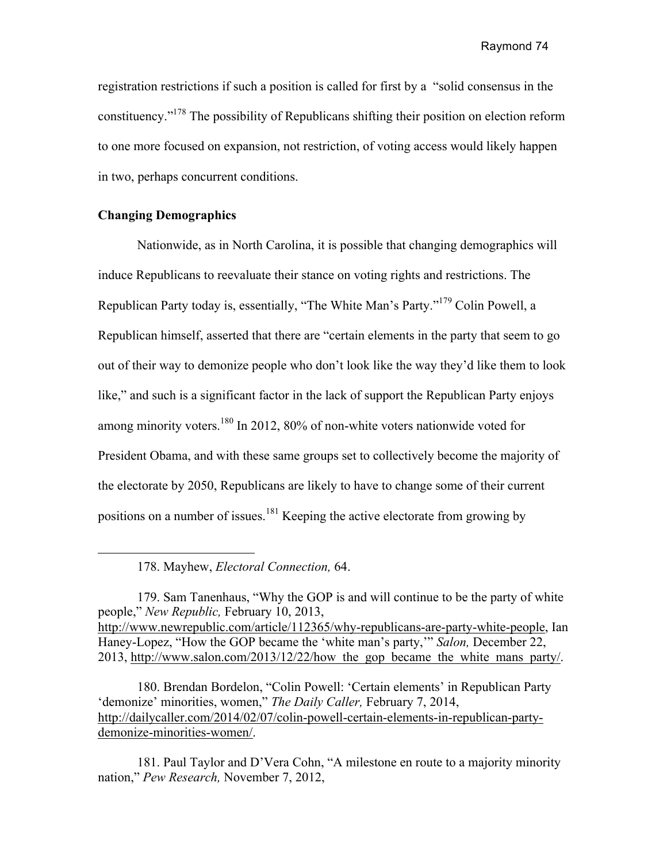registration restrictions if such a position is called for first by a "solid consensus in the constituency."178 The possibility of Republicans shifting their position on election reform to one more focused on expansion, not restriction, of voting access would likely happen in two, perhaps concurrent conditions.

## **Changing Demographics**

Nationwide, as in North Carolina, it is possible that changing demographics will induce Republicans to reevaluate their stance on voting rights and restrictions. The Republican Party today is, essentially, "The White Man's Party."<sup>179</sup> Colin Powell, a Republican himself, asserted that there are "certain elements in the party that seem to go out of their way to demonize people who don't look like the way they'd like them to look like," and such is a significant factor in the lack of support the Republican Party enjoys among minority voters.<sup>180</sup> In 2012, 80% of non-white voters nationwide voted for President Obama, and with these same groups set to collectively become the majority of the electorate by 2050, Republicans are likely to have to change some of their current positions on a number of issues.<sup>181</sup> Keeping the active electorate from growing by

178. Mayhew, *Electoral Connection,* 64.

179. Sam Tanenhaus, "Why the GOP is and will continue to be the party of white people," *New Republic,* February 10, 2013, http://www.newrepublic.com/article/112365/why-republicans-are-party-white-people, Ian Haney-Lopez, "How the GOP became the 'white man's party,'" *Salon,* December 22, 2013, http://www.salon.com/2013/12/22/how\_the\_gop\_became\_the\_white\_mans\_party/.

180. Brendan Bordelon, "Colin Powell: 'Certain elements' in Republican Party 'demonize' minorities, women," *The Daily Caller,* February 7, 2014, http://dailycaller.com/2014/02/07/colin-powell-certain-elements-in-republican-partydemonize-minorities-women/.

181. Paul Taylor and D'Vera Cohn, "A milestone en route to a majority minority nation," *Pew Research,* November 7, 2012,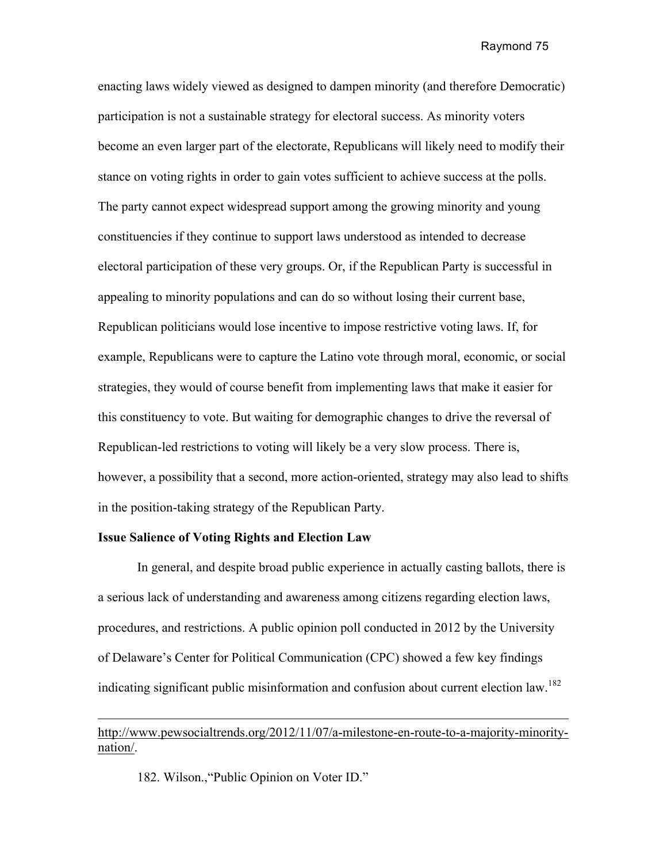enacting laws widely viewed as designed to dampen minority (and therefore Democratic) participation is not a sustainable strategy for electoral success. As minority voters become an even larger part of the electorate, Republicans will likely need to modify their stance on voting rights in order to gain votes sufficient to achieve success at the polls. The party cannot expect widespread support among the growing minority and young constituencies if they continue to support laws understood as intended to decrease electoral participation of these very groups. Or, if the Republican Party is successful in appealing to minority populations and can do so without losing their current base, Republican politicians would lose incentive to impose restrictive voting laws. If, for example, Republicans were to capture the Latino vote through moral, economic, or social strategies, they would of course benefit from implementing laws that make it easier for this constituency to vote. But waiting for demographic changes to drive the reversal of Republican-led restrictions to voting will likely be a very slow process. There is, however, a possibility that a second, more action-oriented, strategy may also lead to shifts in the position-taking strategy of the Republican Party.

### **Issue Salience of Voting Rights and Election Law**

In general, and despite broad public experience in actually casting ballots, there is a serious lack of understanding and awareness among citizens regarding election laws, procedures, and restrictions. A public opinion poll conducted in 2012 by the University of Delaware's Center for Political Communication (CPC) showed a few key findings indicating significant public misinformation and confusion about current election law.<sup>182</sup>

# http://www.pewsocialtrends.org/2012/11/07/a-milestone-en-route-to-a-majority-minoritynation/.

182. Wilson.,"Public Opinion on Voter ID."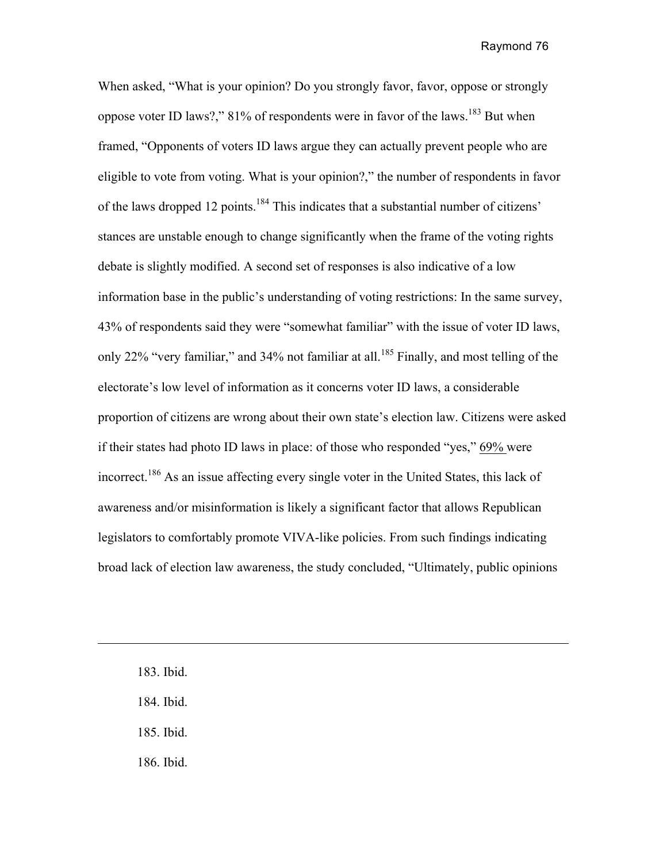When asked, "What is your opinion? Do you strongly favor, favor, oppose or strongly oppose voter ID laws?,"  $81\%$  of respondents were in favor of the laws.<sup>183</sup> But when framed, "Opponents of voters ID laws argue they can actually prevent people who are eligible to vote from voting. What is your opinion?," the number of respondents in favor of the laws dropped 12 points.<sup>184</sup> This indicates that a substantial number of citizens' stances are unstable enough to change significantly when the frame of the voting rights debate is slightly modified. A second set of responses is also indicative of a low information base in the public's understanding of voting restrictions: In the same survey, 43% of respondents said they were "somewhat familiar" with the issue of voter ID laws, only 22% "very familiar," and 34% not familiar at all.<sup>185</sup> Finally, and most telling of the electorate's low level of information as it concerns voter ID laws, a considerable proportion of citizens are wrong about their own state's election law. Citizens were asked if their states had photo ID laws in place: of those who responded "yes," 69% were incorrect.<sup>186</sup> As an issue affecting every single voter in the United States, this lack of awareness and/or misinformation is likely a significant factor that allows Republican legislators to comfortably promote VIVA-like policies. From such findings indicating broad lack of election law awareness, the study concluded, "Ultimately, public opinions

183. Ibid. 184. Ibid.

185. Ibid.

186. Ibid.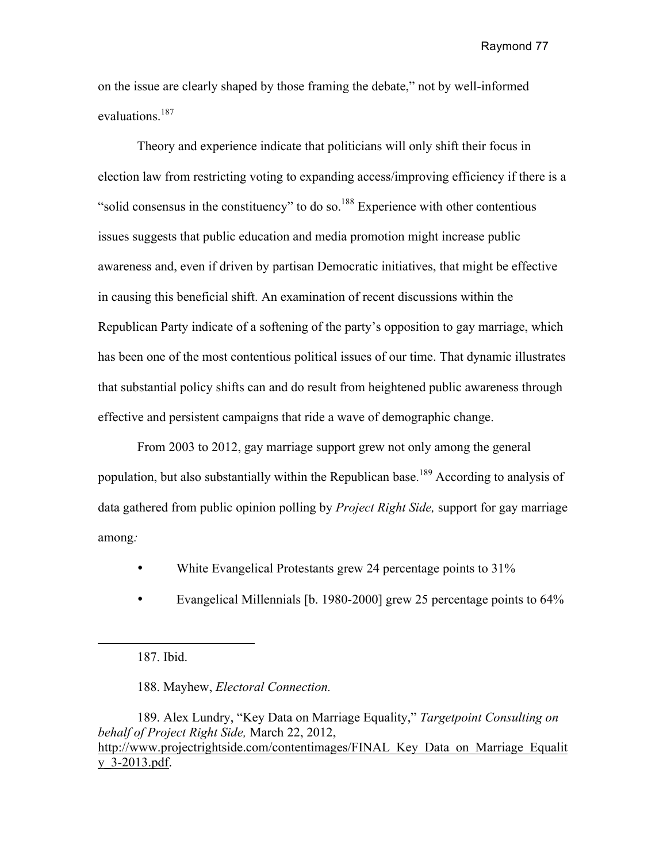on the issue are clearly shaped by those framing the debate," not by well-informed evaluations.<sup>187</sup>

Theory and experience indicate that politicians will only shift their focus in election law from restricting voting to expanding access/improving efficiency if there is a "solid consensus in the constituency" to do so.<sup>188</sup> Experience with other contentious issues suggests that public education and media promotion might increase public awareness and, even if driven by partisan Democratic initiatives, that might be effective in causing this beneficial shift. An examination of recent discussions within the Republican Party indicate of a softening of the party's opposition to gay marriage, which has been one of the most contentious political issues of our time. That dynamic illustrates that substantial policy shifts can and do result from heightened public awareness through effective and persistent campaigns that ride a wave of demographic change.

From 2003 to 2012, gay marriage support grew not only among the general population, but also substantially within the Republican base.<sup>189</sup> According to analysis of data gathered from public opinion polling by *Project Right Side,* support for gay marriage among*:*

- White Evangelical Protestants grew 24 percentage points to 31%
- Evangelical Millennials [b. 1980-2000] grew 25 percentage points to 64%

188. Mayhew, *Electoral Connection.*

189. Alex Lundry, "Key Data on Marriage Equality," *Targetpoint Consulting on behalf of Project Right Side,* March 22, 2012, http://www.projectrightside.com/contentimages/FINAL\_Key\_Data\_on\_Marriage\_Equalit\_ y\_3-2013.pdf.

<sup>187.</sup> Ibid.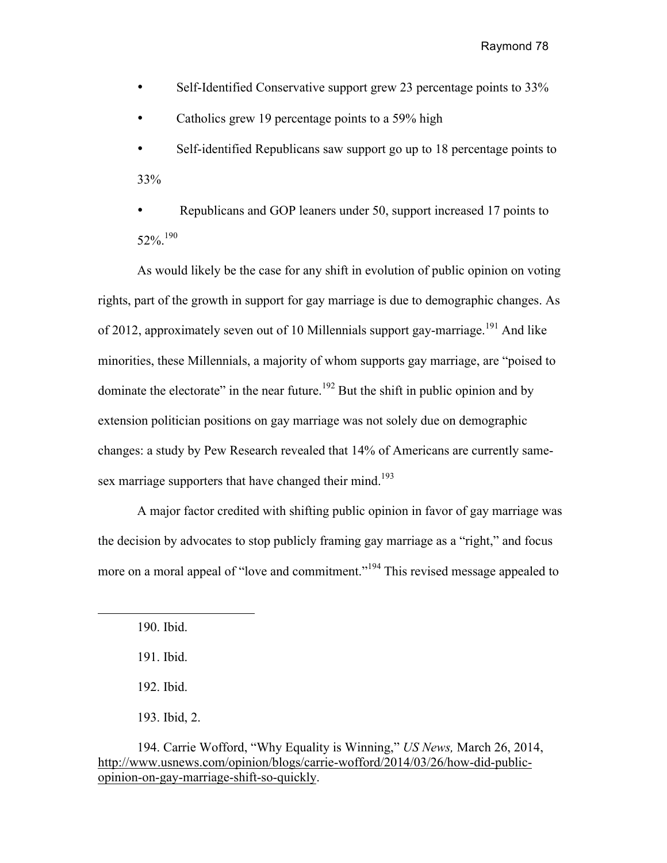- Self-Identified Conservative support grew 23 percentage points to 33%
- Catholics grew 19 percentage points to a 59% high
- Self-identified Republicans saw support go up to 18 percentage points to 33%
- Republicans and GOP leaners under 50, support increased 17 points to  $52\%$ <sup>190</sup>

As would likely be the case for any shift in evolution of public opinion on voting rights, part of the growth in support for gay marriage is due to demographic changes. As of 2012, approximately seven out of 10 Millennials support gay-marriage.<sup>191</sup> And like minorities, these Millennials, a majority of whom supports gay marriage, are "poised to dominate the electorate" in the near future.<sup>192</sup> But the shift in public opinion and by extension politician positions on gay marriage was not solely due on demographic changes: a study by Pew Research revealed that 14% of Americans are currently samesex marriage supporters that have changed their mind.<sup>193</sup>

A major factor credited with shifting public opinion in favor of gay marriage was the decision by advocates to stop publicly framing gay marriage as a "right," and focus more on a moral appeal of "love and commitment."<sup>194</sup> This revised message appealed to

 $\overline{a}$ 

- 192. Ibid.
- 193. Ibid, 2.

<sup>190.</sup> Ibid.

<sup>191.</sup> Ibid.

<sup>194.</sup> Carrie Wofford, "Why Equality is Winning," *US News,* March 26, 2014, http://www.usnews.com/opinion/blogs/carrie-wofford/2014/03/26/how-did-publicopinion-on-gay-marriage-shift-so-quickly.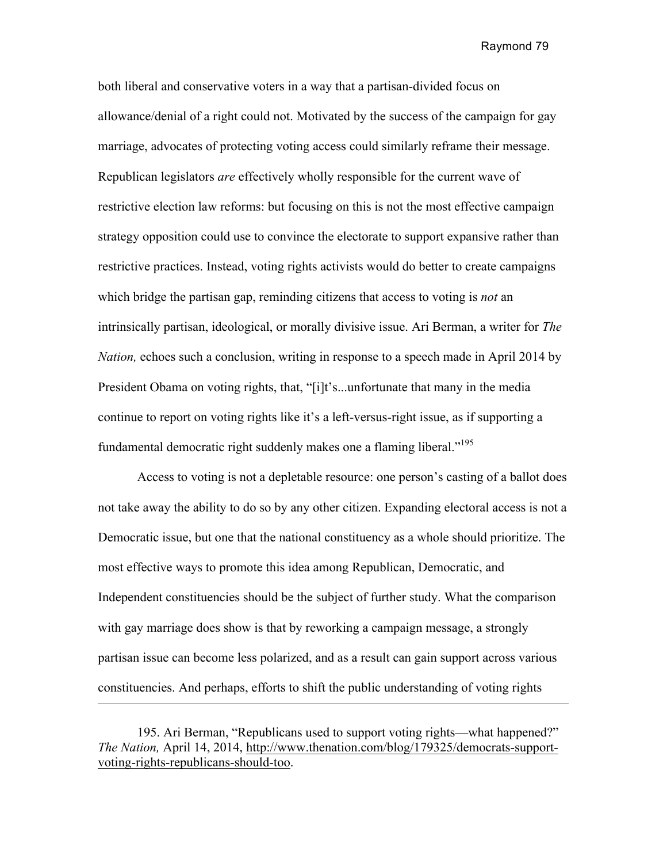both liberal and conservative voters in a way that a partisan-divided focus on allowance/denial of a right could not. Motivated by the success of the campaign for gay marriage, advocates of protecting voting access could similarly reframe their message. Republican legislators *are* effectively wholly responsible for the current wave of restrictive election law reforms: but focusing on this is not the most effective campaign strategy opposition could use to convince the electorate to support expansive rather than restrictive practices. Instead, voting rights activists would do better to create campaigns which bridge the partisan gap, reminding citizens that access to voting is *not* an intrinsically partisan, ideological, or morally divisive issue. Ari Berman, a writer for *The Nation,* echoes such a conclusion, writing in response to a speech made in April 2014 by President Obama on voting rights, that, "[i]t's...unfortunate that many in the media continue to report on voting rights like it's a left-versus-right issue, as if supporting a fundamental democratic right suddenly makes one a flaming liberal."<sup>195</sup>

Access to voting is not a depletable resource: one person's casting of a ballot does not take away the ability to do so by any other citizen. Expanding electoral access is not a Democratic issue, but one that the national constituency as a whole should prioritize. The most effective ways to promote this idea among Republican, Democratic, and Independent constituencies should be the subject of further study. What the comparison with gay marriage does show is that by reworking a campaign message, a strongly partisan issue can become less polarized, and as a result can gain support across various constituencies. And perhaps, efforts to shift the public understanding of voting rights 

<sup>195.</sup> Ari Berman, "Republicans used to support voting rights—what happened?" *The Nation,* April 14, 2014, http://www.thenation.com/blog/179325/democrats-supportvoting-rights-republicans-should-too.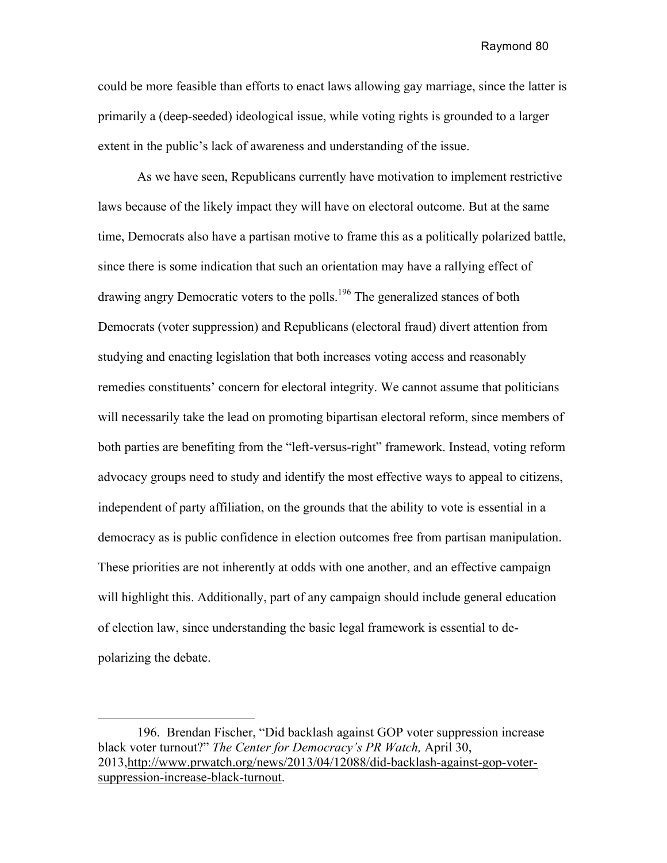could be more feasible than efforts to enact laws allowing gay marriage, since the latter is primarily a (deep-seeded) ideological issue, while voting rights is grounded to a larger extent in the public's lack of awareness and understanding of the issue.

As we have seen, Republicans currently have motivation to implement restrictive laws because of the likely impact they will have on electoral outcome. But at the same time, Democrats also have a partisan motive to frame this as a politically polarized battle, since there is some indication that such an orientation may have a rallying effect of drawing angry Democratic voters to the polls.<sup>196</sup> The generalized stances of both Democrats (voter suppression) and Republicans (electoral fraud) divert attention from studying and enacting legislation that both increases voting access and reasonably remedies constituents' concern for electoral integrity. We cannot assume that politicians will necessarily take the lead on promoting bipartisan electoral reform, since members of both parties are benefiting from the "left-versus-right" framework. Instead, voting reform advocacy groups need to study and identify the most effective ways to appeal to citizens, independent of party affiliation, on the grounds that the ability to vote is essential in a democracy as is public confidence in election outcomes free from partisan manipulation. These priorities are not inherently at odds with one another, and an effective campaign will highlight this. Additionally, part of any campaign should include general education of election law, since understanding the basic legal framework is essential to depolarizing the debate.

<sup>196.</sup> Brendan Fischer, "Did backlash against GOP voter suppression increase black voter turnout?" *The Center for Democracy's PR Watch,* April 30, 2013,http://www.prwatch.org/news/2013/04/12088/did-backlash-against-gop-votersuppression-increase-black-turnout.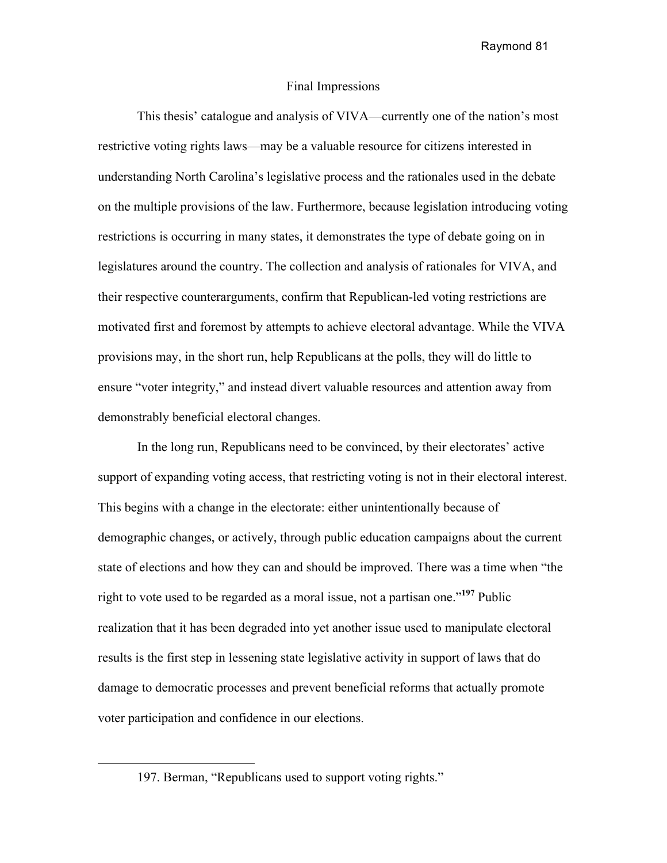#### Final Impressions

This thesis' catalogue and analysis of VIVA—currently one of the nation's most restrictive voting rights laws—may be a valuable resource for citizens interested in understanding North Carolina's legislative process and the rationales used in the debate on the multiple provisions of the law. Furthermore, because legislation introducing voting restrictions is occurring in many states, it demonstrates the type of debate going on in legislatures around the country. The collection and analysis of rationales for VIVA, and their respective counterarguments, confirm that Republican-led voting restrictions are motivated first and foremost by attempts to achieve electoral advantage. While the VIVA provisions may, in the short run, help Republicans at the polls, they will do little to ensure "voter integrity," and instead divert valuable resources and attention away from demonstrably beneficial electoral changes.

In the long run, Republicans need to be convinced, by their electorates' active support of expanding voting access, that restricting voting is not in their electoral interest. This begins with a change in the electorate: either unintentionally because of demographic changes, or actively, through public education campaigns about the current state of elections and how they can and should be improved. There was a time when "the right to vote used to be regarded as a moral issue, not a partisan one."**<sup>197</sup>** Public realization that it has been degraded into yet another issue used to manipulate electoral results is the first step in lessening state legislative activity in support of laws that do damage to democratic processes and prevent beneficial reforms that actually promote voter participation and confidence in our elections.

 $\overline{a}$ 

<sup>197.</sup> Berman, "Republicans used to support voting rights."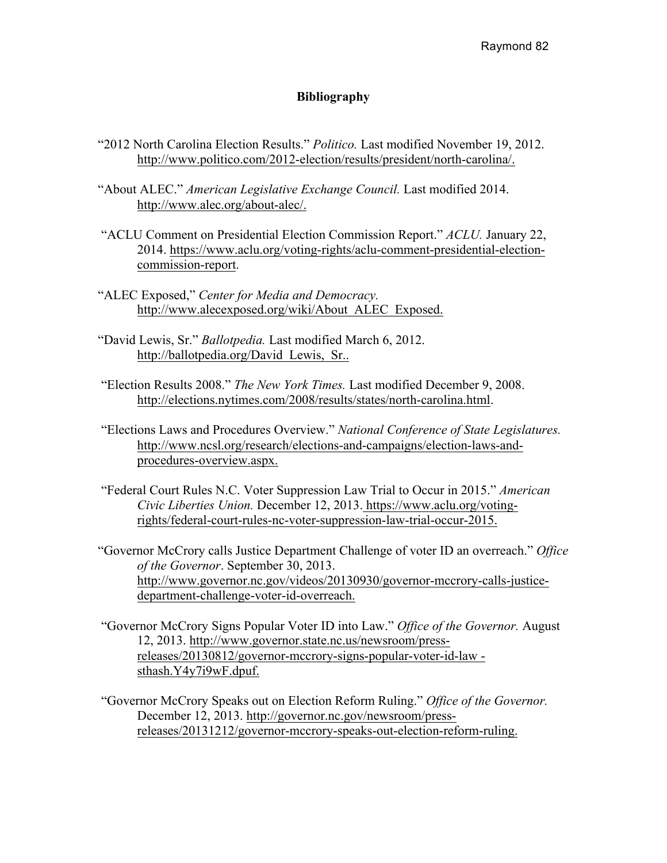# **Bibliography**

- "2012 North Carolina Election Results." *Politico.* Last modified November 19, 2012. http://www.politico.com/2012-election/results/president/north-carolina/.
- "About ALEC." *American Legislative Exchange Council.* Last modified 2014. http://www.alec.org/about-alec/.
- "ACLU Comment on Presidential Election Commission Report." *ACLU.* January 22, 2014. https://www.aclu.org/voting-rights/aclu-comment-presidential-electioncommission-report.
- "ALEC Exposed," *Center for Media and Democracy.*  http://www.alecexposed.org/wiki/About\_ALEC\_Exposed.
- "David Lewis, Sr." *Ballotpedia.* Last modified March 6, 2012. http://ballotpedia.org/David\_Lewis,\_Sr..
- "Election Results 2008." *The New York Times.* Last modified December 9, 2008. http://elections.nytimes.com/2008/results/states/north-carolina.html.
- "Elections Laws and Procedures Overview." *National Conference of State Legislatures.*  http://www.ncsl.org/research/elections-and-campaigns/election-laws-andprocedures-overview.aspx.
- "Federal Court Rules N.C. Voter Suppression Law Trial to Occur in 2015." *American Civic Liberties Union.* December 12, 2013. https://www.aclu.org/votingrights/federal-court-rules-nc-voter-suppression-law-trial-occur-2015.
- "Governor McCrory calls Justice Department Challenge of voter ID an overreach." *Office of the Governor*. September 30, 2013. http://www.governor.nc.gov/videos/20130930/governor-mccrory-calls-justicedepartment-challenge-voter-id-overreach.
- "Governor McCrory Signs Popular Voter ID into Law." *Office of the Governor.* August 12, 2013. http://www.governor.state.nc.us/newsroom/pressreleases/20130812/governor-mccrory-signs-popular-voter-id-law sthash.Y4y7i9wF.dpuf.
- "Governor McCrory Speaks out on Election Reform Ruling." *Office of the Governor.*  December 12, 2013. http://governor.nc.gov/newsroom/pressreleases/20131212/governor-mccrory-speaks-out-election-reform-ruling.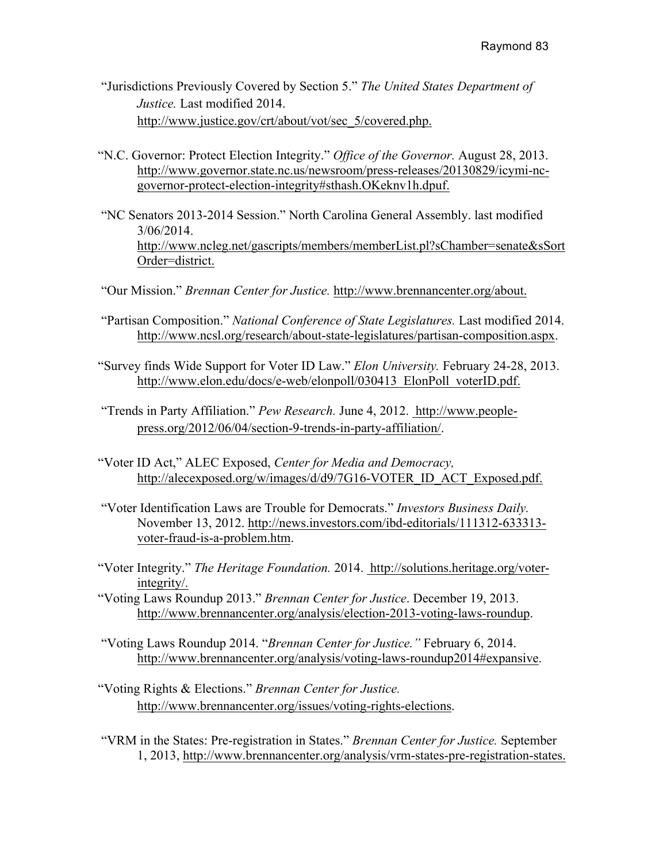- "Jurisdictions Previously Covered by Section 5." *The United States Department of Justice.* Last modified 2014. http://www.justice.gov/crt/about/vot/sec\_5/covered.php.
- "N.C. Governor: Protect Election Integrity." *Office of the Governor.* August 28, 2013. http://www.governor.state.nc.us/newsroom/press-releases/20130829/icymi-ncgovernor-protect-election-integrity#sthash.OKeknv1h.dpuf.
- "NC Senators 2013-2014 Session." North Carolina General Assembly. last modified 3/06/2014. http://www.ncleg.net/gascripts/members/memberList.pl?sChamber=senate&sSort Order=district.
- "Our Mission." *Brennan Center for Justice.* http://www.brennancenter.org/about.
- "Partisan Composition." *National Conference of State Legislatures.* Last modified 2014. http://www.ncsl.org/research/about-state-legislatures/partisan-composition.aspx.
- "Survey finds Wide Support for Voter ID Law." *Elon University.* February 24-28, 2013. http://www.elon.edu/docs/e-web/elonpoll/030413\_ElonPoll\_voterID.pdf.
- "Trends in Party Affiliation." *Pew Research.* June 4, 2012. http://www.peoplepress.org/2012/06/04/section-9-trends-in-party-affiliation/.
- "Voter ID Act," ALEC Exposed, *Center for Media and Democracy,* http://alecexposed.org/w/images/d/d9/7G16-VOTER\_ID\_ACT\_Exposed.pdf.
- "Voter Identification Laws are Trouble for Democrats." *Investors Business Daily.*  November 13, 2012. http://news.investors.com/ibd-editorials/111312-633313 voter-fraud-is-a-problem.htm.
- "Voter Integrity." *The Heritage Foundation.* 2014. http://solutions.heritage.org/voterintegrity/.
- "Voting Laws Roundup 2013." *Brennan Center for Justice*. December 19, 2013. http://www.brennancenter.org/analysis/election-2013-voting-laws-roundup.
- "Voting Laws Roundup 2014. "*Brennan Center for Justice."* February 6, 2014. http://www.brennancenter.org/analysis/voting-laws-roundup2014#expansive.
- "Voting Rights & Elections." *Brennan Center for Justice.*  http://www.brennancenter.org/issues/voting-rights-elections.
- "VRM in the States: Pre-registration in States." *Brennan Center for Justice.* September 1, 2013, http://www.brennancenter.org/analysis/vrm-states-pre-registration-states.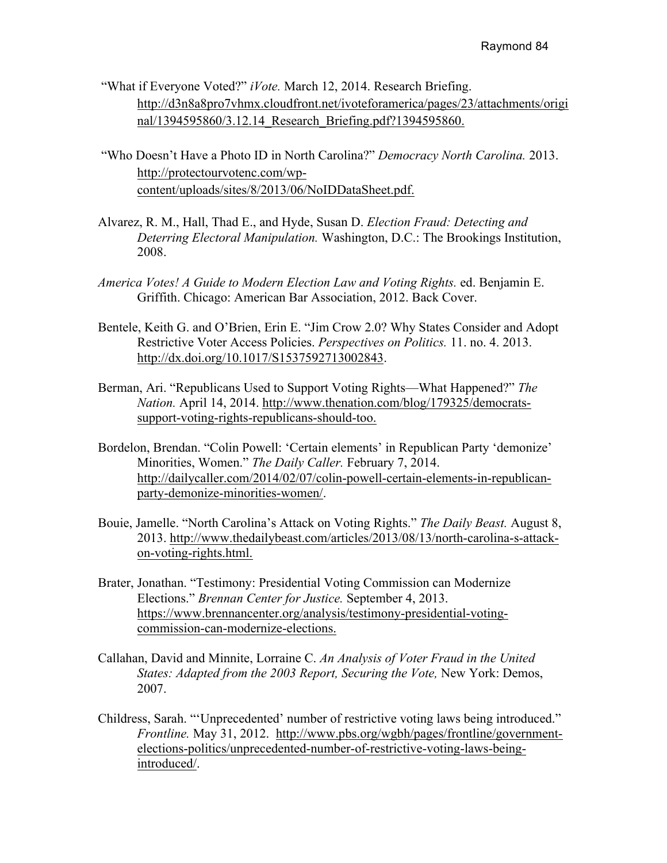- "What if Everyone Voted?" *iVote.* March 12, 2014. Research Briefing. http://d3n8a8pro7vhmx.cloudfront.net/ivoteforamerica/pages/23/attachments/origi nal/1394595860/3.12.14\_Research\_Briefing.pdf?1394595860.
- "Who Doesn't Have a Photo ID in North Carolina?" *Democracy North Carolina.* 2013. http://protectourvotenc.com/wpcontent/uploads/sites/8/2013/06/NoIDDataSheet.pdf.
- Alvarez, R. M., Hall, Thad E., and Hyde, Susan D. *Election Fraud: Detecting and Deterring Electoral Manipulation.* Washington, D.C.: The Brookings Institution, 2008.
- *America Votes! A Guide to Modern Election Law and Voting Rights.* ed. Benjamin E. Griffith. Chicago: American Bar Association, 2012. Back Cover.
- Bentele, Keith G. and O'Brien, Erin E. "Jim Crow 2.0? Why States Consider and Adopt Restrictive Voter Access Policies. *Perspectives on Politics.* 11. no. 4. 2013. http://dx.doi.org/10.1017/S1537592713002843.
- Berman, Ari. "Republicans Used to Support Voting Rights—What Happened?" *The Nation.* April 14, 2014. http://www.thenation.com/blog/179325/democratssupport-voting-rights-republicans-should-too.
- Bordelon, Brendan. "Colin Powell: 'Certain elements' in Republican Party 'demonize' Minorities, Women." *The Daily Caller.* February 7, 2014. http://dailycaller.com/2014/02/07/colin-powell-certain-elements-in-republicanparty-demonize-minorities-women/.
- Bouie, Jamelle. "North Carolina's Attack on Voting Rights." *The Daily Beast.* August 8, 2013. http://www.thedailybeast.com/articles/2013/08/13/north-carolina-s-attackon-voting-rights.html.
- Brater, Jonathan. "Testimony: Presidential Voting Commission can Modernize Elections." *Brennan Center for Justice.* September 4, 2013. https://www.brennancenter.org/analysis/testimony-presidential-votingcommission-can-modernize-elections.
- Callahan, David and Minnite, Lorraine C. *An Analysis of Voter Fraud in the United States: Adapted from the 2003 Report, Securing the Vote, New York: Demos,* 2007.
- Childress, Sarah. "'Unprecedented' number of restrictive voting laws being introduced." *Frontline.* May 31, 2012. http://www.pbs.org/wgbh/pages/frontline/governmentelections-politics/unprecedented-number-of-restrictive-voting-laws-beingintroduced/.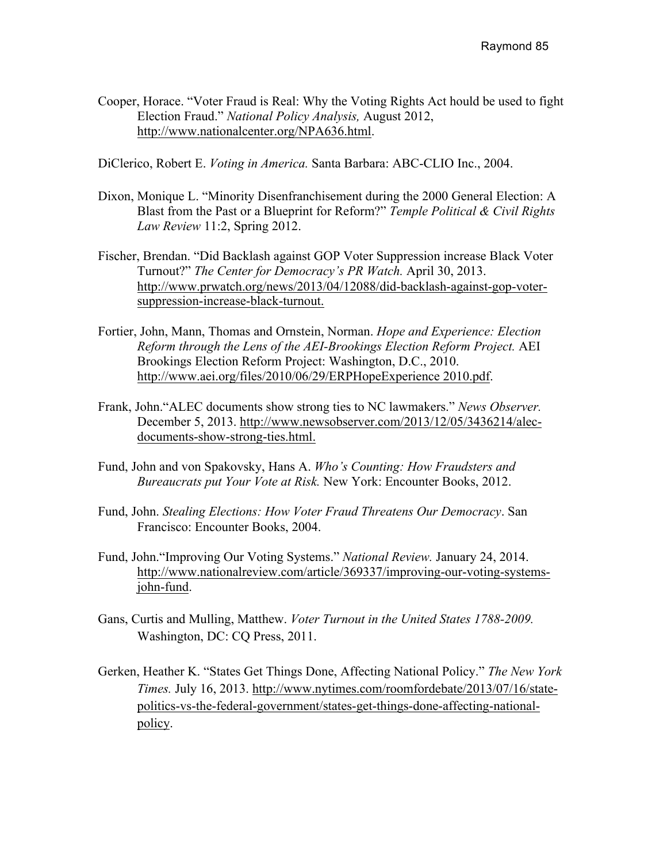Cooper, Horace. "Voter Fraud is Real: Why the Voting Rights Act hould be used to fight Election Fraud." *National Policy Analysis,* August 2012, http://www.nationalcenter.org/NPA636.html.

DiClerico, Robert E. *Voting in America.* Santa Barbara: ABC-CLIO Inc., 2004.

- Dixon, Monique L. "Minority Disenfranchisement during the 2000 General Election: A Blast from the Past or a Blueprint for Reform?" *Temple Political & Civil Rights Law Review* 11:2, Spring 2012.
- Fischer, Brendan. "Did Backlash against GOP Voter Suppression increase Black Voter Turnout?" *The Center for Democracy's PR Watch.* April 30, 2013. http://www.prwatch.org/news/2013/04/12088/did-backlash-against-gop-votersuppression-increase-black-turnout.
- Fortier, John, Mann, Thomas and Ornstein, Norman. *Hope and Experience: Election Reform through the Lens of the AEI-Brookings Election Reform Project.* AEI Brookings Election Reform Project: Washington, D.C., 2010. http://www.aei.org/files/2010/06/29/ERPHopeExperience 2010.pdf.
- Frank, John."ALEC documents show strong ties to NC lawmakers." *News Observer.*  December 5, 2013. http://www.newsobserver.com/2013/12/05/3436214/alecdocuments-show-strong-ties.html.
- Fund, John and von Spakovsky, Hans A. *Who's Counting: How Fraudsters and Bureaucrats put Your Vote at Risk.* New York: Encounter Books, 2012.
- Fund, John. *Stealing Elections: How Voter Fraud Threatens Our Democracy*. San Francisco: Encounter Books, 2004.
- Fund, John."Improving Our Voting Systems." *National Review.* January 24, 2014. http://www.nationalreview.com/article/369337/improving-our-voting-systemsjohn-fund.
- Gans, Curtis and Mulling, Matthew. *Voter Turnout in the United States 1788-2009.*  Washington, DC: CQ Press, 2011.
- Gerken, Heather K. "States Get Things Done, Affecting National Policy." *The New York Times.* July 16, 2013. http://www.nytimes.com/roomfordebate/2013/07/16/statepolitics-vs-the-federal-government/states-get-things-done-affecting-nationalpolicy.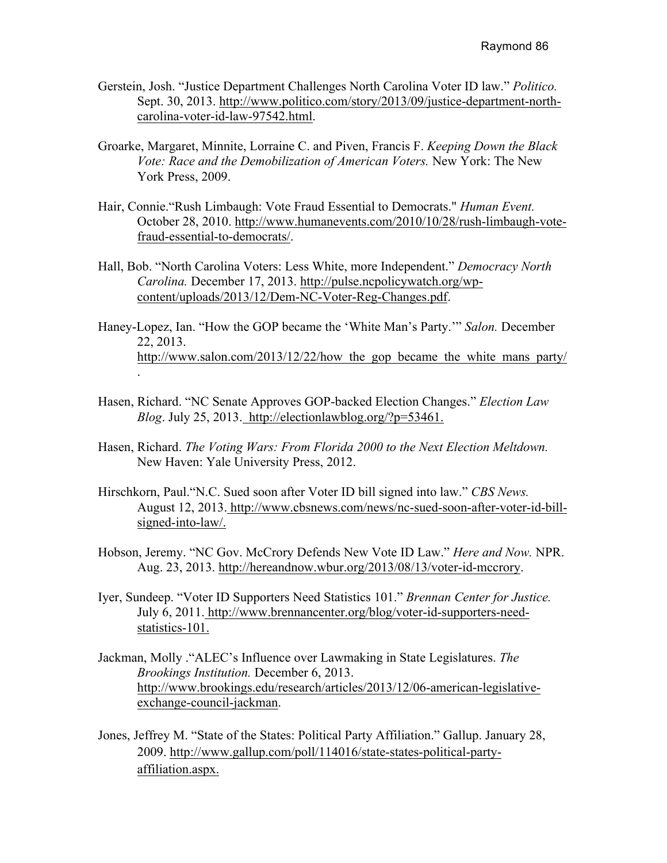- Gerstein, Josh. "Justice Department Challenges North Carolina Voter ID law." *Politico.*  Sept. 30, 2013. http://www.politico.com/story/2013/09/justice-department-northcarolina-voter-id-law-97542.html.
- Groarke, Margaret, Minnite, Lorraine C. and Piven, Francis F. *Keeping Down the Black Vote: Race and the Demobilization of American Voters.* New York: The New York Press, 2009.
- Hair, Connie."Rush Limbaugh: Vote Fraud Essential to Democrats." *Human Event.*  October 28, 2010. http://www.humanevents.com/2010/10/28/rush-limbaugh-votefraud-essential-to-democrats/.
- Hall, Bob. "North Carolina Voters: Less White, more Independent." *Democracy North Carolina.* December 17, 2013. http://pulse.ncpolicywatch.org/wpcontent/uploads/2013/12/Dem-NC-Voter-Reg-Changes.pdf.
- Haney-Lopez, Ian. "How the GOP became the 'White Man's Party.'" *Salon.* December 22, 2013. http://www.salon.com/2013/12/22/how the gop became the white mans party/ .
- Hasen, Richard. "NC Senate Approves GOP-backed Election Changes." *Election Law Blog*. July 25, 2013. http://electionlawblog.org/?p=53461.
- Hasen, Richard. *The Voting Wars: From Florida 2000 to the Next Election Meltdown.*  New Haven: Yale University Press, 2012.
- Hirschkorn, Paul."N.C. Sued soon after Voter ID bill signed into law." *CBS News.*  August 12, 2013. http://www.cbsnews.com/news/nc-sued-soon-after-voter-id-billsigned-into-law/.
- Hobson, Jeremy. "NC Gov. McCrory Defends New Vote ID Law." *Here and Now.* NPR. Aug. 23, 2013. http://hereandnow.wbur.org/2013/08/13/voter-id-mccrory.
- Iyer, Sundeep. "Voter ID Supporters Need Statistics 101." *Brennan Center for Justice.*  July 6, 2011. http://www.brennancenter.org/blog/voter-id-supporters-needstatistics-101.
- Jackman, Molly ."ALEC's Influence over Lawmaking in State Legislatures. *The Brookings Institution.* December 6, 2013. http://www.brookings.edu/research/articles/2013/12/06-american-legislativeexchange-council-jackman.
- Jones, Jeffrey M. "State of the States: Political Party Affiliation." Gallup. January 28, 2009. http://www.gallup.com/poll/114016/state-states-political-partyaffiliation.aspx.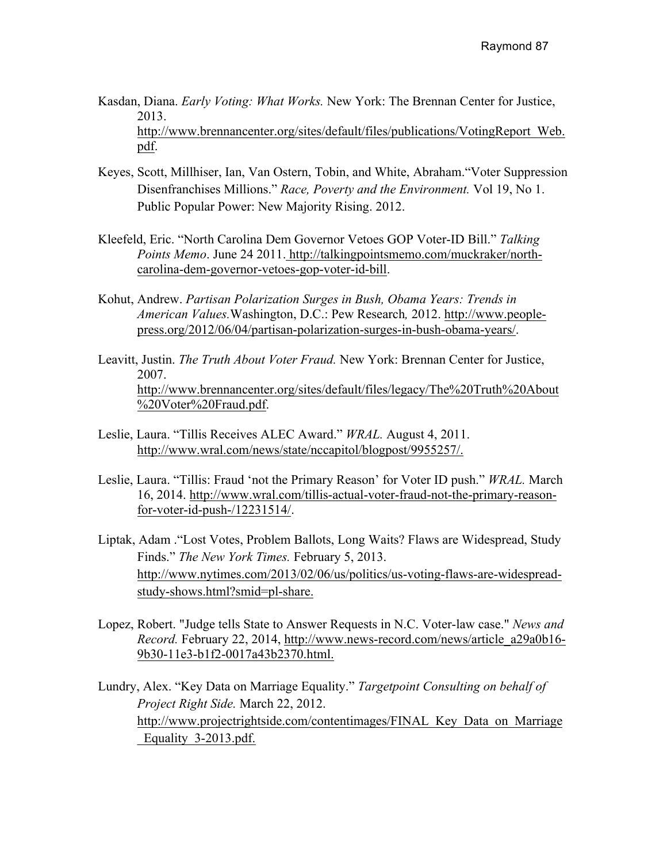Kasdan, Diana. *Early Voting: What Works.* New York: The Brennan Center for Justice, 2013. http://www.brennancenter.org/sites/default/files/publications/VotingReport\_Web.

pdf.

- Keyes, Scott, Millhiser, Ian, Van Ostern, Tobin, and White, Abraham."Voter Suppression Disenfranchises Millions." *Race, Poverty and the Environment.* Vol 19, No 1. Public Popular Power: New Majority Rising. 2012.
- Kleefeld, Eric. "North Carolina Dem Governor Vetoes GOP Voter-ID Bill." *Talking Points Memo*. June 24 2011. http://talkingpointsmemo.com/muckraker/northcarolina-dem-governor-vetoes-gop-voter-id-bill.
- Kohut, Andrew. *Partisan Polarization Surges in Bush, Obama Years: Trends in American Values.*Washington, D.C.: Pew Research*,* 2012. http://www.peoplepress.org/2012/06/04/partisan-polarization-surges-in-bush-obama-years/.
- Leavitt, Justin. *The Truth About Voter Fraud.* New York: Brennan Center for Justice, 2007. http://www.brennancenter.org/sites/default/files/legacy/The%20Truth%20About %20Voter%20Fraud.pdf.
- Leslie, Laura. "Tillis Receives ALEC Award." *WRAL.* August 4, 2011. http://www.wral.com/news/state/nccapitol/blogpost/9955257/.
- Leslie, Laura. "Tillis: Fraud 'not the Primary Reason' for Voter ID push." *WRAL.* March 16, 2014. http://www.wral.com/tillis-actual-voter-fraud-not-the-primary-reasonfor-voter-id-push-/12231514/.
- Liptak, Adam ."Lost Votes, Problem Ballots, Long Waits? Flaws are Widespread, Study Finds." *The New York Times.* February 5, 2013. http://www.nytimes.com/2013/02/06/us/politics/us-voting-flaws-are-widespreadstudy-shows.html?smid=pl-share.
- Lopez, Robert. "Judge tells State to Answer Requests in N.C. Voter-law case." *News and Record.* February 22, 2014, http://www.news-record.com/news/article\_a29a0b16- 9b30-11e3-b1f2-0017a43b2370.html.
- Lundry, Alex. "Key Data on Marriage Equality." *Targetpoint Consulting on behalf of Project Right Side.* March 22, 2012. http://www.projectrightside.com/contentimages/FINAL\_Key\_Data\_on\_Marriage Equality 3-2013.pdf.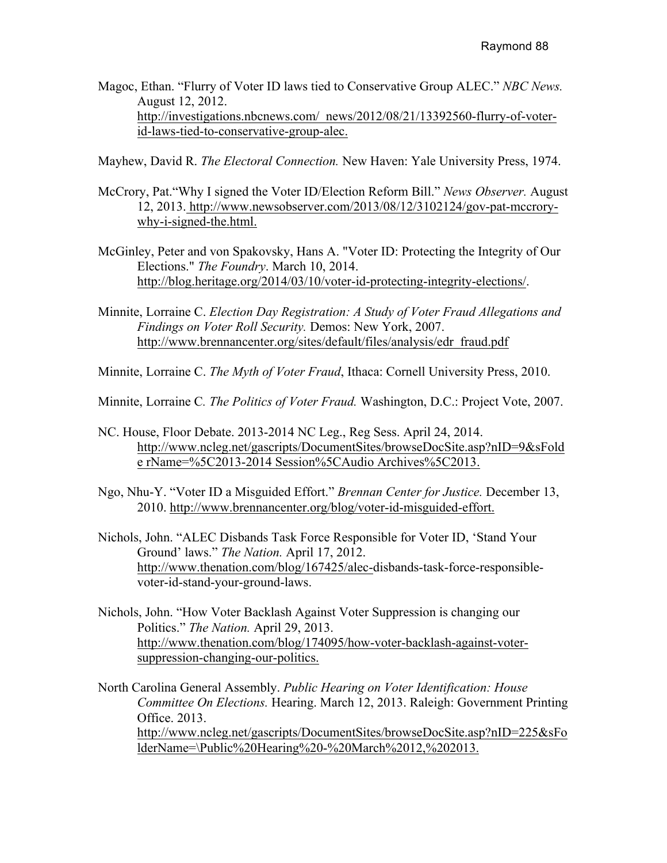Magoc, Ethan. "Flurry of Voter ID laws tied to Conservative Group ALEC." *NBC News.*  August 12, 2012. http://investigations.nbcnews.com/\_news/2012/08/21/13392560-flurry-of-voterid-laws-tied-to-conservative-group-alec.

Mayhew, David R. *The Electoral Connection.* New Haven: Yale University Press, 1974.

- McCrory, Pat."Why I signed the Voter ID/Election Reform Bill." *News Observer.* August 12, 2013. http://www.newsobserver.com/2013/08/12/3102124/gov-pat-mccrorywhy-i-signed-the.html.
- McGinley, Peter and von Spakovsky, Hans A. "Voter ID: Protecting the Integrity of Our Elections." *The Foundry*. March 10, 2014. http://blog.heritage.org/2014/03/10/voter-id-protecting-integrity-elections/.
- Minnite, Lorraine C. *Election Day Registration: A Study of Voter Fraud Allegations and Findings on Voter Roll Security.* Demos: New York, 2007. http://www.brennancenter.org/sites/default/files/analysis/edr\_fraud.pdf
- Minnite, Lorraine C. *The Myth of Voter Fraud*, Ithaca: Cornell University Press, 2010.
- Minnite, Lorraine C*. The Politics of Voter Fraud.* Washington, D.C.: Project Vote, 2007.
- NC. House, Floor Debate. 2013-2014 NC Leg., Reg Sess. April 24, 2014. http://www.ncleg.net/gascripts/DocumentSites/browseDocSite.asp?nID=9&sFold e rName=%5C2013-2014 Session%5CAudio Archives%5C2013.
- Ngo, Nhu-Y. "Voter ID a Misguided Effort." *Brennan Center for Justice.* December 13, 2010. http://www.brennancenter.org/blog/voter-id-misguided-effort.
- Nichols, John. "ALEC Disbands Task Force Responsible for Voter ID, 'Stand Your Ground' laws." *The Nation.* April 17, 2012. http://www.thenation.com/blog/167425/alec-disbands-task-force-responsiblevoter-id-stand-your-ground-laws.
- Nichols, John. "How Voter Backlash Against Voter Suppression is changing our Politics." *The Nation.* April 29, 2013. http://www.thenation.com/blog/174095/how-voter-backlash-against-votersuppression-changing-our-politics.

North Carolina General Assembly. *Public Hearing on Voter Identification: House Committee On Elections.* Hearing. March 12, 2013. Raleigh: Government Printing Office. 2013. http://www.ncleg.net/gascripts/DocumentSites/browseDocSite.asp?nID=225&sFo lderName=\Public%20Hearing%20-%20March%2012,%202013.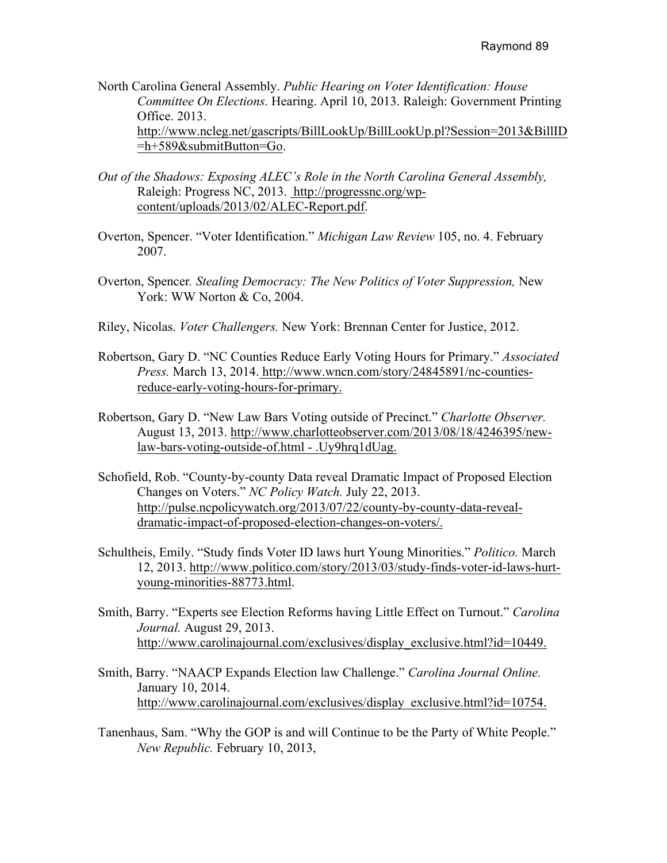North Carolina General Assembly. *Public Hearing on Voter Identification: House Committee On Elections.* Hearing. April 10, 2013. Raleigh: Government Printing Office. 2013. http://www.ncleg.net/gascripts/BillLookUp/BillLookUp.pl?Session=2013&BillID =h+589&submitButton=Go.

- *Out of the Shadows: Exposing ALEC's Role in the North Carolina General Assembly,*  Raleigh: Progress NC, 2013. http://progressnc.org/wpcontent/uploads/2013/02/ALEC-Report.pdf.
- Overton, Spencer. "Voter Identification." *Michigan Law Review* 105, no. 4. February 2007.
- Overton, Spencer*. Stealing Democracy: The New Politics of Voter Suppression,* New York: WW Norton & Co, 2004.
- Riley, Nicolas. *Voter Challengers.* New York: Brennan Center for Justice, 2012.
- Robertson, Gary D. "NC Counties Reduce Early Voting Hours for Primary." *Associated Press.* March 13, 2014. http://www.wncn.com/story/24845891/nc-countiesreduce-early-voting-hours-for-primary.
- Robertson, Gary D. "New Law Bars Voting outside of Precinct." *Charlotte Observer.*  August 13, 2013. http://www.charlotteobserver.com/2013/08/18/4246395/newlaw-bars-voting-outside-of.html - .Uy9hrq1dUag.
- Schofield, Rob. "County-by-county Data reveal Dramatic Impact of Proposed Election Changes on Voters." *NC Policy Watch.* July 22, 2013. http://pulse.ncpolicywatch.org/2013/07/22/county-by-county-data-revealdramatic-impact-of-proposed-election-changes-on-voters/.
- Schultheis, Emily. "Study finds Voter ID laws hurt Young Minorities." *Politico.* March 12, 2013. http://www.politico.com/story/2013/03/study-finds-voter-id-laws-hurtyoung-minorities-88773.html.
- Smith, Barry. "Experts see Election Reforms having Little Effect on Turnout." *Carolina Journal.* August 29, 2013. http://www.carolinajournal.com/exclusives/display\_exclusive.html?id=10449.
- Smith, Barry. "NAACP Expands Election law Challenge." *Carolina Journal Online.*  January 10, 2014. http://www.carolinajournal.com/exclusives/display\_exclusive.html?id=10754.
- Tanenhaus, Sam. "Why the GOP is and will Continue to be the Party of White People." *New Republic.* February 10, 2013,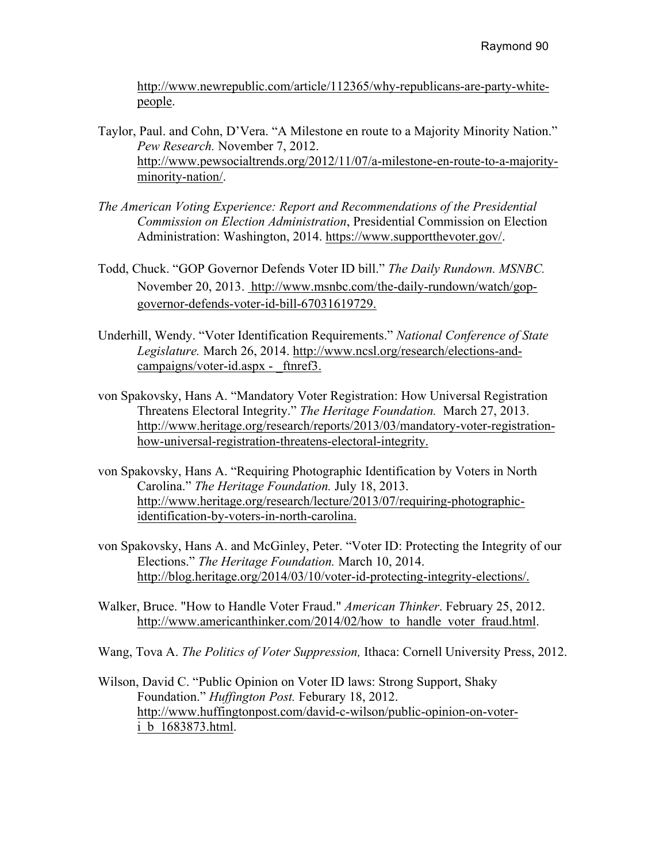http://www.newrepublic.com/article/112365/why-republicans-are-party-whitepeople.

- Taylor, Paul. and Cohn, D'Vera. "A Milestone en route to a Majority Minority Nation." *Pew Research.* November 7, 2012. http://www.pewsocialtrends.org/2012/11/07/a-milestone-en-route-to-a-majorityminority-nation/.
- *The American Voting Experience: Report and Recommendations of the Presidential Commission on Election Administration*, Presidential Commission on Election Administration: Washington, 2014. https://www.supportthevoter.gov/.
- Todd, Chuck. "GOP Governor Defends Voter ID bill." *The Daily Rundown. MSNBC.*  November 20, 2013. http://www.msnbc.com/the-daily-rundown/watch/gopgovernor-defends-voter-id-bill-67031619729.
- Underhill, Wendy. "Voter Identification Requirements." *National Conference of State Legislature.* March 26, 2014. http://www.ncsl.org/research/elections-andcampaigns/voter-id.aspx - ftnref3.
- von Spakovsky, Hans A. "Mandatory Voter Registration: How Universal Registration Threatens Electoral Integrity." *The Heritage Foundation.* March 27, 2013. http://www.heritage.org/research/reports/2013/03/mandatory-voter-registrationhow-universal-registration-threatens-electoral-integrity.
- von Spakovsky, Hans A. "Requiring Photographic Identification by Voters in North Carolina." *The Heritage Foundation.* July 18, 2013. http://www.heritage.org/research/lecture/2013/07/requiring-photographicidentification-by-voters-in-north-carolina.
- von Spakovsky, Hans A. and McGinley, Peter. "Voter ID: Protecting the Integrity of our Elections." *The Heritage Foundation.* March 10, 2014. http://blog.heritage.org/2014/03/10/voter-id-protecting-integrity-elections/.
- Walker, Bruce. "How to Handle Voter Fraud." *American Thinker*. February 25, 2012. http://www.americanthinker.com/2014/02/how to handle voter fraud.html.
- Wang, Tova A. *The Politics of Voter Suppression,* Ithaca: Cornell University Press, 2012.
- Wilson, David C. "Public Opinion on Voter ID laws: Strong Support, Shaky Foundation." *Huffington Post.* Feburary 18, 2012. http://www.huffingtonpost.com/david-c-wilson/public-opinion-on-voteri\_b\_1683873.html.